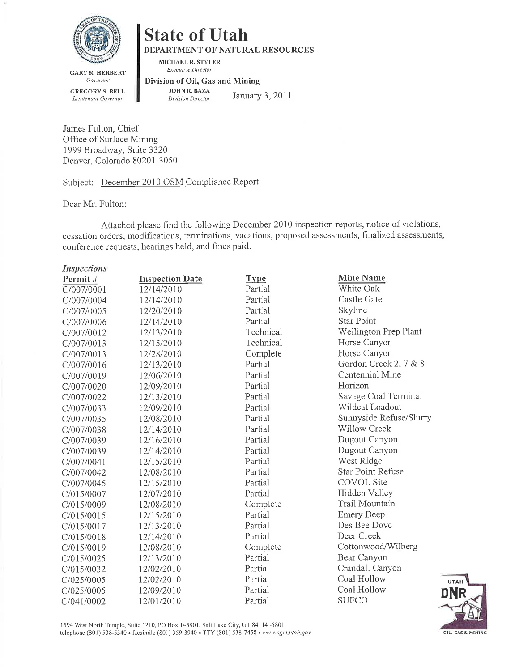

# **State of Utah**

DEPARTMENT OF NATURAL RESOURCES

MICHAEL R. STYLER **Executive Director** 

**GARY R. HERBERT** Governor **GREGORY S. BELL** Lieutenant Governor

Division of Oil, Gas and Mining **JOHN R. BAZA** 

January 3, 2011 **Division Director** 

James Fulton, Chief Office of Surface Mining 1999 Broadway, Suite 3320 Denver, Colorado 80201-3050

Subject: December 2010 OSM Compliance Report

Dear Mr. Fulton:

 $\mathbf{r}$ 

 $\overline{a}$ 

Attached please find the following December 2010 inspection reports, notice of violations, cessation orders, modifications, terminations, vacations, proposed assessments, finalized assessments, conference requests, hearings held, and fines paid.

| <i>Inspections</i> |                        |             |                          |
|--------------------|------------------------|-------------|--------------------------|
| Permit#            | <b>Inspection Date</b> | <b>Type</b> | <b>Mine Name</b>         |
| C/007/0001         | 12/14/2010             | Partial     | White Oak                |
| C/007/0004         | 12/14/2010             | Partial     | Castle Gate              |
| C/007/0005         | 12/20/2010             | Partial     | Skyline                  |
| C/007/0006         | 12/14/2010             | Partial     | <b>Star Point</b>        |
| C/007/0012         | 12/13/2010             | Technical   | Wellington Prep Plant    |
| C/007/0013         | 12/15/2010             | Technical   | Horse Canyon             |
| C/007/0013         | 12/28/2010             | Complete    | Horse Canyon             |
| C/007/0016         | 12/13/2010             | Partial     | Gordon Creek 2, 7 & 8    |
| C/007/0019         | 12/06/2010             | Partial     | Centennial Mine          |
| C/007/0020         | 12/09/2010             | Partial     | Horizon                  |
| C/007/0022         | 12/13/2010             | Partial     | Savage Coal Terminal     |
| C/007/0033         | 12/09/2010             | Partial     | Wildcat Loadout          |
| C/007/0035         | 12/08/2010             | Partial     | Sunnyside Refuse/Slurry  |
| C/007/0038         | 12/14/2010             | Partial     | <b>Willow Creek</b>      |
| C/007/0039         | 12/16/2010             | Partial     | Dugout Canyon            |
| C/007/0039         | 12/14/2010             | Partial     | Dugout Canyon            |
| C/007/0041         | 12/15/2010             | Partial     | West Ridge               |
| C/007/0042         | 12/08/2010             | Partial     | <b>Star Point Refuse</b> |
| C/007/0045         | 12/15/2010             | Partial     | <b>COVOL</b> Site        |
| C/015/0007         | 12/07/2010             | Partial     | Hidden Valley            |
| C/015/0009         | 12/08/2010             | Complete    | Trail Mountain           |
| C/015/0015         | 12/15/2010             | Partial     | <b>Emery Deep</b>        |
| C/015/0017         | 12/13/2010             | Partial     | Des Bee Dove             |
| C/015/0018         | 12/14/2010             | Partial     | Deer Creek               |
| C/015/0019         | 12/08/2010             | Complete    | Cottonwood/Wilberg       |
| C/015/0025         | 12/13/2010             | Partial     | Bear Canyon              |
| C/015/0032         | 12/02/2010             | Partial     | Crandall Canyon          |
| C/025/0005         | 12/02/2010             | Partial     | Coal Hollow              |
| C/025/0005         | 12/09/2010             | Partial     | Coal Hollow              |
| C/041/0002         | 12/01/2010             | Partial     | <b>SUFCO</b>             |

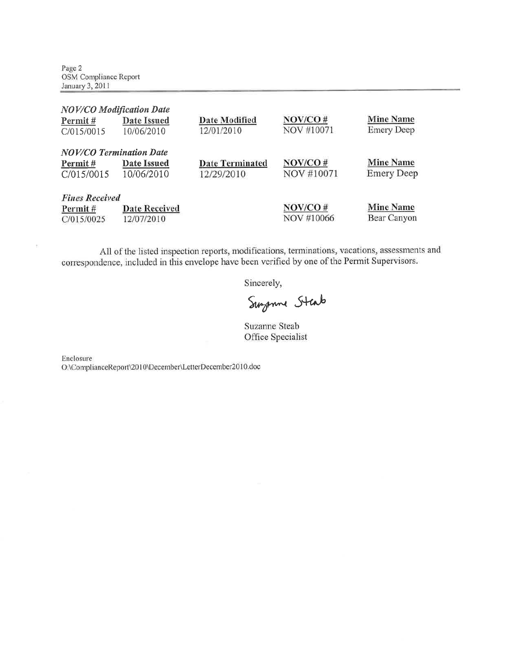Page 2 OSM Compliance Report January 3, 2011

| <b>NOV/CO</b> Modification Date |                      |                        |            |                   |
|---------------------------------|----------------------|------------------------|------------|-------------------|
| Permit#                         | Date Issued          | <b>Date Modified</b>   | NOV/CO#    | <b>Mine Name</b>  |
| C/015/0015                      | 10/06/2010           | 12/01/2010             | NOV #10071 | <b>Emery Deep</b> |
| <b>NOV/CO Termination Date</b>  |                      |                        |            |                   |
| Permit#                         | Date Issued          | <b>Date Terminated</b> | NOV/CO#    | <b>Mine Name</b>  |
| C/015/0015                      | 10/06/2010           | 12/29/2010             | NOV #10071 | <b>Emery Deep</b> |
| <b>Fines Received</b>           |                      |                        |            |                   |
| Permit#                         | <b>Date Received</b> |                        | NOV/CO#    | <b>Mine Name</b>  |
| C/015/0025                      | 12/07/2010           |                        | NOV #10066 | Bear Canyon       |

All of the listed inspection reports, modifications, terminations, vacations, assessments and correspondence, included in this envelope have been verified by one of the Permit Supervisors.

Sincerely,

Surgenne Stab

Suzanne Steab Office Specialist

Enclosure

×

O:\ComplianceReport\2010\December\LetterDecember2010.doc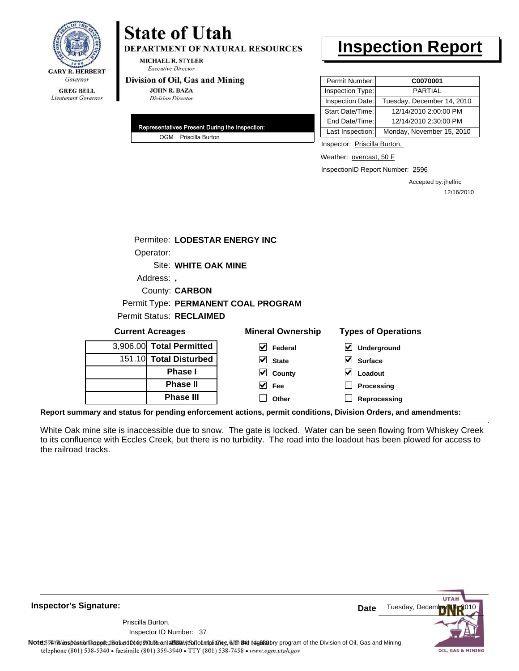

# **State of Utah**

**DEPARTMENT OF NATURAL RESOURCES** 

**MICHAEL R. STYLER Executive Director** 

#### Division of Oil, Gas and Mining

**JOHN R. BAZA Division Director** 

| Representatives Present During the Inspection: |
|------------------------------------------------|
| OGM Priscilla Burton                           |

# **Inspection Report**

| Permit Number:   | C0070001                   |
|------------------|----------------------------|
| Inspection Type: | <b>PARTIAL</b>             |
| Inspection Date: | Tuesday, December 14, 2010 |
| Start Date/Time: | 12/14/2010 2:00:00 PM      |
| End Date/Time:   | 12/14/2010 2:30:00 PM      |
| Last Inspection: | Monday, November 15, 2010  |

Inspector: Priscilla Burton,

Weather: overcast, 50 F

InspectionID Report Number: 2596

Accepted by: jhelfric 12/16/2010

|                                 | Permitee: LODESTAR ENERGY INC       |
|---------------------------------|-------------------------------------|
| Operator:                       |                                     |
|                                 | Site: WHITE OAK MINE                |
| Address:,                       |                                     |
|                                 | <b>County: CARBON</b>               |
|                                 | Permit Type: PERMANENT COAL PROGRAM |
| <b>Permit Status: RECLAIMED</b> |                                     |

| <b>Current Acreages</b> |                          | <b>Mineral Ownership</b>      | <b>Types of Operations</b>                                                                                     |  |  |
|-------------------------|--------------------------|-------------------------------|----------------------------------------------------------------------------------------------------------------|--|--|
|                         | 3,906.00 Total Permitted | $\blacktriangleright$ Federal | ⊻<br>Underground                                                                                               |  |  |
|                         | 151.10 Total Disturbed   | $\overline{\mathsf{v}}$ State | M<br><b>Surface</b>                                                                                            |  |  |
|                         | <b>Phase I</b>           | $\sqrt{ }$ County             | M<br>Loadout                                                                                                   |  |  |
|                         | <b>Phase II</b>          | $\overline{\smash{\vee}}$ Fee | Processing                                                                                                     |  |  |
|                         | <b>Phase III</b>         | Other                         | Reprocessing                                                                                                   |  |  |
|                         |                          |                               | Report summary and status for pending enforcement actions, permit conditions, Division Orders, and amendments: |  |  |

White Oak mine site is inaccessible due to snow. The gate is locked. Water can be seen flowing from Whiskey Creek to its confluence with Eccles Creek, but there is no turbidity. The road into the loadout has been plowed for access to the railroad tracks.

**Inspector's Signature:**

Inspector ID Number: 37 Priscilla Burton,



Note59#htviespection lepptt does not constitute an affidavitSal compliance, with the regulatory program of the Division of Oil, Gas and Mining. telephone (801) 538-5340 · facsimile (801) 359-3940 · TTY (801) 538-7458 · www.ogm.utah.gov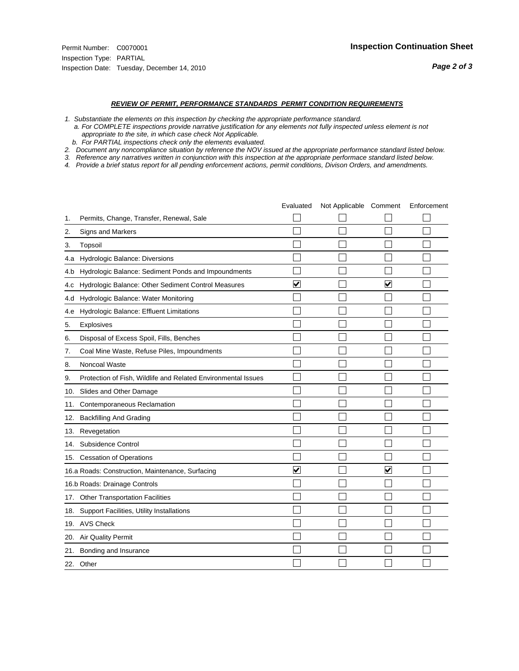- *1. Substantiate the elements on this inspection by checking the appropriate performance standard.*
- *a. For COMPLETE inspections provide narrative justification for any elements not fully inspected unless element is not appropriate to the site, in which case check Not Applicable.*
- *b. For PARTIAL inspections check only the elements evaluated.*
- *2. Document any noncompliance situation by reference the NOV issued at the appropriate performance standard listed below.*
- *3. Reference any narratives written in conjunction with this inspection at the appropriate performace standard listed below.*
- *4. Provide a brief status report for all pending enforcement actions, permit conditions, Divison Orders, and amendments.*

|     |                                                               | Evaluated               | Not Applicable Comment |                         | Enforcement |
|-----|---------------------------------------------------------------|-------------------------|------------------------|-------------------------|-------------|
| 1.  | Permits, Change, Transfer, Renewal, Sale                      |                         |                        |                         |             |
| 2.  | <b>Signs and Markers</b>                                      |                         |                        |                         |             |
| 3.  | Topsoil                                                       |                         |                        |                         |             |
| 4.a | Hydrologic Balance: Diversions                                |                         |                        |                         |             |
| 4.b | Hydrologic Balance: Sediment Ponds and Impoundments           |                         |                        |                         |             |
| 4.c | Hydrologic Balance: Other Sediment Control Measures           | $\overline{\mathbf{v}}$ |                        | $\overline{\mathbf{v}}$ |             |
| 4.d | Hydrologic Balance: Water Monitoring                          |                         |                        |                         |             |
| 4.e | Hydrologic Balance: Effluent Limitations                      |                         |                        |                         |             |
| 5.  | <b>Explosives</b>                                             |                         |                        |                         |             |
| 6.  | Disposal of Excess Spoil, Fills, Benches                      |                         |                        |                         |             |
| 7.  | Coal Mine Waste, Refuse Piles, Impoundments                   |                         |                        |                         |             |
| 8.  | Noncoal Waste                                                 |                         |                        |                         |             |
| 9.  | Protection of Fish, Wildlife and Related Environmental Issues |                         |                        |                         |             |
|     | 10. Slides and Other Damage                                   |                         |                        |                         |             |
| 11. | Contemporaneous Reclamation                                   |                         |                        |                         |             |
| 12. | <b>Backfilling And Grading</b>                                |                         |                        |                         |             |
| 13. | Revegetation                                                  |                         |                        |                         |             |
| 14. | Subsidence Control                                            |                         |                        |                         |             |
|     | 15. Cessation of Operations                                   |                         |                        |                         |             |
|     | 16.a Roads: Construction, Maintenance, Surfacing              | ⊽                       |                        | $\blacktriangledown$    |             |
|     | 16.b Roads: Drainage Controls                                 |                         |                        |                         |             |
| 17. | <b>Other Transportation Facilities</b>                        |                         |                        |                         |             |
| 18. | Support Facilities, Utility Installations                     |                         |                        |                         |             |
|     | 19. AVS Check                                                 |                         |                        |                         |             |
| 20. | Air Quality Permit                                            |                         |                        |                         |             |
| 21. | Bonding and Insurance                                         |                         |                        |                         |             |
|     | 22. Other                                                     |                         |                        |                         |             |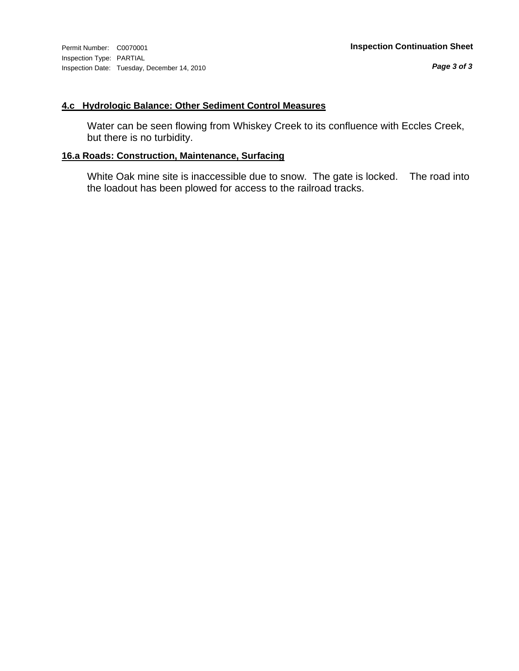Inspection Type: PARTIAL Inspection Date: Tuesday, December 14, 2010

## **4.c Hydrologic Balance: Other Sediment Control Measures**

Water can be seen flowing from Whiskey Creek to its confluence with Eccles Creek, but there is no turbidity.

## **16.a Roads: Construction, Maintenance, Surfacing**

White Oak mine site is inaccessible due to snow. The gate is locked. The road into the loadout has been plowed for access to the railroad tracks.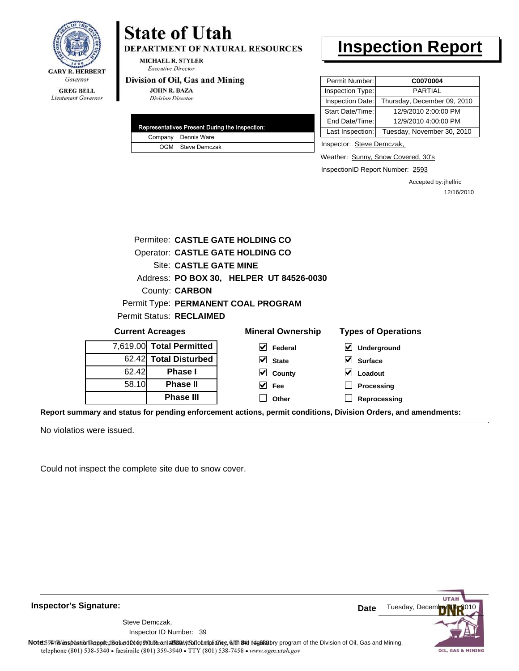

# **State of Utah**

DEPARTMENT OF NATURAL RESOURCES

MICHAEL R. STYLER **Executive Director** 

#### Division of Oil, Gas and Mining

**JOHN R. BAZA Division Director** 

|  | Representatives Present During the Inspection: |
|--|------------------------------------------------|
|  | Company Dennis Ware                            |
|  | OGM Steve Demczak                              |

# **Inspection Report**

| Permit Number:   | C0070004                    |
|------------------|-----------------------------|
| Inspection Type: | <b>PARTIAL</b>              |
| Inspection Date: | Thursday, December 09, 2010 |
| Start Date/Time: | 12/9/2010 2:00:00 PM        |
| End Date/Time:   | 12/9/2010 4:00:00 PM        |
| Last Inspection: | Tuesday, November 30, 2010  |

Inspector: Steve Demczak,

Weather: Sunny, Snow Covered, 30's

InspectionID Report Number: 2593

Accepted by: jhelfric 12/16/2010

| Permitee: CASTLE GATE HOLDING CO |                                                                                   |                                          |                                            |  |  |  |
|----------------------------------|-----------------------------------------------------------------------------------|------------------------------------------|--------------------------------------------|--|--|--|
| Operator: CASTLE GATE HOLDING CO |                                                                                   |                                          |                                            |  |  |  |
|                                  | Site: CASTLE GATE MINE                                                            |                                          |                                            |  |  |  |
|                                  |                                                                                   | Address: PO BOX 30, HELPER UT 84526-0030 |                                            |  |  |  |
|                                  | <b>County: CARBON</b>                                                             |                                          |                                            |  |  |  |
|                                  |                                                                                   | Permit Type: PERMANENT COAL PROGRAM      |                                            |  |  |  |
|                                  | Permit Status: RECLAIMED                                                          |                                          |                                            |  |  |  |
|                                  | <b>Types of Operations</b><br><b>Mineral Ownership</b><br><b>Current Acreages</b> |                                          |                                            |  |  |  |
|                                  | 7,619.00 Total Permitted                                                          | $ v $ Federal                            | $\vert\bm{\mathsf{v}}\vert$<br>Underground |  |  |  |
|                                  | 62.42 Total Disturbed                                                             | $\vert \mathbf{v} \vert$ State           | $\vee$ Surface                             |  |  |  |
| 62.42                            | Phase I                                                                           | $\vee$ County                            | M<br>Loadout                               |  |  |  |
| 58.10                            | <b>Phase II</b>                                                                   | <b>Fee</b>                               | Processing                                 |  |  |  |
|                                  |                                                                                   |                                          |                                            |  |  |  |

**Report summary and status for pending enforcement actions, permit conditions, Division Orders, and amendments:**

No violatios were issued.

Could not inspect the complete site due to snow cover.

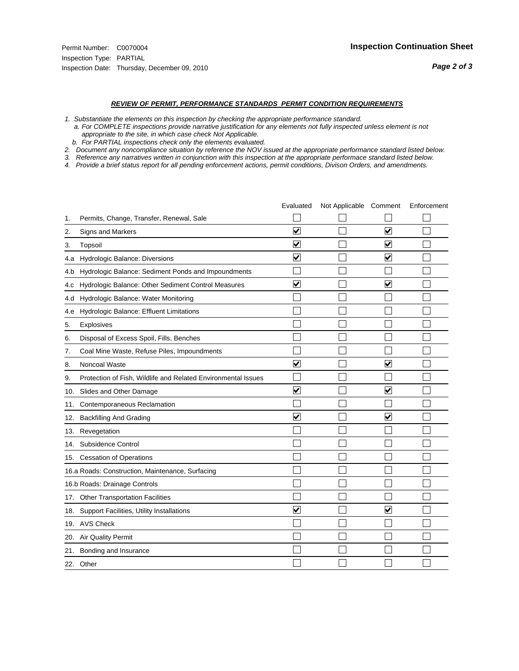- *1. Substantiate the elements on this inspection by checking the appropriate performance standard.*
- *a. For COMPLETE inspections provide narrative justification for any elements not fully inspected unless element is not appropriate to the site, in which case check Not Applicable.*
- *b. For PARTIAL inspections check only the elements evaluated.*
- *2. Document any noncompliance situation by reference the NOV issued at the appropriate performance standard listed below.*
- *3. Reference any narratives written in conjunction with this inspection at the appropriate performace standard listed below.*
- *4. Provide a brief status report for all pending enforcement actions, permit conditions, Divison Orders, and amendments.*

|     |                                                               | Evaluated               | Not Applicable Comment |                         | Enforcement |
|-----|---------------------------------------------------------------|-------------------------|------------------------|-------------------------|-------------|
| 1.  | Permits, Change, Transfer, Renewal, Sale                      |                         |                        |                         |             |
| 2.  | <b>Signs and Markers</b>                                      | $\overline{\mathbf{v}}$ |                        | $\overline{\mathbf{v}}$ |             |
| 3.  | Topsoil                                                       | $\overline{\mathbf{v}}$ |                        | $\overline{\mathbf{v}}$ |             |
| 4.a | Hydrologic Balance: Diversions                                | ⊽                       |                        | $\blacktriangledown$    |             |
| 4.b | Hydrologic Balance: Sediment Ponds and Impoundments           |                         |                        |                         |             |
| 4.C | Hydrologic Balance: Other Sediment Control Measures           | $\overline{\mathbf{v}}$ |                        | $\blacktriangledown$    |             |
| 4.d | Hydrologic Balance: Water Monitoring                          |                         |                        |                         |             |
| 4.e | Hydrologic Balance: Effluent Limitations                      |                         |                        |                         |             |
| 5.  | <b>Explosives</b>                                             |                         |                        |                         |             |
| 6.  | Disposal of Excess Spoil, Fills, Benches                      |                         |                        |                         |             |
| 7.  | Coal Mine Waste, Refuse Piles, Impoundments                   |                         |                        |                         |             |
| 8.  | Noncoal Waste                                                 | $\overline{\mathbf{v}}$ |                        | ☑                       |             |
| 9.  | Protection of Fish, Wildlife and Related Environmental Issues |                         |                        |                         |             |
| 10. | Slides and Other Damage                                       | ⊽                       |                        | ⊽                       |             |
| 11. | Contemporaneous Reclamation                                   |                         |                        |                         |             |
| 12. | <b>Backfilling And Grading</b>                                | $\overline{\mathbf{v}}$ |                        | $\blacktriangledown$    |             |
| 13. | Revegetation                                                  |                         |                        |                         |             |
| 14. | Subsidence Control                                            |                         |                        |                         |             |
|     | 15. Cessation of Operations                                   |                         |                        |                         |             |
|     | 16.a Roads: Construction, Maintenance, Surfacing              |                         |                        |                         |             |
|     | 16.b Roads: Drainage Controls                                 |                         |                        |                         |             |
|     | 17. Other Transportation Facilities                           |                         |                        |                         |             |
| 18. | Support Facilities, Utility Installations                     | $\overline{\mathsf{v}}$ |                        | $\overline{\mathbf{v}}$ |             |
|     | 19. AVS Check                                                 |                         |                        |                         |             |
| 20. | Air Quality Permit                                            |                         |                        |                         |             |
|     | 21. Bonding and Insurance                                     |                         |                        |                         |             |
|     | 22. Other                                                     |                         |                        |                         |             |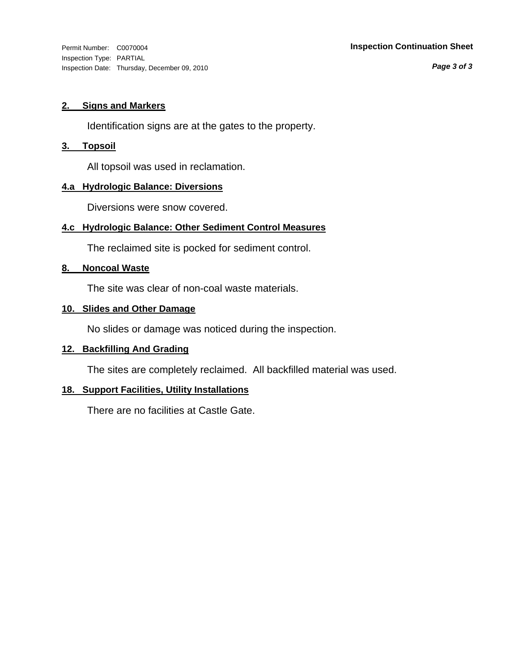*Page 3 of 3*

### **2. Signs and Markers**

Identification signs are at the gates to the property.

### **3. Topsoil**

All topsoil was used in reclamation.

### **4.a Hydrologic Balance: Diversions**

Diversions were snow covered.

## **4.c Hydrologic Balance: Other Sediment Control Measures**

The reclaimed site is pocked for sediment control.

### **8. Noncoal Waste**

The site was clear of non-coal waste materials.

### **10. Slides and Other Damage**

No slides or damage was noticed during the inspection.

### **12. Backfilling And Grading**

The sites are completely reclaimed. All backfilled material was used.

### **18. Support Facilities, Utility Installations**

There are no facilities at Castle Gate.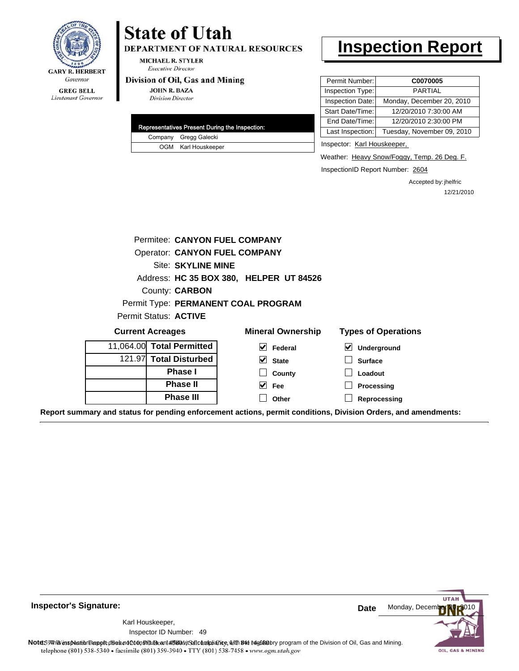

# **State of Utah**

DEPARTMENT OF NATURAL RESOURCES

**MICHAEL R. STYLER Executive Director** 

#### Division of Oil, Gas and Mining

**JOHN R. BAZA Division Director** 

|  | Representatives Present During the Inspection: |
|--|------------------------------------------------|
|  | Company Gregg Galecki                          |
|  | OGM Karl Houskeeper                            |

# **Inspection Report**

| Permit Number:   | C0070005                   |
|------------------|----------------------------|
| Inspection Type: | <b>PARTIAL</b>             |
| Inspection Date: | Monday, December 20, 2010  |
| Start Date/Time: | 12/20/2010 7:30:00 AM      |
| End Date/Time:   | 12/20/2010 2:30:00 PM      |
| Last Inspection: | Tuesday, November 09, 2010 |

Inspector: Karl Houskeeper,

Weather: Heavy Snow/Foggy, Temp. 26 Deg. F.

InspectionID Report Number: 2604

Accepted by: jhelfric 12/21/2010

|                                                                                                                | Permitee: CANYON FUEL COMPANY        |                                         |                            |
|----------------------------------------------------------------------------------------------------------------|--------------------------------------|-----------------------------------------|----------------------------|
|                                                                                                                | <b>Operator: CANYON FUEL COMPANY</b> |                                         |                            |
|                                                                                                                | Site: SKYLINE MINE                   |                                         |                            |
|                                                                                                                |                                      | Address: HC 35 BOX 380, HELPER UT 84526 |                            |
|                                                                                                                | County: <b>CARBON</b>                |                                         |                            |
|                                                                                                                |                                      | Permit Type: PERMANENT COAL PROGRAM     |                            |
| Permit Status: ACTIVE                                                                                          |                                      |                                         |                            |
| <b>Current Acreages</b>                                                                                        |                                      | <b>Mineral Ownership</b>                | <b>Types of Operations</b> |
| 11,064.00 Total Permitted                                                                                      |                                      | $\blacktriangledown$<br>Federal         | ⊻<br>Underground           |
| 121.97 Total Disturbed                                                                                         |                                      | $\triangleright$ State                  | <b>Surface</b>             |
|                                                                                                                | <b>Phase I</b>                       | County                                  | Loadout                    |
|                                                                                                                | <b>Phase II</b>                      | $\overline{\smash{\vee}}$ Fee           | Processing                 |
|                                                                                                                | <b>Phase III</b>                     | Other                                   | Reprocessing               |
| Report summary and status for pending enforcement actions, permit conditions, Division Orders, and amendments: |                                      |                                         |                            |

**Inspector's Signature:**

49 Inspector ID Number:Karl Houskeeper,



Note59#htviespection lepptt does not constitute an affidavitSal compliance, with the regulatory program of the Division of Oil, Gas and Mining. telephone (801) 538-5340 · facsimile (801) 359-3940 · TTY (801) 538-7458 · www.ogm.utah.gov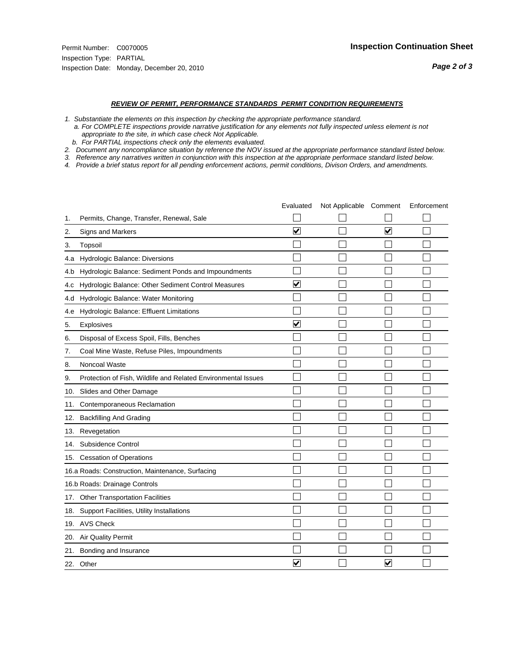- *1. Substantiate the elements on this inspection by checking the appropriate performance standard.*
- *a. For COMPLETE inspections provide narrative justification for any elements not fully inspected unless element is not appropriate to the site, in which case check Not Applicable.*
- *b. For PARTIAL inspections check only the elements evaluated.*
- *2. Document any noncompliance situation by reference the NOV issued at the appropriate performance standard listed below.*
- *3. Reference any narratives written in conjunction with this inspection at the appropriate performace standard listed below.*
- *4. Provide a brief status report for all pending enforcement actions, permit conditions, Divison Orders, and amendments.*

|     |                                                               | Evaluated                       | Not Applicable Comment |                         | Enforcement |
|-----|---------------------------------------------------------------|---------------------------------|------------------------|-------------------------|-------------|
| 1.  | Permits, Change, Transfer, Renewal, Sale                      |                                 |                        |                         |             |
| 2.  | Signs and Markers                                             | $\overline{\mathbf{v}}$         |                        | ☑                       |             |
| 3.  | Topsoil                                                       |                                 |                        |                         |             |
| 4.a | Hydrologic Balance: Diversions                                |                                 |                        |                         |             |
| 4.b | Hydrologic Balance: Sediment Ponds and Impoundments           |                                 |                        |                         |             |
| 4.c | Hydrologic Balance: Other Sediment Control Measures           | $\overline{\blacktriangledown}$ |                        |                         |             |
| 4.d | Hydrologic Balance: Water Monitoring                          |                                 |                        |                         |             |
| 4.e | Hydrologic Balance: Effluent Limitations                      |                                 |                        |                         |             |
| 5.  | <b>Explosives</b>                                             | $\overline{\mathbf{v}}$         |                        |                         |             |
| 6.  | Disposal of Excess Spoil, Fills, Benches                      |                                 |                        |                         |             |
| 7.  | Coal Mine Waste, Refuse Piles, Impoundments                   |                                 |                        |                         |             |
| 8.  | Noncoal Waste                                                 |                                 |                        |                         |             |
| 9.  | Protection of Fish, Wildlife and Related Environmental Issues |                                 |                        |                         |             |
| 10. | Slides and Other Damage                                       |                                 |                        |                         |             |
| 11. | Contemporaneous Reclamation                                   |                                 |                        |                         |             |
| 12. | <b>Backfilling And Grading</b>                                |                                 |                        |                         |             |
| 13. | Revegetation                                                  |                                 |                        |                         |             |
| 14. | Subsidence Control                                            |                                 |                        |                         |             |
|     | 15. Cessation of Operations                                   |                                 |                        |                         |             |
|     | 16.a Roads: Construction, Maintenance, Surfacing              |                                 |                        |                         |             |
|     | 16.b Roads: Drainage Controls                                 |                                 |                        |                         |             |
| 17. | <b>Other Transportation Facilities</b>                        |                                 |                        |                         |             |
| 18. | Support Facilities, Utility Installations                     |                                 |                        |                         |             |
|     | 19. AVS Check                                                 |                                 |                        |                         |             |
| 20. | Air Quality Permit                                            |                                 |                        |                         |             |
| 21. | Bonding and Insurance                                         |                                 |                        |                         |             |
|     | 22. Other                                                     | ⊽                               |                        | $\overline{\mathbf{v}}$ |             |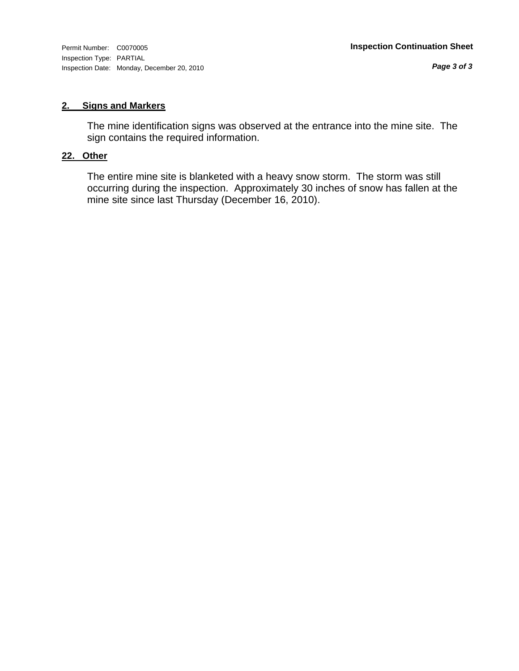#### **2. Signs and Markers**

The mine identification signs was observed at the entrance into the mine site. The sign contains the required information.

### **22. Other**

The entire mine site is blanketed with a heavy snow storm. The storm was still occurring during the inspection. Approximately 30 inches of snow has fallen at the mine site since last Thursday (December 16, 2010).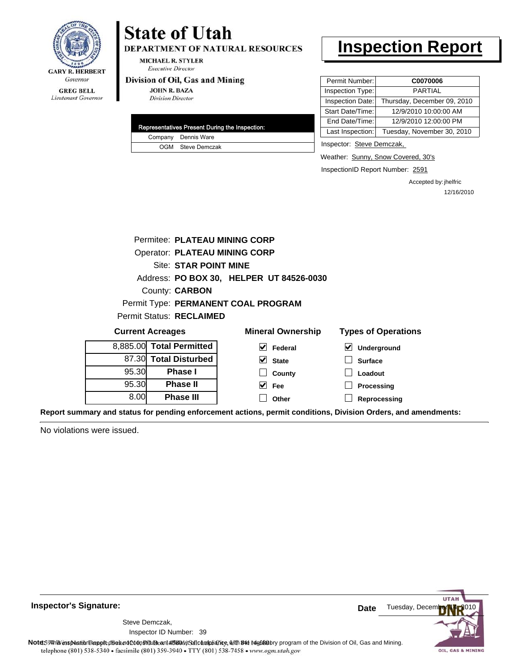

# **State of Utah**

DEPARTMENT OF NATURAL RESOURCES

**MICHAEL R. STYLER Executive Director** 

#### Division of Oil, Gas and Mining

**JOHN R. BAZA Division Director** 

|  | Representatives Present During the Inspection: |
|--|------------------------------------------------|
|  | Company Dennis Ware                            |
|  | OGM Steve Demczak                              |

# **Inspection Report**

| Permit Number:   | C0070006                    |
|------------------|-----------------------------|
| Inspection Type: | <b>PARTIAL</b>              |
| Inspection Date: | Thursday, December 09, 2010 |
| Start Date/Time: | 12/9/2010 10:00:00 AM       |
| End Date/Time:   | 12/9/2010 12:00:00 PM       |
| Last Inspection: | Tuesday, November 30, 2010  |

Inspector: Steve Demczak,

Weather: Sunny, Snow Covered, 30's

InspectionID Report Number: 2591

Accepted by: jhelfric 12/16/2010

|                          |       | Permitee: PLATEAU MINING CORP        |                                          |                                                                                                                |
|--------------------------|-------|--------------------------------------|------------------------------------------|----------------------------------------------------------------------------------------------------------------|
|                          |       | <b>Operator: PLATEAU MINING CORP</b> |                                          |                                                                                                                |
|                          |       | <b>Site: STAR POINT MINE</b>         |                                          |                                                                                                                |
|                          |       |                                      | Address: PO BOX 30, HELPER UT 84526-0030 |                                                                                                                |
|                          |       | County: <b>CARBON</b>                |                                          |                                                                                                                |
|                          |       |                                      | Permit Type: PERMANENT COAL PROGRAM      |                                                                                                                |
|                          |       | Permit Status: RECLAIMED             |                                          |                                                                                                                |
|                          |       | <b>Current Acreages</b>              | <b>Mineral Ownership</b>                 | <b>Types of Operations</b>                                                                                     |
|                          |       | 8,885.00 Total Permitted             | V<br>Federal                             | M<br><b>Underground</b>                                                                                        |
|                          |       | 87.30 Total Disturbed                | $\vee$ State                             | <b>Surface</b>                                                                                                 |
|                          | 95.30 | <b>Phase I</b>                       | County                                   | Loadout                                                                                                        |
| 95.30<br><b>Phase II</b> |       |                                      | $\vee$ Fee                               | Processing                                                                                                     |
|                          | 8.00  | <b>Phase III</b>                     | Other                                    | Reprocessing                                                                                                   |
|                          |       |                                      |                                          | Report summary and status for pending enforcement actions, permit conditions, Division Orders, and amendments: |

No violations were issued.



**Inspector's Signature:**

Inspector ID Number: 39 Steve Demczak,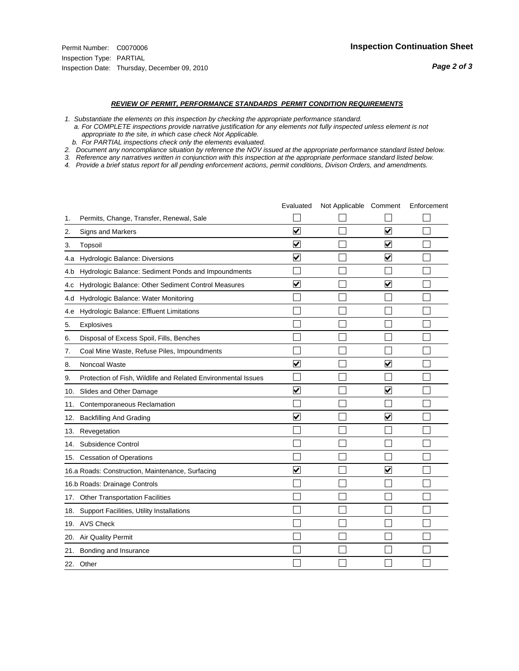- *1. Substantiate the elements on this inspection by checking the appropriate performance standard.*
- *a. For COMPLETE inspections provide narrative justification for any elements not fully inspected unless element is not appropriate to the site, in which case check Not Applicable.*
- *b. For PARTIAL inspections check only the elements evaluated.*
- *2. Document any noncompliance situation by reference the NOV issued at the appropriate performance standard listed below.*
- *3. Reference any narratives written in conjunction with this inspection at the appropriate performace standard listed below.*
- *4. Provide a brief status report for all pending enforcement actions, permit conditions, Divison Orders, and amendments.*

|     |                                                               | Evaluated               | Not Applicable Comment |                         | Enforcement |
|-----|---------------------------------------------------------------|-------------------------|------------------------|-------------------------|-------------|
| 1.  | Permits, Change, Transfer, Renewal, Sale                      |                         |                        |                         |             |
| 2.  | <b>Signs and Markers</b>                                      | $\overline{\mathbf{v}}$ |                        | $\blacktriangledown$    |             |
| 3.  | Topsoil                                                       | $\overline{\mathbf{v}}$ |                        | $\overline{\mathsf{v}}$ |             |
| 4.a | Hydrologic Balance: Diversions                                | $\overline{\mathsf{v}}$ |                        | $\blacktriangledown$    |             |
| 4.b | Hydrologic Balance: Sediment Ponds and Impoundments           |                         |                        |                         |             |
| 4.c | Hydrologic Balance: Other Sediment Control Measures           | $\overline{\mathbf{v}}$ |                        | $\overline{\mathbf{v}}$ |             |
| 4.d | Hydrologic Balance: Water Monitoring                          |                         |                        |                         |             |
| 4.e | Hydrologic Balance: Effluent Limitations                      |                         |                        |                         |             |
| 5.  | <b>Explosives</b>                                             |                         |                        |                         |             |
| 6.  | Disposal of Excess Spoil, Fills, Benches                      |                         |                        |                         |             |
| 7.  | Coal Mine Waste, Refuse Piles, Impoundments                   |                         |                        |                         |             |
| 8.  | Noncoal Waste                                                 | $\overline{\mathsf{v}}$ |                        | $\overline{\mathbf{v}}$ |             |
| 9.  | Protection of Fish, Wildlife and Related Environmental Issues |                         |                        |                         |             |
|     | 10. Slides and Other Damage                                   | ⊽                       |                        | ☑                       |             |
| 11. | Contemporaneous Reclamation                                   |                         |                        |                         |             |
| 12. | <b>Backfilling And Grading</b>                                | $\overline{\mathsf{v}}$ |                        | $\blacktriangledown$    |             |
| 13. | Revegetation                                                  |                         |                        |                         |             |
| 14. | Subsidence Control                                            |                         |                        |                         |             |
|     | 15. Cessation of Operations                                   |                         |                        |                         |             |
|     | 16.a Roads: Construction, Maintenance, Surfacing              | ⊽                       |                        | $\blacktriangledown$    |             |
|     | 16.b Roads: Drainage Controls                                 |                         |                        |                         |             |
| 17. | <b>Other Transportation Facilities</b>                        |                         |                        |                         |             |
| 18. | Support Facilities, Utility Installations                     |                         |                        |                         |             |
|     | 19. AVS Check                                                 |                         |                        |                         |             |
| 20. | Air Quality Permit                                            |                         |                        |                         |             |
| 21. | Bonding and Insurance                                         |                         |                        |                         |             |
|     | 22. Other                                                     |                         |                        |                         |             |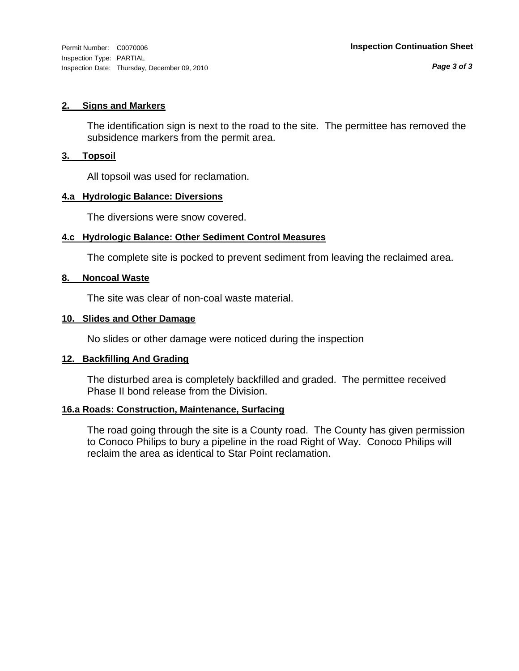#### **2. Signs and Markers**

The identification sign is next to the road to the site. The permittee has removed the subsidence markers from the permit area.

#### **3. Topsoil**

All topsoil was used for reclamation.

#### **4.a Hydrologic Balance: Diversions**

The diversions were snow covered.

### **4.c Hydrologic Balance: Other Sediment Control Measures**

The complete site is pocked to prevent sediment from leaving the reclaimed area.

### **8. Noncoal Waste**

The site was clear of non-coal waste material.

#### **10. Slides and Other Damage**

No slides or other damage were noticed during the inspection

### **12. Backfilling And Grading**

The disturbed area is completely backfilled and graded. The permittee received Phase II bond release from the Division.

### **16.a Roads: Construction, Maintenance, Surfacing**

The road going through the site is a County road. The County has given permission to Conoco Philips to bury a pipeline in the road Right of Way. Conoco Philips will reclaim the area as identical to Star Point reclamation.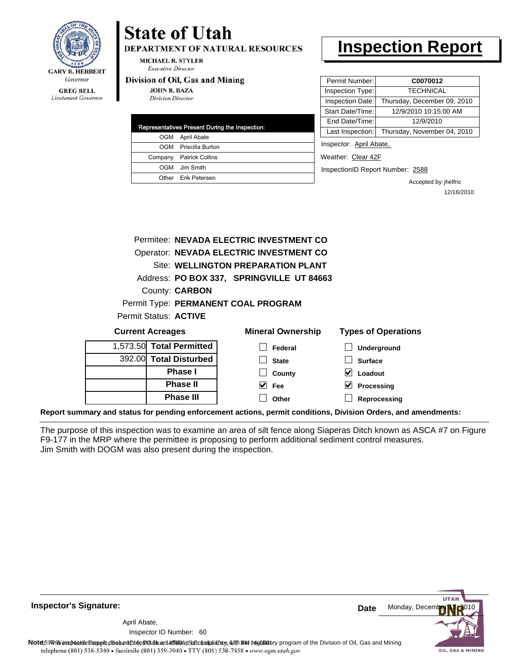

Lieutenant Governor

# **State of Utah**

**DEPARTMENT OF NATURAL RESOURCES** 

**MICHAEL R. STYLER Executive Director** 

#### Division of Oil, Gas and Mining

**JOHN R. BAZA Division Director** 

| Representatives Present During the Inspection: |                         |  |  |
|------------------------------------------------|-------------------------|--|--|
| OGM                                            | April Abate             |  |  |
|                                                | OGM Priscilla Burton    |  |  |
|                                                | Company Patrick Collins |  |  |
| OGM                                            | Jim Smith               |  |  |
|                                                | Other Erik Petersen     |  |  |

# **Inspection Report**

| Permit Number:          | C0070012                    |  |
|-------------------------|-----------------------------|--|
| Inspection Type:        | <b>TECHNICAL</b>            |  |
| Inspection Date:        | Thursday, December 09, 2010 |  |
| Start Date/Time:        | 12/9/2010 10:15:00 AM       |  |
| End Date/Time:          | 12/9/2010                   |  |
| Last Inspection:        | Thursday, November 04, 2010 |  |
| Inspector: April Abate. |                             |  |

Weather: Clear 42F

InspectionID Report Number: 2588

Accepted by: jhelfric 12/16/2010

|                       | Permitee: NEVADA ELECTRIC INVESTMENT CO   |
|-----------------------|-------------------------------------------|
|                       | Operator: NEVADA ELECTRIC INVESTMENT CO   |
|                       | Site: WELLINGTON PREPARATION PLANT        |
|                       | Address: PO BOX 337, SPRINGVILLE UT 84663 |
|                       | County: <b>CARBON</b>                     |
|                       | Permit Type: PERMANENT COAL PROGRAM       |
| Permit Status: ACTIVE |                                           |
| Current Acreanes      | Mineral Ownershin                         |

| <b>Current Acreages</b>  | <b>Mineral Ownership</b> | <b>Types of Operations</b> |
|--------------------------|--------------------------|----------------------------|
| 1,573.50 Total Permitted | Federal                  | Underground                |
| 392.00 Total Disturbed   | <b>State</b>             | <b>Surface</b>             |
| <b>Phase I</b>           | County                   | Loadout                    |
| <b>Phase II</b>          | V<br>Fee                 | Processing                 |
| <b>Phase III</b>         | Other                    | Reprocessing               |
|                          |                          |                            |

**Report summary and status for pending enforcement actions, permit conditions, Division Orders, and amendments:**

The purpose of this inspection was to examine an area of silt fence along Siaperas Ditch known as ASCA #7 on Figure F9-177 in the MRP where the permittee is proposing to perform additional sediment control measures. Jim Smith with DOGM was also present during the inspection.

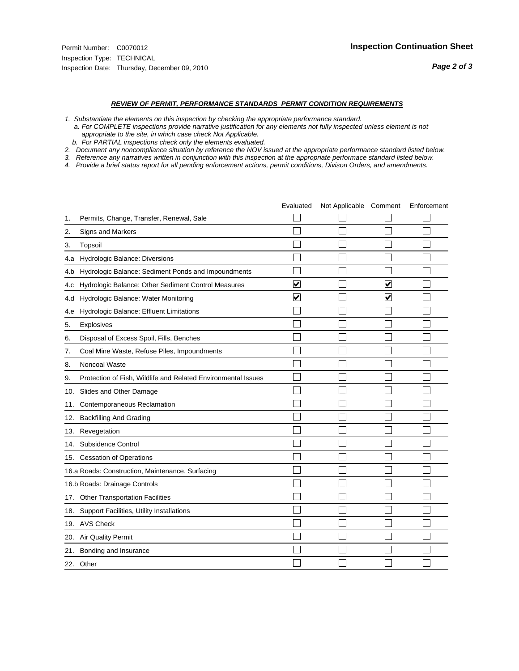- *1. Substantiate the elements on this inspection by checking the appropriate performance standard.*
- *a. For COMPLETE inspections provide narrative justification for any elements not fully inspected unless element is not appropriate to the site, in which case check Not Applicable.*
- *b. For PARTIAL inspections check only the elements evaluated.*
- *2. Document any noncompliance situation by reference the NOV issued at the appropriate performance standard listed below.*
- *3. Reference any narratives written in conjunction with this inspection at the appropriate performace standard listed below.*
- *4. Provide a brief status report for all pending enforcement actions, permit conditions, Divison Orders, and amendments.*

|     |                                                               | Evaluated               | Not Applicable Comment |                         | Enforcement |
|-----|---------------------------------------------------------------|-------------------------|------------------------|-------------------------|-------------|
| 1.  | Permits, Change, Transfer, Renewal, Sale                      |                         |                        |                         |             |
| 2.  | <b>Signs and Markers</b>                                      |                         |                        |                         |             |
| 3.  | Topsoil                                                       |                         |                        |                         |             |
| 4.a | Hydrologic Balance: Diversions                                |                         |                        |                         |             |
| 4.b | Hydrologic Balance: Sediment Ponds and Impoundments           |                         |                        |                         |             |
| 4.C | Hydrologic Balance: Other Sediment Control Measures           | $\overline{\mathbf{v}}$ |                        | $\overline{\mathbf{v}}$ |             |
| 4.d | Hydrologic Balance: Water Monitoring                          | $\overline{\mathbf{v}}$ |                        | $\blacktriangledown$    |             |
| 4.e | Hydrologic Balance: Effluent Limitations                      |                         |                        |                         |             |
| 5.  | <b>Explosives</b>                                             |                         |                        |                         |             |
| 6.  | Disposal of Excess Spoil, Fills, Benches                      |                         |                        |                         |             |
| 7.  | Coal Mine Waste, Refuse Piles, Impoundments                   |                         |                        |                         |             |
| 8.  | Noncoal Waste                                                 |                         |                        |                         |             |
| 9.  | Protection of Fish, Wildlife and Related Environmental Issues |                         |                        |                         |             |
| 10. | Slides and Other Damage                                       |                         |                        |                         |             |
| 11. | Contemporaneous Reclamation                                   |                         |                        |                         |             |
| 12. | <b>Backfilling And Grading</b>                                |                         |                        |                         |             |
| 13. | Revegetation                                                  |                         |                        |                         |             |
| 14. | Subsidence Control                                            |                         |                        |                         |             |
|     | 15. Cessation of Operations                                   |                         |                        |                         |             |
|     | 16.a Roads: Construction, Maintenance, Surfacing              |                         |                        |                         |             |
|     | 16.b Roads: Drainage Controls                                 |                         |                        |                         |             |
|     | 17. Other Transportation Facilities                           |                         |                        |                         |             |
| 18. | Support Facilities, Utility Installations                     |                         |                        |                         |             |
|     | 19. AVS Check                                                 |                         |                        |                         |             |
| 20. | Air Quality Permit                                            |                         |                        |                         |             |
|     | 21. Bonding and Insurance                                     |                         |                        |                         |             |
|     | 22. Other                                                     |                         |                        |                         |             |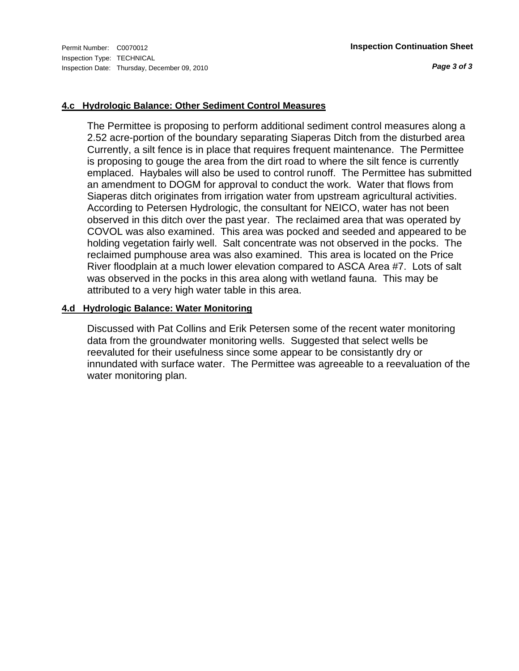*Page 3 of 3*

#### **4.c Hydrologic Balance: Other Sediment Control Measures**

The Permittee is proposing to perform additional sediment control measures along a 2.52 acre-portion of the boundary separating Siaperas Ditch from the disturbed area Currently, a silt fence is in place that requires frequent maintenance. The Permittee is proposing to gouge the area from the dirt road to where the silt fence is currently emplaced. Haybales will also be used to control runoff. The Permittee has submitted an amendment to DOGM for approval to conduct the work. Water that flows from Siaperas ditch originates from irrigation water from upstream agricultural activities. According to Petersen Hydrologic, the consultant for NEICO, water has not been observed in this ditch over the past year. The reclaimed area that was operated by COVOL was also examined. This area was pocked and seeded and appeared to be holding vegetation fairly well. Salt concentrate was not observed in the pocks. The reclaimed pumphouse area was also examined. This area is located on the Price River floodplain at a much lower elevation compared to ASCA Area #7. Lots of salt was observed in the pocks in this area along with wetland fauna. This may be attributed to a very high water table in this area.

#### **4.d Hydrologic Balance: Water Monitoring**

Discussed with Pat Collins and Erik Petersen some of the recent water monitoring data from the groundwater monitoring wells. Suggested that select wells be reevaluted for their usefulness since some appear to be consistantly dry or innundated with surface water. The Permittee was agreeable to a reevaluation of the water monitoring plan.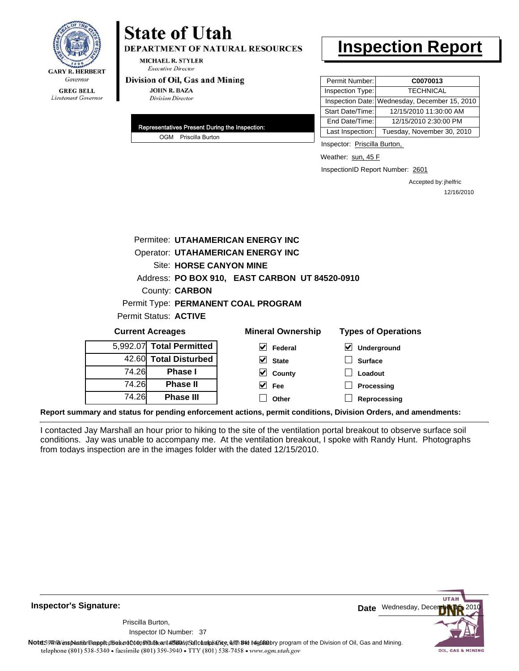

# **State of Utah DEPARTMENT OF NATURAL RESOURCES**

MICHAEL R. STYLER **Executive Director** 

#### Division of Oil, Gas and Mining

**JOHN R. BAZA Division Director** 

| Representatives Present During the Inspection: |
|------------------------------------------------|
| OGM Priscilla Burton                           |

# **Inspection Report**

| Permit Number:   | C0070013                                      |
|------------------|-----------------------------------------------|
| Inspection Type: | <b>TECHNICAL</b>                              |
|                  | Inspection Date: Wednesday, December 15, 2010 |
| Start Date/Time: | 12/15/2010 11:30:00 AM                        |
| End Date/Time:   | 12/15/2010 2:30:00 PM                         |
| Last Inspection: | Tuesday, November 30, 2010                    |

Inspector: Priscilla Burton,

Weather: sun, 45 F

InspectionID Report Number: 2601

Accepted by: jhelfric 12/16/2010

|          | Permitee: UTAHAMERICAN ENERGY INC        |                                                |                            |  |  |
|----------|------------------------------------------|------------------------------------------------|----------------------------|--|--|
|          | <b>Operator: UTAHAMERICAN ENERGY INC</b> |                                                |                            |  |  |
|          | Site: HORSE CANYON MINE                  |                                                |                            |  |  |
|          |                                          | Address: PO BOX 910, EAST CARBON UT 84520-0910 |                            |  |  |
|          | County: <b>CARBON</b>                    |                                                |                            |  |  |
|          |                                          | Permit Type: PERMANENT COAL PROGRAM            |                            |  |  |
|          | Permit Status: ACTIVE                    |                                                |                            |  |  |
|          | <b>Current Acreages</b>                  | <b>Mineral Ownership</b>                       | <b>Types of Operations</b> |  |  |
| 5,992.07 | <b>Total Permitted</b>                   | $\vee$ Federal                                 | ⊻<br>Underground           |  |  |
|          | 42.60 Total Disturbed                    | $\vee$ State                                   | <b>Surface</b>             |  |  |
| 74.26    | <b>Phase I</b>                           | $\vee$ County                                  | Loadout                    |  |  |
| 74.26    | <b>Phase II</b>                          | $ v $ Fee                                      | Processing                 |  |  |
|          |                                          |                                                |                            |  |  |
| 74.26    | <b>Phase III</b>                         | Other                                          | Reprocessing               |  |  |

**Report summary and status for pending enforcement actions, permit conditions, Division Orders, and amendments:**

I contacted Jay Marshall an hour prior to hiking to the site of the ventilation portal breakout to observe surface soil conditions. Jay was unable to accompany me. At the ventilation breakout, I spoke with Randy Hunt. Photographs from todays inspection are in the images folder with the dated 12/15/2010.



**Inspector's Signature:**

Inspector ID Number: 37 Priscilla Burton,

Note59#htviespection lepptt does not constitute an affidavitSal compliance, with the regulatory program of the Division of Oil, Gas and Mining. telephone (801) 538-5340 · facsimile (801) 359-3940 · TTY (801) 538-7458 · www.ogm.utah.gov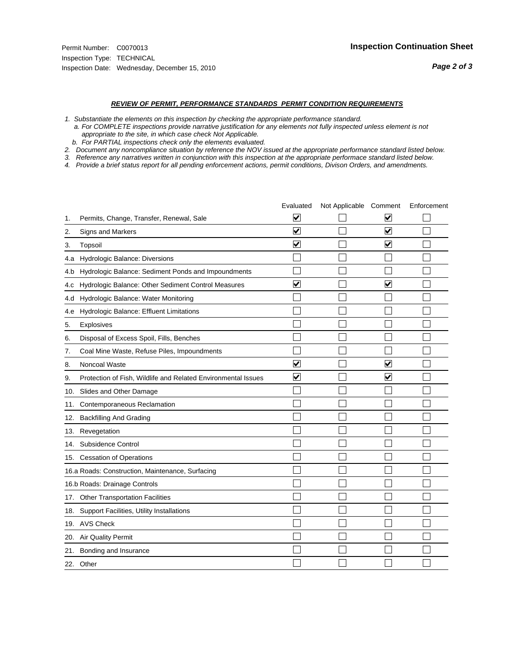#### *REVIEW OF PERMIT, PERFORMANCE STANDARDS PERMIT CONDITION REQUIREMENTS*

*1. Substantiate the elements on this inspection by checking the appropriate performance standard.*

 *a. For COMPLETE inspections provide narrative justification for any elements not fully inspected unless element is not appropriate to the site, in which case check Not Applicable.*

 *b. For PARTIAL inspections check only the elements evaluated.*

*2. Document any noncompliance situation by reference the NOV issued at the appropriate performance standard listed below.*

*3. Reference any narratives written in conjunction with this inspection at the appropriate performace standard listed below.*

*4. Provide a brief status report for all pending enforcement actions, permit conditions, Divison Orders, and amendments.*

|     |                                                               | Evaluated               | Not Applicable Comment |                         | Enforcement |
|-----|---------------------------------------------------------------|-------------------------|------------------------|-------------------------|-------------|
| 1.  | Permits, Change, Transfer, Renewal, Sale                      | $\overline{\mathbf{v}}$ |                        | V                       |             |
| 2.  | Signs and Markers                                             | $\overline{\mathbf{v}}$ |                        | $\blacktriangledown$    |             |
| 3.  | Topsoil                                                       | $\overline{\mathbf{v}}$ |                        | $\overline{\mathsf{v}}$ |             |
| 4.a | Hydrologic Balance: Diversions                                |                         |                        |                         |             |
| 4.b | Hydrologic Balance: Sediment Ponds and Impoundments           |                         |                        |                         |             |
| 4.c | Hydrologic Balance: Other Sediment Control Measures           | $\blacktriangledown$    |                        | $\blacktriangledown$    |             |
| 4.d | Hydrologic Balance: Water Monitoring                          |                         |                        |                         |             |
| 4.e | Hydrologic Balance: Effluent Limitations                      |                         |                        |                         |             |
| 5.  | Explosives                                                    |                         |                        |                         |             |
| 6.  | Disposal of Excess Spoil, Fills, Benches                      |                         |                        |                         |             |
| 7.  | Coal Mine Waste, Refuse Piles, Impoundments                   |                         |                        |                         |             |
| 8.  | Noncoal Waste                                                 | ⊽                       |                        | V                       |             |
| 9.  | Protection of Fish, Wildlife and Related Environmental Issues | $\blacktriangledown$    |                        | ☑                       |             |
|     | 10. Slides and Other Damage                                   |                         |                        |                         |             |
| 11. | Contemporaneous Reclamation                                   |                         |                        |                         |             |
| 12. | <b>Backfilling And Grading</b>                                |                         |                        |                         |             |
| 13. | Revegetation                                                  |                         |                        |                         |             |
| 14. | Subsidence Control                                            |                         |                        |                         |             |
|     | 15. Cessation of Operations                                   |                         |                        |                         |             |
|     | 16.a Roads: Construction, Maintenance, Surfacing              |                         |                        |                         |             |
|     | 16.b Roads: Drainage Controls                                 |                         |                        |                         |             |
| 17. | Other Transportation Facilities                               |                         |                        |                         |             |
| 18. | Support Facilities, Utility Installations                     |                         |                        |                         |             |
|     | 19. AVS Check                                                 |                         |                        |                         |             |
| 20. | <b>Air Quality Permit</b>                                     |                         |                        |                         |             |
| 21. | Bonding and Insurance                                         |                         |                        |                         |             |
|     | 22. Other                                                     |                         |                        |                         |             |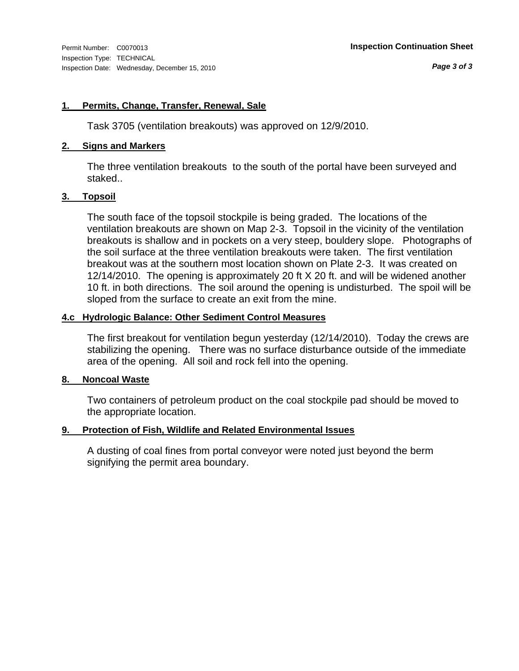#### **1. Permits, Change, Transfer, Renewal, Sale**

Task 3705 (ventilation breakouts) was approved on 12/9/2010.

#### **2. Signs and Markers**

The three ventilation breakouts to the south of the portal have been surveyed and staked..

#### **3. Topsoil**

The south face of the topsoil stockpile is being graded. The locations of the ventilation breakouts are shown on Map 2-3. Topsoil in the vicinity of the ventilation breakouts is shallow and in pockets on a very steep, bouldery slope. Photographs of the soil surface at the three ventilation breakouts were taken. The first ventilation breakout was at the southern most location shown on Plate 2-3. It was created on 12/14/2010. The opening is approximately 20 ft X 20 ft. and will be widened another 10 ft. in both directions. The soil around the opening is undisturbed. The spoil will be sloped from the surface to create an exit from the mine.

#### **4.c Hydrologic Balance: Other Sediment Control Measures**

The first breakout for ventilation begun yesterday (12/14/2010). Today the crews are stabilizing the opening. There was no surface disturbance outside of the immediate area of the opening. All soil and rock fell into the opening.

## **8. Noncoal Waste**

Two containers of petroleum product on the coal stockpile pad should be moved to the appropriate location.

### **9. Protection of Fish, Wildlife and Related Environmental Issues**

A dusting of coal fines from portal conveyor were noted just beyond the berm signifying the permit area boundary.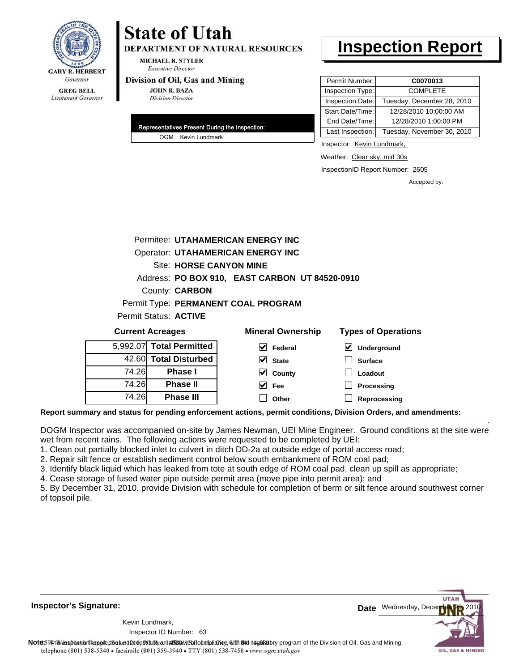

# **State of Utah DEPARTMENT OF NATURAL RESOURCES**

MICHAEL R. STYLER **Executive Director** 

#### Division of Oil, Gas and Mining

**JOHN R. BAZA Division Director** 

| Representatives Present During the Inspection: |
|------------------------------------------------|
| OGM Kevin Lundmark                             |

# **Inspection Report**

| Permit Number:   | C0070013                   |
|------------------|----------------------------|
| Inspection Type: | <b>COMPLETE</b>            |
| Inspection Date: | Tuesday, December 28, 2010 |
| Start Date/Time: | 12/28/2010 10:00:00 AM     |
| End Date/Time:   | 12/28/2010 1:00:00 PM      |
| Last Inspection: | Tuesday, November 30, 2010 |

Inspector: Kevin Lundmark,

Weather: Clear sky, mid 30s

InspectionID Report Number: 2605

**Reprocessing**

Accepted by:

|          |                                          | Permitee: UTAHAMERICAN ENERGY INC              |                            |  |  |  |
|----------|------------------------------------------|------------------------------------------------|----------------------------|--|--|--|
|          | <b>Operator: UTAHAMERICAN ENERGY INC</b> |                                                |                            |  |  |  |
|          | <b>Site: HORSE CANYON MINE</b>           |                                                |                            |  |  |  |
|          |                                          | Address: PO BOX 910, EAST CARBON UT 84520-0910 |                            |  |  |  |
|          | County: <b>CARBON</b>                    |                                                |                            |  |  |  |
|          |                                          | Permit Type: PERMANENT COAL PROGRAM            |                            |  |  |  |
|          | Permit Status: ACTIVE                    |                                                |                            |  |  |  |
|          | <b>Current Acreages</b>                  | <b>Mineral Ownership</b>                       | <b>Types of Operations</b> |  |  |  |
| 5.992.07 | <b>Total Permitted</b>                   | M<br>Federal                                   | ∨∣<br><b>Underground</b>   |  |  |  |
|          | 42.60 Total Disturbed                    | M<br><b>State</b>                              | <b>Surface</b>             |  |  |  |
| 74.26    | <b>Phase I</b>                           | County<br>M                                    | Loadout                    |  |  |  |
| 74.26    | <b>Phase II</b>                          | Fee                                            | Processing                 |  |  |  |

**Report summary and status for pending enforcement actions, permit conditions, Division Orders, and amendments:**

DOGM Inspector was accompanied on-site by James Newman, UEI Mine Engineer. Ground conditions at the site were wet from recent rains. The following actions were requested to be completed by UEI:

**Other**

1. Clean out partially blocked inlet to culvert in ditch DD-2a at outside edge of portal access road;

2. Repair silt fence or establish sediment control below south embankment of ROM coal pad;

**Phase III**

3. Identify black liquid which has leaked from tote at south edge of ROM coal pad, clean up spill as appropriate;

4. Cease storage of fused water pipe outside permit area (move pipe into permit area); and

5. By December 31, 2010, provide Division with schedule for completion of berm or silt fence around southwest corner of topsoil pile.



63 Inspector ID Number:Kevin Lundmark,

74.26



Note: 59 minis inspection report does not depth does not depth does not complete and the depth one (801) 538-5340<br>telephone (801) 538-5340 • facsimile (801) 539-3940 • TTY (801) 538-7458 • www.ogm.utah.gov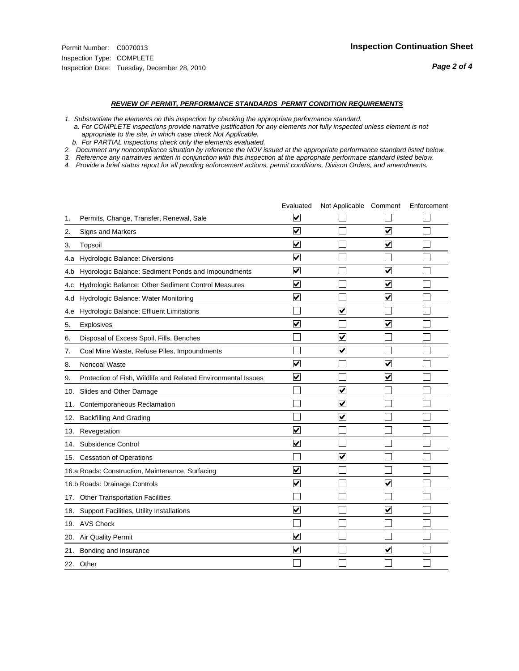#### *REVIEW OF PERMIT, PERFORMANCE STANDARDS PERMIT CONDITION REQUIREMENTS*

*1. Substantiate the elements on this inspection by checking the appropriate performance standard.*

 *a. For COMPLETE inspections provide narrative justification for any elements not fully inspected unless element is not appropriate to the site, in which case check Not Applicable.*

 *b. For PARTIAL inspections check only the elements evaluated.*

*2. Document any noncompliance situation by reference the NOV issued at the appropriate performance standard listed below.*

*3. Reference any narratives written in conjunction with this inspection at the appropriate performace standard listed below.*

*4. Provide a brief status report for all pending enforcement actions, permit conditions, Divison Orders, and amendments.*

|     |                                                               | Evaluated                       | Not Applicable Comment          |                         | Enforcement |
|-----|---------------------------------------------------------------|---------------------------------|---------------------------------|-------------------------|-------------|
| 1.  | Permits, Change, Transfer, Renewal, Sale                      | ⊻                               |                                 |                         |             |
| 2.  | Signs and Markers                                             | $\overline{\mathbf{v}}$         |                                 | $\blacktriangledown$    |             |
| 3.  | Topsoil                                                       | $\overline{\mathbf{v}}$         |                                 | $\overline{\mathbf{v}}$ |             |
| 4.a | Hydrologic Balance: Diversions                                | $\overline{\mathbf{v}}$         |                                 |                         |             |
| 4.b | Hydrologic Balance: Sediment Ponds and Impoundments           | $\overline{\mathbf{v}}$         |                                 | $\blacktriangledown$    |             |
| 4.c | Hydrologic Balance: Other Sediment Control Measures           | $\overline{\mathbf{v}}$         |                                 | $\blacktriangledown$    |             |
| 4.d | Hydrologic Balance: Water Monitoring                          | $\overline{\mathbf{v}}$         |                                 | $\overline{\mathbf{v}}$ |             |
| 4.e | Hydrologic Balance: Effluent Limitations                      |                                 | $\blacktriangledown$            |                         |             |
| 5.  | <b>Explosives</b>                                             | $\overline{\mathsf{v}}$         |                                 | $\overline{\mathbf{v}}$ |             |
| 6.  | Disposal of Excess Spoil, Fills, Benches                      |                                 | $\blacktriangledown$            |                         |             |
| 7.  | Coal Mine Waste, Refuse Piles, Impoundments                   |                                 | $\overline{\mathsf{v}}$         |                         |             |
| 8.  | Noncoal Waste                                                 | ⊽                               |                                 | $\blacktriangledown$    |             |
| 9.  | Protection of Fish, Wildlife and Related Environmental Issues | $\blacktriangledown$            |                                 | ☑                       |             |
| 10. | Slides and Other Damage                                       |                                 | $\overline{\blacktriangledown}$ |                         |             |
| 11. | Contemporaneous Reclamation                                   |                                 | $\blacktriangledown$            |                         |             |
| 12. | <b>Backfilling And Grading</b>                                |                                 | $\overline{\mathbf{v}}$         |                         |             |
| 13. | Revegetation                                                  | $\overline{\blacktriangledown}$ |                                 |                         |             |
| 14. | Subsidence Control                                            | $\overline{\mathbf{v}}$         |                                 |                         |             |
|     | 15. Cessation of Operations                                   |                                 | $\overline{\mathbf{v}}$         |                         |             |
|     | 16.a Roads: Construction, Maintenance, Surfacing              | $\overline{\mathsf{v}}$         |                                 |                         |             |
|     | 16.b Roads: Drainage Controls                                 | $\overline{\mathbf{v}}$         |                                 | $\blacktriangledown$    |             |
|     | 17. Other Transportation Facilities                           |                                 |                                 |                         |             |
| 18. | Support Facilities, Utility Installations                     | $\overline{\mathbf{v}}$         |                                 | $\overline{\mathbf{v}}$ |             |
|     | 19. AVS Check                                                 |                                 |                                 |                         |             |
|     | 20. Air Quality Permit                                        | $\blacktriangledown$            |                                 |                         |             |
| 21. | Bonding and Insurance                                         | $\overline{\mathbf{v}}$         |                                 | $\blacktriangledown$    |             |
|     | 22. Other                                                     |                                 |                                 |                         |             |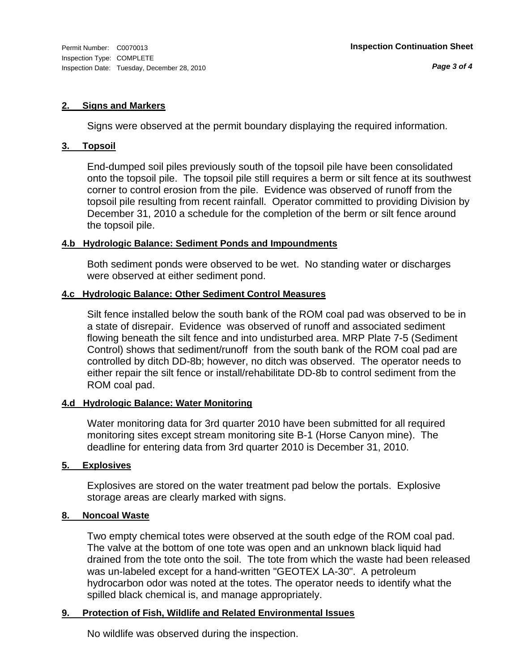#### **2. Signs and Markers**

Signs were observed at the permit boundary displaying the required information.

#### **3. Topsoil**

End-dumped soil piles previously south of the topsoil pile have been consolidated onto the topsoil pile. The topsoil pile still requires a berm or silt fence at its southwest corner to control erosion from the pile. Evidence was observed of runoff from the topsoil pile resulting from recent rainfall. Operator committed to providing Division by December 31, 2010 a schedule for the completion of the berm or silt fence around the topsoil pile.

### **4.b Hydrologic Balance: Sediment Ponds and Impoundments**

Both sediment ponds were observed to be wet. No standing water or discharges were observed at either sediment pond.

### **4.c Hydrologic Balance: Other Sediment Control Measures**

Silt fence installed below the south bank of the ROM coal pad was observed to be in a state of disrepair. Evidence was observed of runoff and associated sediment flowing beneath the silt fence and into undisturbed area. MRP Plate 7-5 (Sediment Control) shows that sediment/runoff from the south bank of the ROM coal pad are controlled by ditch DD-8b; however, no ditch was observed. The operator needs to either repair the silt fence or install/rehabilitate DD-8b to control sediment from the ROM coal pad.

### **4.d Hydrologic Balance: Water Monitoring**

Water monitoring data for 3rd quarter 2010 have been submitted for all required monitoring sites except stream monitoring site B-1 (Horse Canyon mine). The deadline for entering data from 3rd quarter 2010 is December 31, 2010.

### **5. Explosives**

Explosives are stored on the water treatment pad below the portals. Explosive storage areas are clearly marked with signs.

### **8. Noncoal Waste**

Two empty chemical totes were observed at the south edge of the ROM coal pad. The valve at the bottom of one tote was open and an unknown black liquid had drained from the tote onto the soil. The tote from which the waste had been released was un-labeled except for a hand-written "GEOTEX LA-30". A petroleum hydrocarbon odor was noted at the totes. The operator needs to identify what the spilled black chemical is, and manage appropriately.

### **9. Protection of Fish, Wildlife and Related Environmental Issues**

No wildlife was observed during the inspection.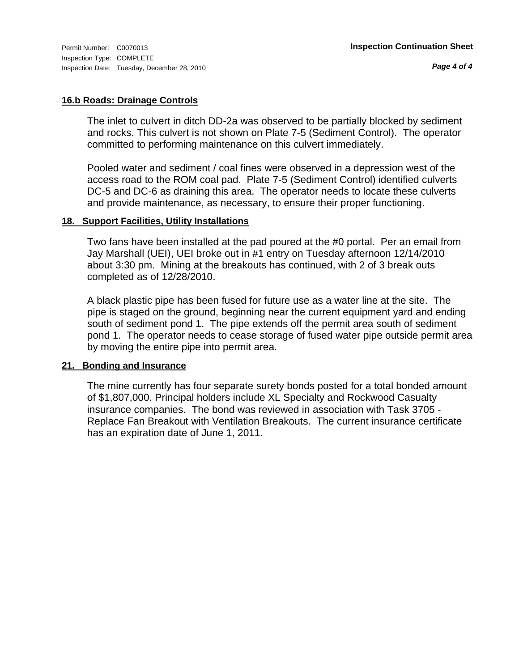### **16.b Roads: Drainage Controls**

The inlet to culvert in ditch DD-2a was observed to be partially blocked by sediment and rocks. This culvert is not shown on Plate 7-5 (Sediment Control). The operator committed to performing maintenance on this culvert immediately.

Pooled water and sediment / coal fines were observed in a depression west of the access road to the ROM coal pad. Plate 7-5 (Sediment Control) identified culverts DC-5 and DC-6 as draining this area. The operator needs to locate these culverts and provide maintenance, as necessary, to ensure their proper functioning.

### **18. Support Facilities, Utility Installations**

Two fans have been installed at the pad poured at the #0 portal. Per an email from Jay Marshall (UEI), UEI broke out in #1 entry on Tuesday afternoon 12/14/2010 about 3:30 pm. Mining at the breakouts has continued, with 2 of 3 break outs completed as of 12/28/2010.

A black plastic pipe has been fused for future use as a water line at the site. The pipe is staged on the ground, beginning near the current equipment yard and ending south of sediment pond 1. The pipe extends off the permit area south of sediment pond 1. The operator needs to cease storage of fused water pipe outside permit area by moving the entire pipe into permit area.

#### **21. Bonding and Insurance**

The mine currently has four separate surety bonds posted for a total bonded amount of \$1,807,000. Principal holders include XL Specialty and Rockwood Casualty insurance companies. The bond was reviewed in association with Task 3705 - Replace Fan Breakout with Ventilation Breakouts. The current insurance certificate has an expiration date of June 1, 2011.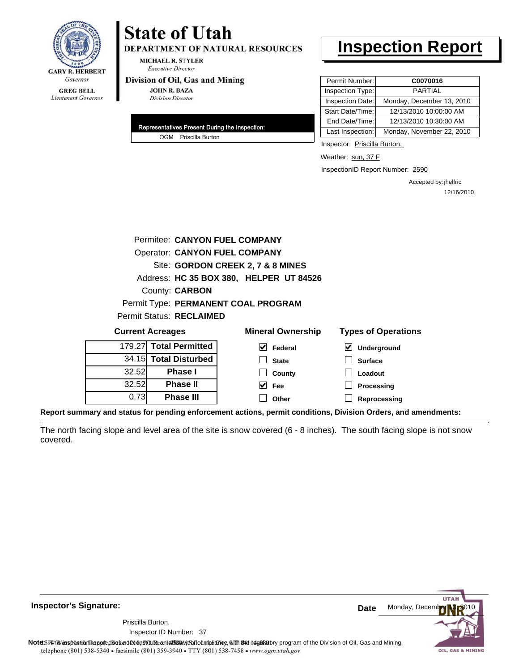

# **State of Utah DEPARTMENT OF NATURAL RESOURCES**

**MICHAEL R. STYLER Executive Director** 

#### Division of Oil, Gas and Mining

**JOHN R. BAZA Division Director** 

| Representatives Present During the Inspection: |
|------------------------------------------------|
| OGM Priscilla Burton                           |

# **Inspection Report**

| Permit Number:   | C0070016                  |
|------------------|---------------------------|
| Inspection Type: | <b>PARTIAL</b>            |
| Inspection Date: | Monday, December 13, 2010 |
| Start Date/Time: | 12/13/2010 10:00:00 AM    |
| End Date/Time:   | 12/13/2010 10:30:00 AM    |
| Last Inspection: | Monday, November 22, 2010 |

Inspector: Priscilla Burton,

Weather: sun, 37 F

InspectionID Report Number: 2590

Accepted by: jhelfric 12/16/2010

| Permitee: CANYON FUEL COMPANY |                                      |                                         |                            |  |  |  |
|-------------------------------|--------------------------------------|-----------------------------------------|----------------------------|--|--|--|
|                               | <b>Operator: CANYON FUEL COMPANY</b> |                                         |                            |  |  |  |
|                               |                                      | Site: GORDON CREEK 2, 7 & 8 MINES       |                            |  |  |  |
|                               |                                      | Address: HC 35 BOX 380, HELPER UT 84526 |                            |  |  |  |
|                               | County: <b>CARBON</b>                |                                         |                            |  |  |  |
|                               |                                      | Permit Type: PERMANENT COAL PROGRAM     |                            |  |  |  |
|                               | <b>Permit Status: RECLAIMED</b>      |                                         |                            |  |  |  |
|                               | <b>Current Acreages</b>              | <b>Mineral Ownership</b>                | <b>Types of Operations</b> |  |  |  |
|                               | 179.27 Total Permitted               | M<br>Federal                            | V<br>Underground           |  |  |  |
|                               | 34.15 Total Disturbed                | <b>State</b>                            | <b>Surface</b>             |  |  |  |
| 32.52                         | Phase I                              | County                                  | Loadout                    |  |  |  |
| 32.52                         | <b>Phase II</b>                      | Fee                                     | Processing                 |  |  |  |
| 0.73                          | Phase III                            | Other                                   | Reprocessing               |  |  |  |

**Report summary and status for pending enforcement actions, permit conditions, Division Orders, and amendments:**

The north facing slope and level area of the site is snow covered (6 - 8 inches). The south facing slope is not snow covered.

**Inspector's Signature:**

Inspector ID Number: 37 Priscilla Burton,



Note: 5% inspection leppt disean of constitute an affidavital compliance, with the regulatory program of the Division of Oil, Gas and Mining. telephone (801) 538-5340 · facsimile (801) 359-3940 · TTY (801) 538-7458 · www.ogm.utah.gov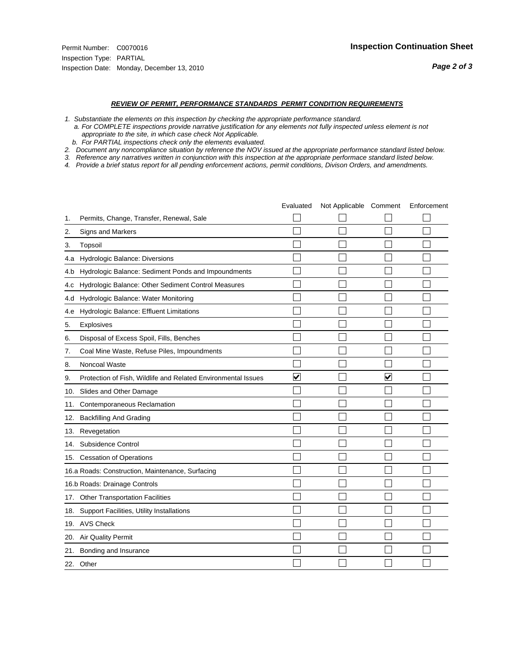- *1. Substantiate the elements on this inspection by checking the appropriate performance standard.*
- *a. For COMPLETE inspections provide narrative justification for any elements not fully inspected unless element is not appropriate to the site, in which case check Not Applicable.*
- *b. For PARTIAL inspections check only the elements evaluated.*
- *2. Document any noncompliance situation by reference the NOV issued at the appropriate performance standard listed below.*
- *3. Reference any narratives written in conjunction with this inspection at the appropriate performace standard listed below.*
- *4. Provide a brief status report for all pending enforcement actions, permit conditions, Divison Orders, and amendments.*

|     |                                                               | Evaluated            | Not Applicable Comment |                      | Enforcement |
|-----|---------------------------------------------------------------|----------------------|------------------------|----------------------|-------------|
| 1.  | Permits, Change, Transfer, Renewal, Sale                      |                      |                        |                      |             |
| 2.  | <b>Signs and Markers</b>                                      |                      |                        |                      |             |
| 3.  | Topsoil                                                       |                      |                        |                      |             |
| 4.a | Hydrologic Balance: Diversions                                |                      |                        |                      |             |
| 4.b | Hydrologic Balance: Sediment Ponds and Impoundments           |                      |                        |                      |             |
| 4.c | Hydrologic Balance: Other Sediment Control Measures           |                      |                        |                      |             |
| 4.d | Hydrologic Balance: Water Monitoring                          |                      |                        |                      |             |
| 4.e | Hydrologic Balance: Effluent Limitations                      |                      |                        |                      |             |
| 5.  | Explosives                                                    |                      |                        |                      |             |
| 6.  | Disposal of Excess Spoil, Fills, Benches                      |                      |                        |                      |             |
| 7.  | Coal Mine Waste, Refuse Piles, Impoundments                   |                      |                        |                      |             |
| 8.  | Noncoal Waste                                                 |                      |                        |                      |             |
| 9.  | Protection of Fish, Wildlife and Related Environmental Issues | $\blacktriangledown$ |                        | $\blacktriangledown$ |             |
| 10. | Slides and Other Damage                                       |                      |                        |                      |             |
| 11. | Contemporaneous Reclamation                                   |                      |                        |                      |             |
| 12. | <b>Backfilling And Grading</b>                                |                      |                        |                      |             |
| 13. | Revegetation                                                  |                      |                        |                      |             |
| 14. | Subsidence Control                                            |                      |                        |                      |             |
|     | 15. Cessation of Operations                                   |                      |                        |                      |             |
|     | 16.a Roads: Construction, Maintenance, Surfacing              |                      |                        |                      |             |
|     | 16.b Roads: Drainage Controls                                 |                      |                        |                      |             |
| 17. | <b>Other Transportation Facilities</b>                        |                      |                        |                      |             |
| 18. | Support Facilities, Utility Installations                     |                      |                        |                      |             |
|     | 19. AVS Check                                                 |                      |                        |                      |             |
| 20. | <b>Air Quality Permit</b>                                     |                      |                        |                      |             |
| 21. | Bonding and Insurance                                         |                      |                        |                      |             |
|     | 22. Other                                                     |                      |                        |                      |             |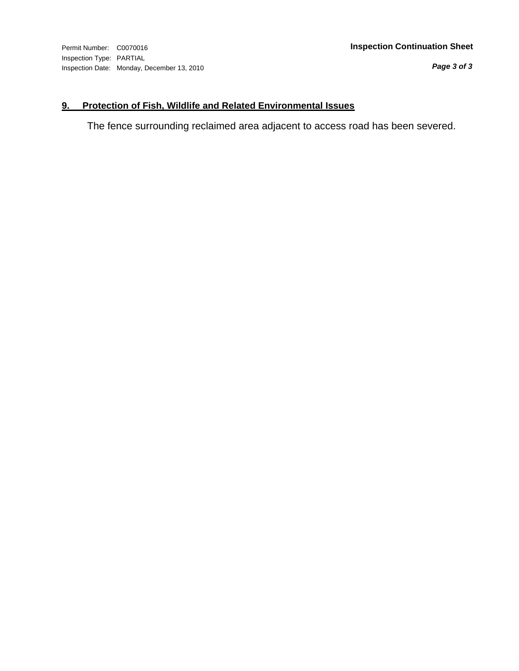*Page 3 of 3*

## **9. Protection of Fish, Wildlife and Related Environmental Issues**

The fence surrounding reclaimed area adjacent to access road has been severed.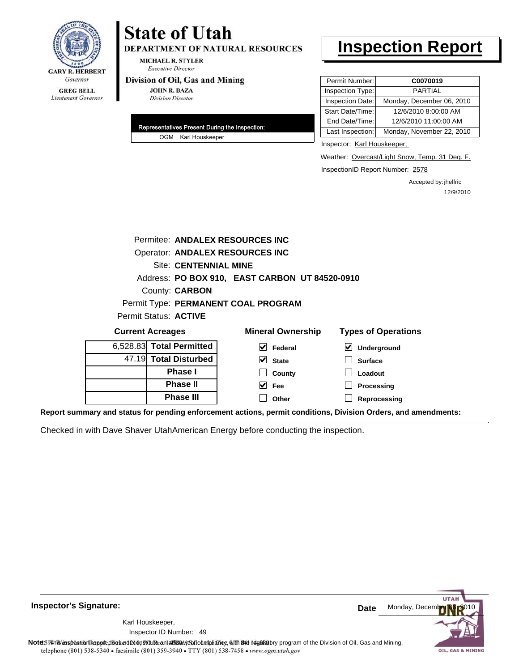

# **State of Utah DEPARTMENT OF NATURAL RESOURCES**

**MICHAEL R. STYLER Executive Director** 

#### Division of Oil, Gas and Mining

**JOHN R. BAZA Division Director** 

| Representatives Present During the Inspection: |                     |  |
|------------------------------------------------|---------------------|--|
|                                                | OGM Karl Houskeeper |  |

# **Inspection Report**

| Permit Number:   | C0070019                  |
|------------------|---------------------------|
| Inspection Type: | <b>PARTIAL</b>            |
| Inspection Date: | Monday, December 06, 2010 |
| Start Date/Time: | 12/6/2010 8:00:00 AM      |
| End Date/Time:   | 12/6/2010 11:00:00 AM     |
| Last Inspection: | Monday, November 22, 2010 |

Inspector: Karl Houskeeper,

Weather: Overcast/Light Snow, Temp. 31 Deg. F.

InspectionID Report Number: 2578

Accepted by: jhelfric 12/9/2010

| Permitee: ANDALEX RESOURCES INC        |                              |                                                |                            |
|----------------------------------------|------------------------------|------------------------------------------------|----------------------------|
| <b>Operator: ANDALEX RESOURCES INC</b> |                              |                                                |                            |
|                                        | <b>Site: CENTENNIAL MINE</b> |                                                |                            |
|                                        |                              | Address: PO BOX 910, EAST CARBON UT 84520-0910 |                            |
| County: <b>CARBON</b>                  |                              |                                                |                            |
| Permit Type: PERMANENT COAL PROGRAM    |                              |                                                |                            |
| Permit Status: ACTIVE                  |                              |                                                |                            |
| <b>Current Acreages</b>                |                              | <b>Mineral Ownership</b>                       | <b>Types of Operations</b> |
| 5,528.83 Total Permitted               |                              | Federal                                        | <b>Underground</b>         |

**State County Fee Other**

| 6,528.83 Total Permitted |
|--------------------------|
| 47.19 Total Disturbed    |
| <b>Phase I</b>           |
| <b>Phase II</b>          |
| <b>Phase III</b>         |

| $\vert \blacktriangleright$ Underground |
|-----------------------------------------|
| │ │ Surface                             |
| Loadout                                 |

**Processing**

**Reprocessing**

**Report summary and status for pending enforcement actions, permit conditions, Division Orders, and amendments:**

Checked in with Dave Shaver UtahAmerican Energy before conducting the inspection.



**Inspector's Signature:**

Karl Houskeeper,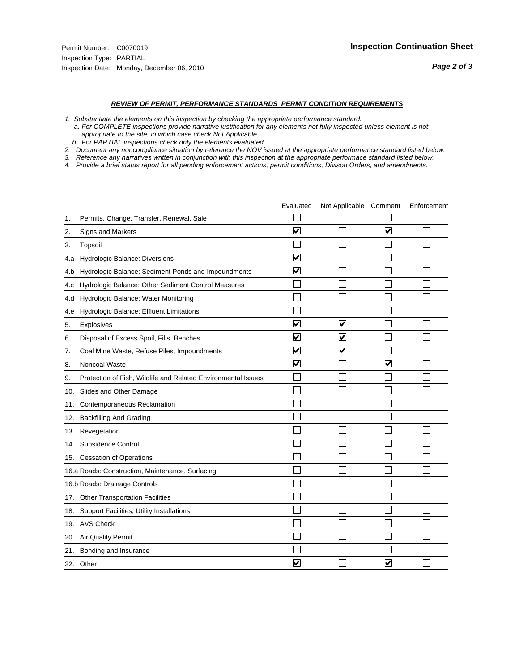- *1. Substantiate the elements on this inspection by checking the appropriate performance standard.*
- *a. For COMPLETE inspections provide narrative justification for any elements not fully inspected unless element is not appropriate to the site, in which case check Not Applicable.*
- *b. For PARTIAL inspections check only the elements evaluated.*
- *2. Document any noncompliance situation by reference the NOV issued at the appropriate performance standard listed below.*
- *3. Reference any narratives written in conjunction with this inspection at the appropriate performace standard listed below.*
- *4. Provide a brief status report for all pending enforcement actions, permit conditions, Divison Orders, and amendments.*

|     |                                                               | Evaluated               | Not Applicable Comment  |                         | Enforcement |
|-----|---------------------------------------------------------------|-------------------------|-------------------------|-------------------------|-------------|
| 1.  | Permits, Change, Transfer, Renewal, Sale                      |                         |                         |                         |             |
| 2.  | <b>Signs and Markers</b>                                      | $\overline{\mathbf{v}}$ |                         | $\blacktriangledown$    |             |
| 3.  | Topsoil                                                       |                         |                         |                         |             |
| 4.a | Hydrologic Balance: Diversions                                | $\overline{\mathbf{v}}$ |                         |                         |             |
| 4.b | Hydrologic Balance: Sediment Ponds and Impoundments           | $\blacktriangledown$    |                         |                         |             |
| 4.c | Hydrologic Balance: Other Sediment Control Measures           |                         |                         |                         |             |
| 4.d | Hydrologic Balance: Water Monitoring                          |                         |                         |                         |             |
| 4.e | Hydrologic Balance: Effluent Limitations                      |                         |                         |                         |             |
| 5.  | <b>Explosives</b>                                             | $\overline{\mathbf{v}}$ | $\blacktriangledown$    |                         |             |
| 6.  | Disposal of Excess Spoil, Fills, Benches                      | $\overline{\mathsf{v}}$ | $\overline{\mathbf{v}}$ |                         |             |
| 7.  | Coal Mine Waste, Refuse Piles, Impoundments                   | $\overline{\mathbf{v}}$ | ☑                       |                         |             |
| 8.  | Noncoal Waste                                                 | $\overline{\mathsf{v}}$ |                         | $\overline{\mathsf{v}}$ |             |
| 9.  | Protection of Fish, Wildlife and Related Environmental Issues |                         |                         |                         |             |
|     | 10. Slides and Other Damage                                   |                         |                         |                         |             |
| 11. | Contemporaneous Reclamation                                   |                         |                         |                         |             |
| 12. | <b>Backfilling And Grading</b>                                |                         |                         |                         |             |
| 13. | Revegetation                                                  |                         |                         |                         |             |
| 14. | Subsidence Control                                            |                         |                         |                         |             |
|     | 15. Cessation of Operations                                   |                         |                         |                         |             |
|     | 16.a Roads: Construction, Maintenance, Surfacing              |                         |                         |                         |             |
|     | 16.b Roads: Drainage Controls                                 |                         |                         |                         |             |
| 17. | <b>Other Transportation Facilities</b>                        |                         |                         |                         |             |
| 18. | Support Facilities, Utility Installations                     |                         |                         |                         |             |
|     | 19. AVS Check                                                 |                         |                         |                         |             |
| 20. | Air Quality Permit                                            |                         |                         |                         |             |
| 21. | Bonding and Insurance                                         |                         |                         |                         |             |
|     | 22. Other                                                     | ⊽                       |                         | $\overline{\mathbf{v}}$ |             |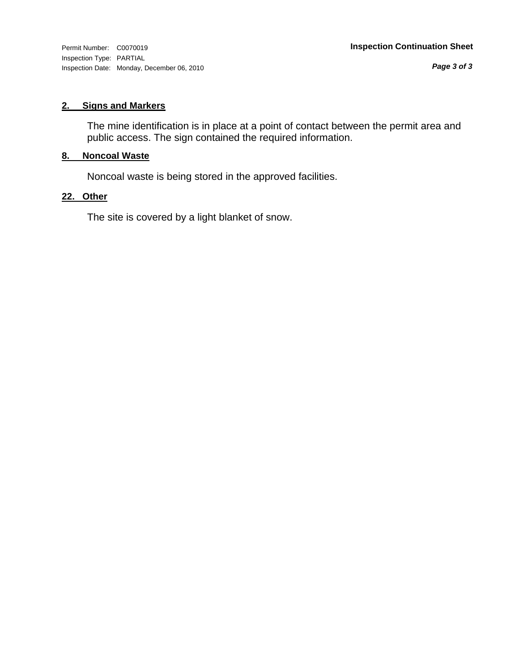Inspection Type: PARTIAL Inspection Date: Monday, December 06, 2010

*Page 3 of 3*

### **2. Signs and Markers**

The mine identification is in place at a point of contact between the permit area and public access. The sign contained the required information.

## **8. Noncoal Waste**

Noncoal waste is being stored in the approved facilities.

### **22. Other**

The site is covered by a light blanket of snow.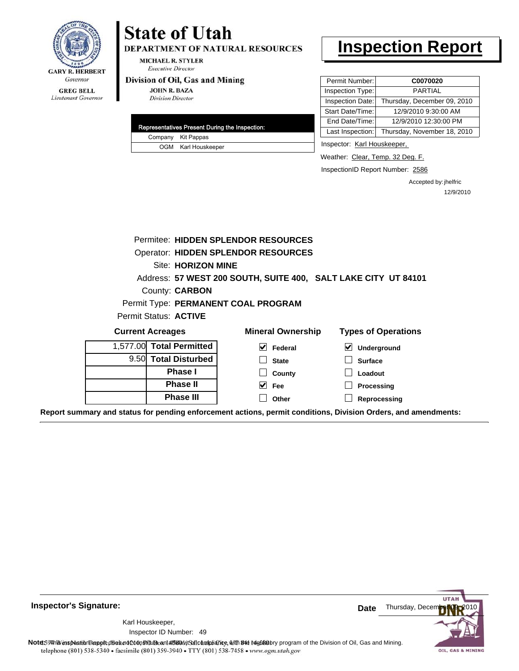

# **State of Utah**

**DEPARTMENT OF NATURAL RESOURCES** 

**MICHAEL R. STYLER Executive Director** 

#### Division of Oil, Gas and Mining

**JOHN R. BAZA Division Director** 

| Representatives Present During the Inspection: |                     |  |
|------------------------------------------------|---------------------|--|
|                                                | Company Kit Pappas  |  |
|                                                | OGM Karl Houskeeper |  |

# **Inspection Report**

| Permit Number:   | C0070020                    |
|------------------|-----------------------------|
| Inspection Type: | <b>PARTIAL</b>              |
| Inspection Date: | Thursday, December 09, 2010 |
| Start Date/Time: | 12/9/2010 9:30:00 AM        |
| End Date/Time:   | 12/9/2010 12:30:00 PM       |
| Last Inspection: | Thursday, November 18, 2010 |

Inspector: Karl Houskeeper,

Weather: Clear, Temp. 32 Deg. F.

InspectionID Report Number: 2586

Accepted by: jhelfric 12/9/2010

|                          | Permitee: HIDDEN SPLENDOR RESOURCES                            |                                                                                                                |
|--------------------------|----------------------------------------------------------------|----------------------------------------------------------------------------------------------------------------|
|                          | Operator: HIDDEN SPLENDOR RESOURCES                            |                                                                                                                |
| Site: HORIZON MINE       |                                                                |                                                                                                                |
|                          | Address: 57 WEST 200 SOUTH, SUITE 400, SALT LAKE CITY UT 84101 |                                                                                                                |
| County: CARBON           |                                                                |                                                                                                                |
|                          | Permit Type: PERMANENT COAL PROGRAM                            |                                                                                                                |
| Permit Status: ACTIVE    |                                                                |                                                                                                                |
| <b>Current Acreages</b>  | <b>Mineral Ownership</b>                                       | <b>Types of Operations</b>                                                                                     |
| 1,577.00 Total Permitted | M<br>Federal                                                   | ⊻<br>Underground                                                                                               |
| 9.50 Total Disturbed     | <b>State</b>                                                   | <b>Surface</b>                                                                                                 |
| <b>Phase I</b>           | County                                                         | Loadout                                                                                                        |
| <b>Phase II</b>          | $\overline{\smash{\vee}}$ Fee                                  | Processing                                                                                                     |
| <b>Phase III</b>         | Other                                                          | Reprocessing                                                                                                   |
|                          |                                                                | Report summary and status for pending enforcement actions, permit conditions, Division Orders, and amendments: |

**Inspector's Signature:**

49 Inspector ID Number:Karl Houskeeper,



Note59#htviespection lepptt does not constitute an affidavitSal compliance, with the regulatory program of the Division of Oil, Gas and Mining. telephone (801) 538-5340 · facsimile (801) 359-3940 · TTY (801) 538-7458 · www.ogm.utah.gov

OIL, GAS & MINING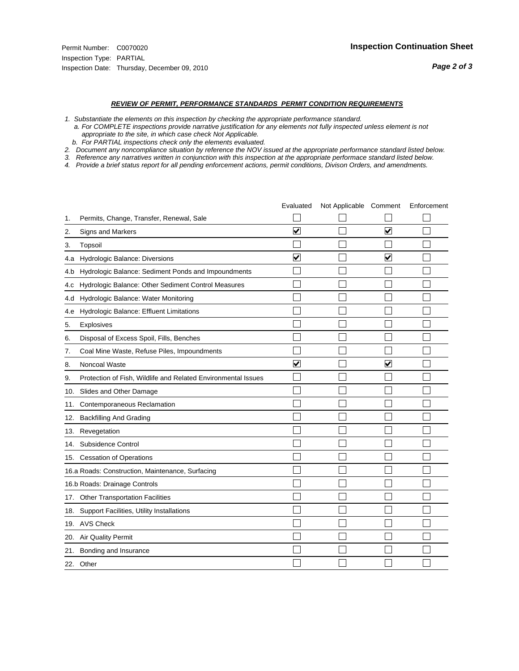- *1. Substantiate the elements on this inspection by checking the appropriate performance standard.*
- *a. For COMPLETE inspections provide narrative justification for any elements not fully inspected unless element is not appropriate to the site, in which case check Not Applicable.*
- *b. For PARTIAL inspections check only the elements evaluated.*
- *2. Document any noncompliance situation by reference the NOV issued at the appropriate performance standard listed below.*
- *3. Reference any narratives written in conjunction with this inspection at the appropriate performace standard listed below.*
- *4. Provide a brief status report for all pending enforcement actions, permit conditions, Divison Orders, and amendments.*

|     |                                                               | Evaluated               | Not Applicable Comment |                         | Enforcement |
|-----|---------------------------------------------------------------|-------------------------|------------------------|-------------------------|-------------|
| 1.  | Permits, Change, Transfer, Renewal, Sale                      |                         |                        |                         |             |
| 2.  | <b>Signs and Markers</b>                                      | $\overline{\mathbf{v}}$ |                        | $\blacktriangledown$    |             |
| 3.  | Topsoil                                                       |                         |                        |                         |             |
| 4.a | Hydrologic Balance: Diversions                                | $\overline{\mathbf{v}}$ |                        | ⊽                       |             |
| 4.b | Hydrologic Balance: Sediment Ponds and Impoundments           |                         |                        |                         |             |
| 4.c | Hydrologic Balance: Other Sediment Control Measures           |                         |                        |                         |             |
| 4.d | Hydrologic Balance: Water Monitoring                          |                         |                        |                         |             |
| 4.e | Hydrologic Balance: Effluent Limitations                      |                         |                        |                         |             |
| 5.  | <b>Explosives</b>                                             |                         |                        |                         |             |
| 6.  | Disposal of Excess Spoil, Fills, Benches                      |                         |                        |                         |             |
| 7.  | Coal Mine Waste, Refuse Piles, Impoundments                   |                         |                        |                         |             |
| 8.  | Noncoal Waste                                                 | $\overline{\mathsf{v}}$ |                        | $\overline{\mathsf{v}}$ |             |
| 9.  | Protection of Fish, Wildlife and Related Environmental Issues |                         |                        |                         |             |
|     | 10. Slides and Other Damage                                   |                         |                        |                         |             |
| 11. | Contemporaneous Reclamation                                   |                         |                        |                         |             |
| 12. | <b>Backfilling And Grading</b>                                |                         |                        |                         |             |
| 13. | Revegetation                                                  |                         |                        |                         |             |
| 14. | Subsidence Control                                            |                         |                        |                         |             |
|     | 15. Cessation of Operations                                   |                         |                        |                         |             |
|     | 16.a Roads: Construction, Maintenance, Surfacing              |                         |                        |                         |             |
|     | 16.b Roads: Drainage Controls                                 |                         |                        |                         |             |
| 17. | <b>Other Transportation Facilities</b>                        |                         |                        |                         |             |
| 18. | Support Facilities, Utility Installations                     |                         |                        |                         |             |
|     | 19. AVS Check                                                 |                         |                        |                         |             |
| 20. | Air Quality Permit                                            |                         |                        |                         |             |
| 21. | Bonding and Insurance                                         |                         |                        |                         |             |
|     | 22. Other                                                     |                         |                        |                         |             |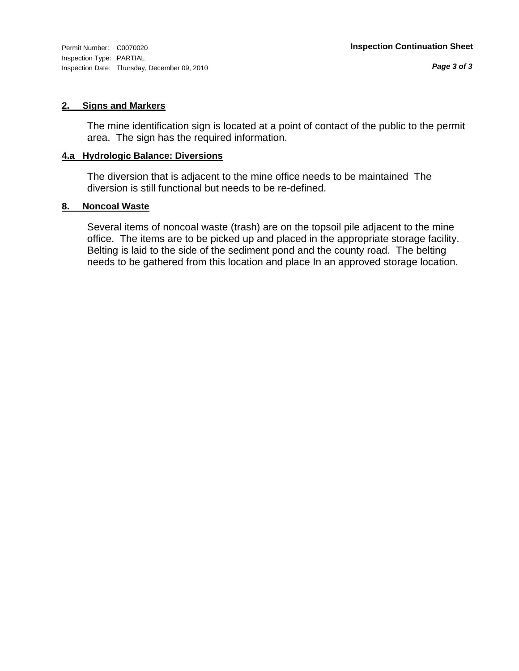#### **2. Signs and Markers**

The mine identification sign is located at a point of contact of the public to the permit area. The sign has the required information.

#### **4.a Hydrologic Balance: Diversions**

The diversion that is adjacent to the mine office needs to be maintained The diversion is still functional but needs to be re-defined.

#### **8. Noncoal Waste**

Several items of noncoal waste (trash) are on the topsoil pile adjacent to the mine office. The items are to be picked up and placed in the appropriate storage facility. Belting is laid to the side of the sediment pond and the county road. The belting needs to be gathered from this location and place In an approved storage location.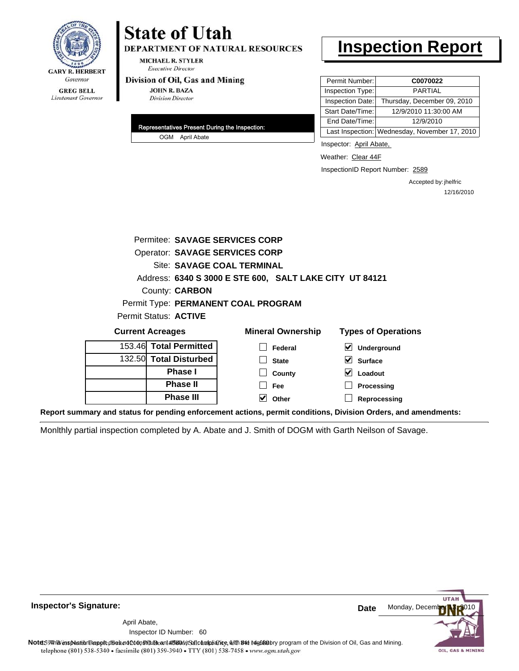

# **State of Utah**

DEPARTMENT OF NATURAL RESOURCES

**MICHAEL R. STYLER Executive Director** 

#### Division of Oil, Gas and Mining

**JOHN R. BAZA Division Director** 

| Representatives Present During the Inspection: |  |
|------------------------------------------------|--|
| OGM April Abate                                |  |

# **Inspection Report**

| Permit Number:   | C0070022                                      |
|------------------|-----------------------------------------------|
| Inspection Type: | <b>PARTIAL</b>                                |
| Inspection Date: | Thursday, December 09, 2010                   |
| Start Date/Time: | 12/9/2010 11:30:00 AM                         |
| End Date/Time:   | 12/9/2010                                     |
|                  | Last Inspection: Wednesday, November 17, 2010 |

Inspector: April Abate,

Weather: Clear 44F

InspectionID Report Number: 2589

Accepted by: jhelfric 12/16/2010

| Permitee: SAVAGE SERVICES CORP                          |                                       |                          |                                            |  |  |  |  |  |
|---------------------------------------------------------|---------------------------------------|--------------------------|--------------------------------------------|--|--|--|--|--|
|                                                         | <b>Operator: SAVAGE SERVICES CORP</b> |                          |                                            |  |  |  |  |  |
|                                                         | Site: SAVAGE COAL TERMINAL            |                          |                                            |  |  |  |  |  |
| Address: 6340 S 3000 E STE 600, SALT LAKE CITY UT 84121 |                                       |                          |                                            |  |  |  |  |  |
| County: <b>CARBON</b>                                   |                                       |                          |                                            |  |  |  |  |  |
| Permit Type: PERMANENT COAL PROGRAM                     |                                       |                          |                                            |  |  |  |  |  |
| Permit Status: ACTIVE                                   |                                       |                          |                                            |  |  |  |  |  |
| <b>Current Acreages</b>                                 |                                       | <b>Mineral Ownership</b> | <b>Types of Operations</b>                 |  |  |  |  |  |
| <b>Total Permitted</b><br>153.46                        |                                       | Federal                  | $\vert\bm{\checkmark}\vert$<br>Underground |  |  |  |  |  |
| <b>Total Disturbed</b><br>132.50                        |                                       | <b>State</b>             | V<br><b>Surface</b>                        |  |  |  |  |  |
| Phase I                                                 |                                       | County                   | Loadout                                    |  |  |  |  |  |
| <b>Phase II</b>                                         |                                       | Fee                      | Processing                                 |  |  |  |  |  |
| <b>Phase III</b>                                        |                                       | Other                    | Reprocessing                               |  |  |  |  |  |

**Report summary and status for pending enforcement actions, permit conditions, Division Orders, and amendments:**

Monlthly partial inspection completed by A. Abate and J. Smith of DOGM with Garth Neilson of Savage.

**Inspector's Signature:**

60 Inspector ID Number:April Abate,

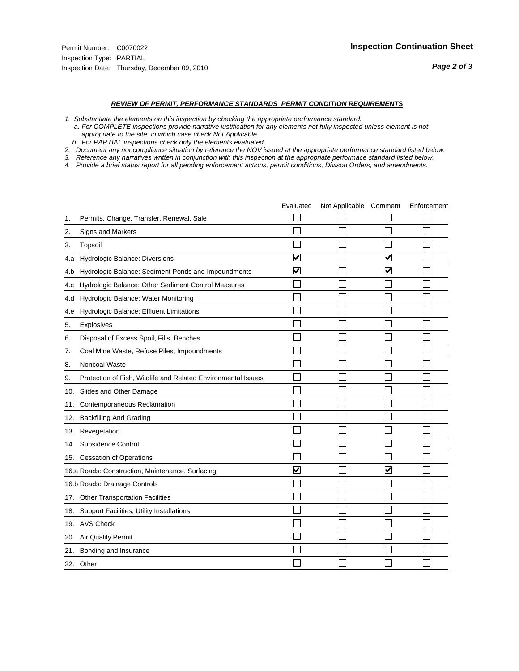- *1. Substantiate the elements on this inspection by checking the appropriate performance standard.*
- *a. For COMPLETE inspections provide narrative justification for any elements not fully inspected unless element is not appropriate to the site, in which case check Not Applicable.*
- *b. For PARTIAL inspections check only the elements evaluated.*
- *2. Document any noncompliance situation by reference the NOV issued at the appropriate performance standard listed below.*
- *3. Reference any narratives written in conjunction with this inspection at the appropriate performace standard listed below.*
- *4. Provide a brief status report for all pending enforcement actions, permit conditions, Divison Orders, and amendments.*

|     |                                                               | Evaluated               | Not Applicable Comment |                         | Enforcement |
|-----|---------------------------------------------------------------|-------------------------|------------------------|-------------------------|-------------|
| 1.  | Permits, Change, Transfer, Renewal, Sale                      |                         |                        |                         |             |
| 2.  | <b>Signs and Markers</b>                                      |                         |                        |                         |             |
| 3.  | Topsoil                                                       |                         |                        |                         |             |
| 4.a | Hydrologic Balance: Diversions                                | ⊽                       |                        | $\blacktriangledown$    |             |
| 4.b | Hydrologic Balance: Sediment Ponds and Impoundments           | $\blacktriangledown$    |                        | ⊻                       |             |
| 4.c | Hydrologic Balance: Other Sediment Control Measures           |                         |                        |                         |             |
| 4.d | Hydrologic Balance: Water Monitoring                          |                         |                        |                         |             |
| 4.e | Hydrologic Balance: Effluent Limitations                      |                         |                        |                         |             |
| 5.  | Explosives                                                    |                         |                        |                         |             |
| 6.  | Disposal of Excess Spoil, Fills, Benches                      |                         |                        |                         |             |
| 7.  | Coal Mine Waste, Refuse Piles, Impoundments                   |                         |                        |                         |             |
| 8.  | Noncoal Waste                                                 |                         |                        |                         |             |
| 9.  | Protection of Fish, Wildlife and Related Environmental Issues |                         |                        |                         |             |
| 10. | Slides and Other Damage                                       |                         |                        |                         |             |
| 11. | Contemporaneous Reclamation                                   |                         |                        |                         |             |
| 12. | <b>Backfilling And Grading</b>                                |                         |                        |                         |             |
| 13. | Revegetation                                                  |                         |                        |                         |             |
| 14. | Subsidence Control                                            |                         |                        |                         |             |
|     | 15. Cessation of Operations                                   |                         |                        |                         |             |
|     | 16.a Roads: Construction, Maintenance, Surfacing              | $\overline{\mathbf{v}}$ |                        | $\overline{\mathbf{v}}$ |             |
|     | 16.b Roads: Drainage Controls                                 |                         |                        |                         |             |
| 17. | <b>Other Transportation Facilities</b>                        |                         |                        |                         |             |
| 18. | Support Facilities, Utility Installations                     |                         |                        |                         |             |
|     | 19. AVS Check                                                 |                         |                        |                         |             |
| 20. | <b>Air Quality Permit</b>                                     |                         |                        |                         |             |
| 21. | Bonding and Insurance                                         |                         |                        |                         |             |
|     | 22. Other                                                     |                         |                        |                         |             |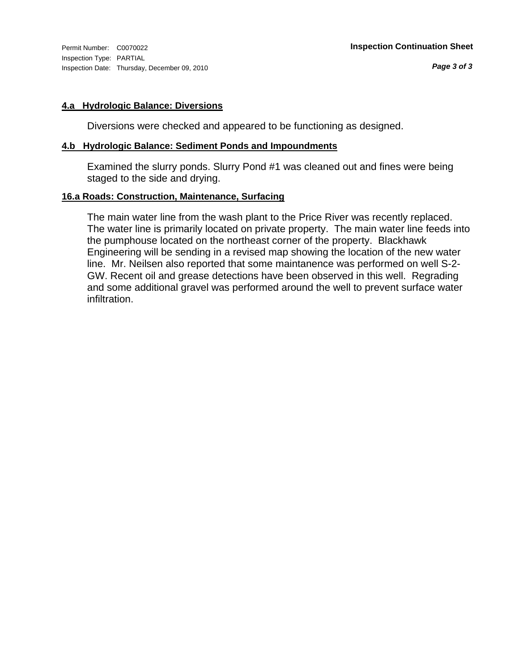Inspection Type: PARTIAL Inspection Date: Thursday, December 09, 2010

#### **4.a Hydrologic Balance: Diversions**

Diversions were checked and appeared to be functioning as designed.

#### **4.b Hydrologic Balance: Sediment Ponds and Impoundments**

Examined the slurry ponds. Slurry Pond #1 was cleaned out and fines were being staged to the side and drying.

### **16.a Roads: Construction, Maintenance, Surfacing**

The main water line from the wash plant to the Price River was recently replaced. The water line is primarily located on private property. The main water line feeds into the pumphouse located on the northeast corner of the property. Blackhawk Engineering will be sending in a revised map showing the location of the new water line. Mr. Neilsen also reported that some maintanence was performed on well S-2- GW. Recent oil and grease detections have been observed in this well. Regrading and some additional gravel was performed around the well to prevent surface water infiltration.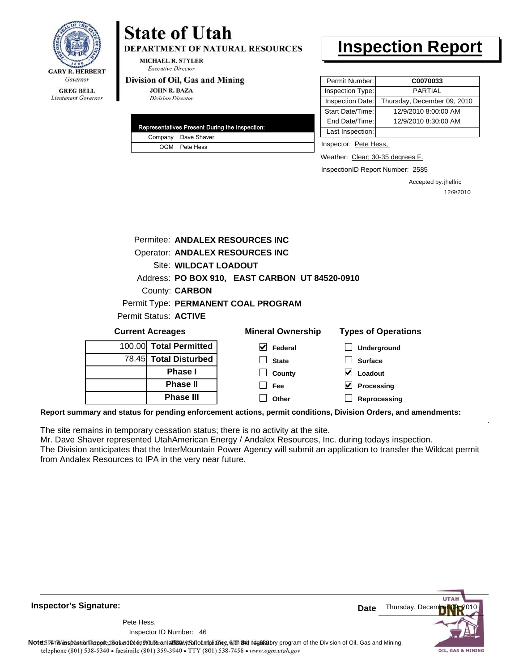

**DEPARTMENT OF NATURAL RESOURCES** 

MICHAEL R. STYLER **Executive Director** 

#### Division of Oil, Gas and Mining

**JOHN R. BAZA Division Director** 

|  | Representatives Present During the Inspection: |
|--|------------------------------------------------|
|  | Company Dave Shaver                            |
|  | OGM Pete Hess                                  |

### **Inspection Report**

| Permit Number:   | C0070033                    |
|------------------|-----------------------------|
| Inspection Type: | PARTIAL                     |
| Inspection Date: | Thursday, December 09, 2010 |
| Start Date/Time: | 12/9/2010 8:00:00 AM        |
| End Date/Time:   | 12/9/2010 8:30:00 AM        |
| Last Inspection: |                             |

Inspector: Pete Hess,

Weather: Clear; 30-35 degrees F.

InspectionID Report Number: 2585

Accepted by: jhelfric 12/9/2010

|  | Permitee: ANDALEX RESOURCES INC                |                                     |                                                                                                               |  |
|--|------------------------------------------------|-------------------------------------|---------------------------------------------------------------------------------------------------------------|--|
|  | <b>Operator: ANDALEX RESOURCES INC</b>         |                                     |                                                                                                               |  |
|  | <b>Site: WILDCAT LOADOUT</b>                   |                                     |                                                                                                               |  |
|  | Address: PO BOX 910, EAST CARBON UT 84520-0910 |                                     |                                                                                                               |  |
|  | County: <b>CARBON</b>                          |                                     |                                                                                                               |  |
|  |                                                | Permit Type: PERMANENT COAL PROGRAM |                                                                                                               |  |
|  | Permit Status: <b>ACTIVE</b>                   |                                     |                                                                                                               |  |
|  | <b>Current Acreages</b>                        | <b>Mineral Ownership</b>            | <b>Types of Operations</b>                                                                                    |  |
|  | 100.00 Total Permitted                         | M<br>Federal                        | Underground                                                                                                   |  |
|  | 78.45 Total Disturbed                          | <b>State</b>                        | <b>Surface</b>                                                                                                |  |
|  | <b>Phase I</b>                                 | County                              | M<br>Loadout                                                                                                  |  |
|  | <b>Phase II</b>                                | Fee                                 | M<br>Processing                                                                                               |  |
|  | <b>Phase III</b>                               | Other                               | Reprocessing                                                                                                  |  |
|  |                                                |                                     | Report summary and status for pending enforcement actions, permit conditions, Division Orders, and amendments |  |

The site remains in temporary cessation status; there is no activity at the site.

Mr. Dave Shaver represented UtahAmerican Energy / Andalex Resources, Inc. during todays inspection. The Division anticipates that the InterMountain Power Agency will submit an application to transfer the Wildcat permit

from Andalex Resources to IPA in the very near future.

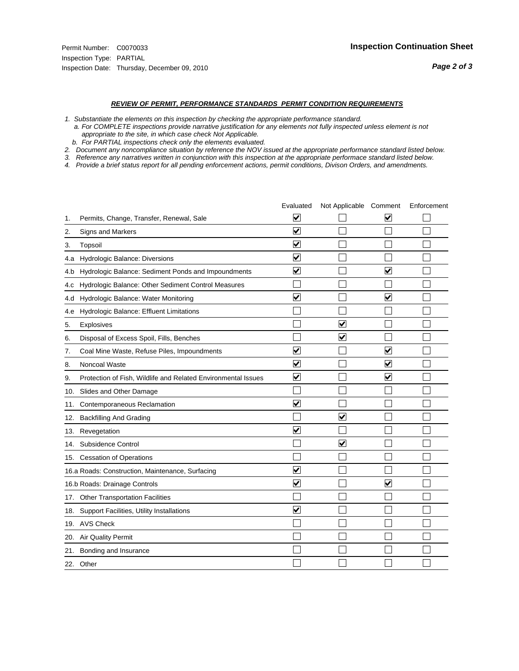#### *REVIEW OF PERMIT, PERFORMANCE STANDARDS PERMIT CONDITION REQUIREMENTS*

*1. Substantiate the elements on this inspection by checking the appropriate performance standard.*

 *a. For COMPLETE inspections provide narrative justification for any elements not fully inspected unless element is not appropriate to the site, in which case check Not Applicable.*

 *b. For PARTIAL inspections check only the elements evaluated.*

*2. Document any noncompliance situation by reference the NOV issued at the appropriate performance standard listed below.*

*3. Reference any narratives written in conjunction with this inspection at the appropriate performace standard listed below.*

*4. Provide a brief status report for all pending enforcement actions, permit conditions, Divison Orders, and amendments.*

|     |                                                               | Evaluated                       | Not Applicable Comment  |                         | Enforcement |
|-----|---------------------------------------------------------------|---------------------------------|-------------------------|-------------------------|-------------|
| 1.  | Permits, Change, Transfer, Renewal, Sale                      | $\overline{\mathbf{v}}$         |                         | V                       |             |
| 2.  | Signs and Markers                                             | $\overline{\mathbf{v}}$         |                         |                         |             |
| 3.  | Topsoil                                                       | $\overline{\mathbf{v}}$         |                         |                         |             |
| 4.a | Hydrologic Balance: Diversions                                | $\overline{\mathsf{v}}$         |                         |                         |             |
| 4.b | Hydrologic Balance: Sediment Ponds and Impoundments           | $\blacktriangledown$            |                         | V                       |             |
| 4.C | Hydrologic Balance: Other Sediment Control Measures           |                                 |                         |                         |             |
| 4.d | Hydrologic Balance: Water Monitoring                          | $\overline{\mathbf{v}}$         |                         | $\overline{\mathbf{v}}$ |             |
| 4.e | Hydrologic Balance: Effluent Limitations                      |                                 |                         |                         |             |
| 5.  | Explosives                                                    |                                 | ⊽                       |                         |             |
| 6.  | Disposal of Excess Spoil, Fills, Benches                      |                                 | ⊽                       |                         |             |
| 7.  | Coal Mine Waste, Refuse Piles, Impoundments                   | $\overline{\mathbf{v}}$         |                         | $\overline{\mathbf{v}}$ |             |
| 8.  | Noncoal Waste                                                 | ⊽                               |                         | V                       |             |
| 9.  | Protection of Fish, Wildlife and Related Environmental Issues | $\blacktriangledown$            |                         | ☑                       |             |
|     | 10. Slides and Other Damage                                   |                                 |                         |                         |             |
| 11. | Contemporaneous Reclamation                                   | ⊽                               |                         |                         |             |
| 12. | <b>Backfilling And Grading</b>                                |                                 | $\overline{\mathbf{v}}$ |                         |             |
| 13. | Revegetation                                                  | $\overline{\mathbf{v}}$         |                         |                         |             |
| 14. | Subsidence Control                                            |                                 | $\overline{\mathbf{v}}$ |                         |             |
|     | 15. Cessation of Operations                                   |                                 |                         |                         |             |
|     | 16.a Roads: Construction, Maintenance, Surfacing              | ⊽                               |                         |                         |             |
|     | 16.b Roads: Drainage Controls                                 | $\overline{\blacktriangledown}$ |                         | $\overline{\mathbf{v}}$ |             |
| 17. | Other Transportation Facilities                               |                                 |                         |                         |             |
| 18. | Support Facilities, Utility Installations                     | $\overline{\mathbf{v}}$         |                         |                         |             |
|     | 19. AVS Check                                                 |                                 |                         |                         |             |
| 20. | <b>Air Quality Permit</b>                                     |                                 |                         |                         |             |
| 21. | Bonding and Insurance                                         |                                 |                         |                         |             |
|     | 22. Other                                                     |                                 |                         |                         |             |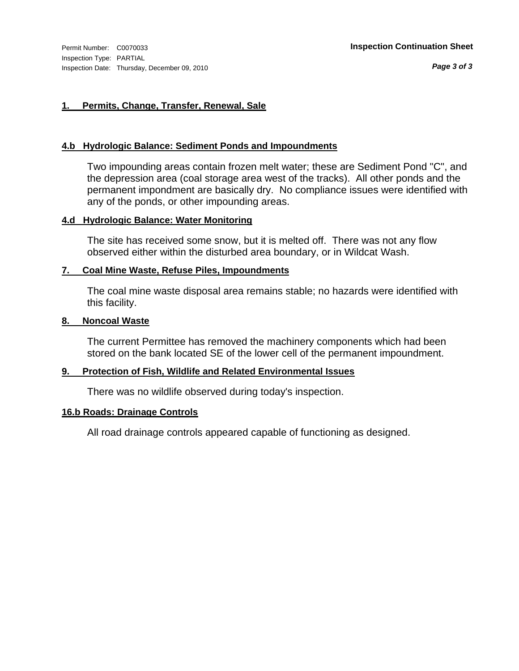#### **1. Permits, Change, Transfer, Renewal, Sale**

#### **4.b Hydrologic Balance: Sediment Ponds and Impoundments**

Two impounding areas contain frozen melt water; these are Sediment Pond "C", and the depression area (coal storage area west of the tracks). All other ponds and the permanent impondment are basically dry. No compliance issues were identified with any of the ponds, or other impounding areas.

#### **4.d Hydrologic Balance: Water Monitoring**

The site has received some snow, but it is melted off. There was not any flow observed either within the disturbed area boundary, or in Wildcat Wash.

#### **7. Coal Mine Waste, Refuse Piles, Impoundments**

The coal mine waste disposal area remains stable; no hazards were identified with this facility.

#### **8. Noncoal Waste**

The current Permittee has removed the machinery components which had been stored on the bank located SE of the lower cell of the permanent impoundment.

#### **9. Protection of Fish, Wildlife and Related Environmental Issues**

There was no wildlife observed during today's inspection.

#### **16.b Roads: Drainage Controls**

All road drainage controls appeared capable of functioning as designed.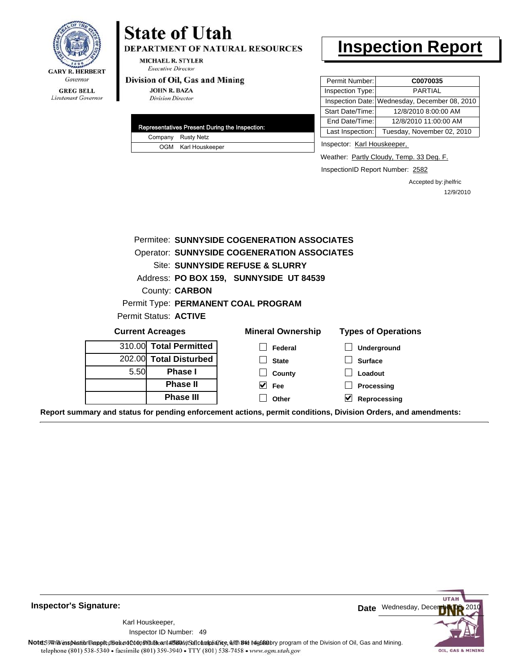

**DEPARTMENT OF NATURAL RESOURCES** 

**MICHAEL R. STYLER Executive Director** 

#### Division of Oil, Gas and Mining

**JOHN R. BAZA Division Director** 

|  | Representatives Present During the Inspection: |
|--|------------------------------------------------|
|  | Company Rusty Netz                             |
|  | OGM Karl Houskeeper                            |

### **Inspection Report**

| Permit Number:   | C0070035                                      |
|------------------|-----------------------------------------------|
| Inspection Type: | <b>PARTIAL</b>                                |
|                  | Inspection Date: Wednesday, December 08, 2010 |
| Start Date/Time: | 12/8/2010 8:00:00 AM                          |
| End Date/Time:   | 12/8/2010 11:00:00 AM                         |
| Last Inspection: | Tuesday, November 02, 2010                    |

Inspector: Karl Houskeeper,

Weather: Partly Cloudy, Temp. 33 Deg. F.

InspectionID Report Number: 2582

Accepted by: jhelfric 12/9/2010

|                         |                        | Permitee: SUNNYSIDE COGENERATION ASSOCIATES        |                                                                                                                |
|-------------------------|------------------------|----------------------------------------------------|----------------------------------------------------------------------------------------------------------------|
|                         |                        | <b>Operator: SUNNYSIDE COGENERATION ASSOCIATES</b> |                                                                                                                |
|                         |                        | Site: SUNNYSIDE REFUSE & SLURRY                    |                                                                                                                |
|                         |                        | Address: PO BOX 159, SUNNYSIDE UT 84539            |                                                                                                                |
|                         | County: <b>CARBON</b>  |                                                    |                                                                                                                |
|                         |                        | Permit Type: PERMANENT COAL PROGRAM                |                                                                                                                |
|                         | Permit Status: ACTIVE  |                                                    |                                                                                                                |
| <b>Current Acreages</b> |                        | <b>Mineral Ownership</b>                           | <b>Types of Operations</b>                                                                                     |
|                         | 310.00 Total Permitted | Federal                                            | Underground                                                                                                    |
|                         | 202.00 Total Disturbed | <b>State</b>                                       | <b>Surface</b>                                                                                                 |
| 5.50                    | <b>Phase I</b>         | County                                             | Loadout                                                                                                        |
|                         | <b>Phase II</b>        | $\overline{\smash{\vee}}$ Fee                      | Processing                                                                                                     |
|                         | <b>Phase III</b>       | Other                                              | V<br>Reprocessing                                                                                              |
|                         |                        |                                                    | Report summary and status for pending enforcement actions, permit conditions, Division Orders, and amendments: |

**Inspector's Signature:**

49 Inspector ID Number:Karl Houskeeper,



Note59#htviespection lepptt does not constitute an affidavitSal compliance, with the regulatory program of the Division of Oil, Gas and Mining. telephone (801) 538-5340 · facsimile (801) 359-3940 · TTY (801) 538-7458 · www.ogm.utah.gov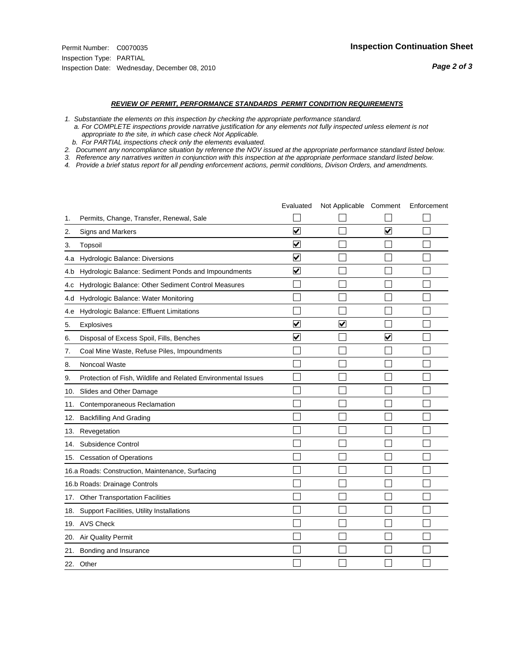#### *REVIEW OF PERMIT, PERFORMANCE STANDARDS PERMIT CONDITION REQUIREMENTS*

- *1. Substantiate the elements on this inspection by checking the appropriate performance standard.*
- *a. For COMPLETE inspections provide narrative justification for any elements not fully inspected unless element is not appropriate to the site, in which case check Not Applicable.*
- *b. For PARTIAL inspections check only the elements evaluated.*
- *2. Document any noncompliance situation by reference the NOV issued at the appropriate performance standard listed below.*
- *3. Reference any narratives written in conjunction with this inspection at the appropriate performace standard listed below.*
- *4. Provide a brief status report for all pending enforcement actions, permit conditions, Divison Orders, and amendments.*

|     |                                                               | Evaluated               | Not Applicable Comment |                                 | Enforcement |
|-----|---------------------------------------------------------------|-------------------------|------------------------|---------------------------------|-------------|
| 1.  | Permits, Change, Transfer, Renewal, Sale                      |                         |                        |                                 |             |
| 2.  | <b>Signs and Markers</b>                                      | $\overline{\mathbf{v}}$ |                        | $\overline{\blacktriangledown}$ |             |
| 3.  | Topsoil                                                       | $\overline{\mathbf{v}}$ |                        |                                 |             |
| 4.a | Hydrologic Balance: Diversions                                | V                       |                        |                                 |             |
| 4.b | Hydrologic Balance: Sediment Ponds and Impoundments           | ⊻                       |                        |                                 |             |
| 4.C | Hydrologic Balance: Other Sediment Control Measures           |                         |                        |                                 |             |
| 4.d | Hydrologic Balance: Water Monitoring                          |                         |                        |                                 |             |
| 4.e | Hydrologic Balance: Effluent Limitations                      |                         |                        |                                 |             |
| 5.  | Explosives                                                    | $\overline{\mathsf{v}}$ | $\blacktriangledown$   |                                 |             |
| 6.  | Disposal of Excess Spoil, Fills, Benches                      | $\blacktriangledown$    |                        | ⊻                               |             |
| 7.  | Coal Mine Waste, Refuse Piles, Impoundments                   |                         |                        |                                 |             |
| 8.  | Noncoal Waste                                                 |                         |                        |                                 |             |
| 9.  | Protection of Fish, Wildlife and Related Environmental Issues |                         |                        |                                 |             |
| 10. | Slides and Other Damage                                       |                         |                        |                                 |             |
| 11. | Contemporaneous Reclamation                                   |                         |                        |                                 |             |
| 12. | <b>Backfilling And Grading</b>                                |                         |                        |                                 |             |
| 13. | Revegetation                                                  |                         |                        |                                 |             |
| 14. | Subsidence Control                                            |                         |                        |                                 |             |
| 15. | <b>Cessation of Operations</b>                                |                         |                        |                                 |             |
|     | 16.a Roads: Construction, Maintenance, Surfacing              |                         |                        |                                 |             |
|     | 16.b Roads: Drainage Controls                                 |                         |                        |                                 |             |
| 17. | <b>Other Transportation Facilities</b>                        |                         |                        |                                 |             |
| 18. | Support Facilities, Utility Installations                     |                         |                        |                                 |             |
|     | 19. AVS Check                                                 |                         |                        |                                 |             |
| 20. | Air Quality Permit                                            |                         |                        |                                 |             |
| 21. | Bonding and Insurance                                         |                         |                        |                                 |             |
|     | 22. Other                                                     |                         |                        |                                 |             |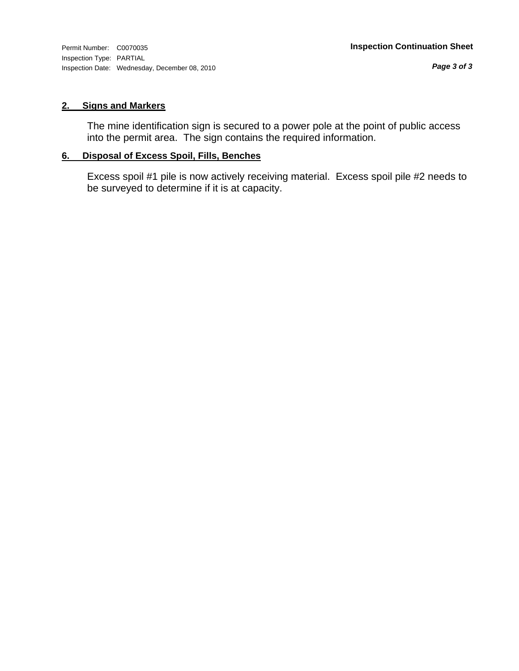#### **2. Signs and Markers**

The mine identification sign is secured to a power pole at the point of public access into the permit area. The sign contains the required information.

#### **6. Disposal of Excess Spoil, Fills, Benches**

Excess spoil #1 pile is now actively receiving material. Excess spoil pile #2 needs to be surveyed to determine if it is at capacity.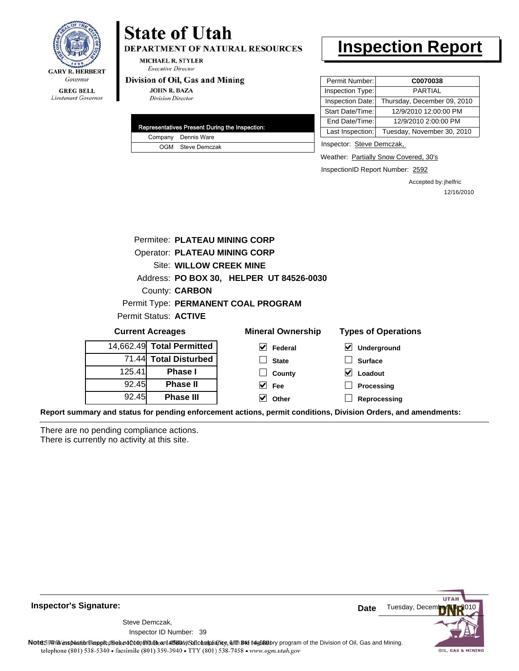

**DEPARTMENT OF NATURAL RESOURCES** 

**MICHAEL R. STYLER Executive Director** 

#### Division of Oil, Gas and Mining

**JOHN R. BAZA Division Director** 

|  | Representatives Present During the Inspection: |
|--|------------------------------------------------|
|  | Company Dennis Ware                            |
|  | OGM Steve Demczak                              |

## **Inspection Report**

| Permit Number:   | C0070038                    |
|------------------|-----------------------------|
| Inspection Type: | <b>PARTIAL</b>              |
| Inspection Date: | Thursday, December 09, 2010 |
| Start Date/Time: | 12/9/2010 12:00:00 PM       |
| End Date/Time:   | 12/9/2010 2:00:00 PM        |
| Last Inspection: | Tuesday, November 30, 2010  |

Inspector: Steve Demczak,

Weather: Partially Snow Covered, 30's

InspectionID Report Number: 2592

Accepted by: jhelfric 12/16/2010

|        | Permitee: PLATEAU MINING CORP        |                                          |                                                |  |  |  |
|--------|--------------------------------------|------------------------------------------|------------------------------------------------|--|--|--|
|        | <b>Operator: PLATEAU MINING CORP</b> |                                          |                                                |  |  |  |
|        | <b>Site: WILLOW CREEK MINE</b>       |                                          |                                                |  |  |  |
|        |                                      | Address: PO BOX 30, HELPER UT 84526-0030 |                                                |  |  |  |
|        | County: <b>CARBON</b>                |                                          |                                                |  |  |  |
|        |                                      | Permit Type: PERMANENT COAL PROGRAM      |                                                |  |  |  |
|        | Permit Status: ACTIVE                |                                          |                                                |  |  |  |
|        | <b>Current Acreages</b>              | <b>Mineral Ownership</b>                 | <b>Types of Operations</b>                     |  |  |  |
|        | 14,662.49 Total Permitted            | M<br>Federal                             | V<br>Underground                               |  |  |  |
|        | 71.44 Total Disturbed                | <b>State</b>                             | <b>Surface</b>                                 |  |  |  |
| 125.41 | <b>Phase I</b>                       | County                                   | M<br>Loadout                                   |  |  |  |
| 92.45  | <b>Phase II</b>                      | M<br>Fee                                 | Processing                                     |  |  |  |
| 92.45  | <b>Phase III</b>                     | Other<br>V                               | Reprocessing                                   |  |  |  |
|        | d etetus far randina manf            |                                          | ana mampitang ditiana Disialan Ondana ang anas |  |  |  |

**Report summary and status for pending enforcement actions, permit conditions, Division Orders, and amendments:**

There are no pending compliance actions. There is currently no activity at this site.



**Inspector's Signature:**

Inspector ID Number: 39 Steve Demczak,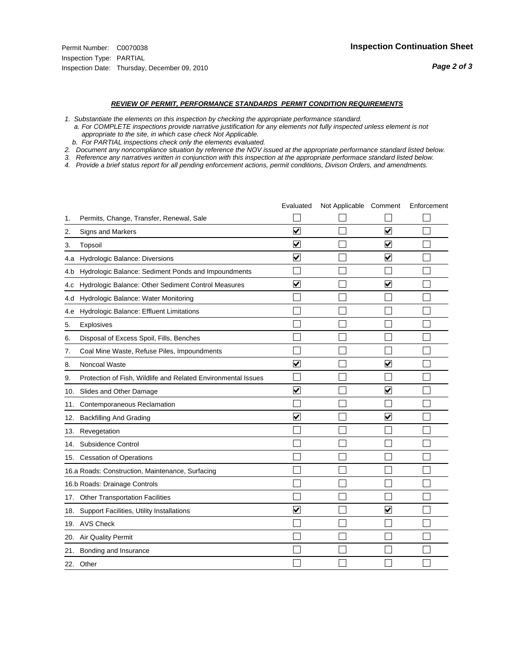#### *REVIEW OF PERMIT, PERFORMANCE STANDARDS PERMIT CONDITION REQUIREMENTS*

- *1. Substantiate the elements on this inspection by checking the appropriate performance standard.*
- *a. For COMPLETE inspections provide narrative justification for any elements not fully inspected unless element is not appropriate to the site, in which case check Not Applicable.*
- *b. For PARTIAL inspections check only the elements evaluated.*
- *2. Document any noncompliance situation by reference the NOV issued at the appropriate performance standard listed below.*
- *3. Reference any narratives written in conjunction with this inspection at the appropriate performace standard listed below.*
- *4. Provide a brief status report for all pending enforcement actions, permit conditions, Divison Orders, and amendments.*

|     |                                                               | Evaluated               | Not Applicable Comment |                         | Enforcement |
|-----|---------------------------------------------------------------|-------------------------|------------------------|-------------------------|-------------|
| 1.  | Permits, Change, Transfer, Renewal, Sale                      |                         |                        |                         |             |
| 2.  | <b>Signs and Markers</b>                                      | $\overline{\mathbf{v}}$ |                        | $\blacktriangledown$    |             |
| 3.  | Topsoil                                                       | $\overline{\mathbf{v}}$ |                        | $\overline{\mathsf{v}}$ |             |
| 4.a | Hydrologic Balance: Diversions                                | $\overline{\mathsf{v}}$ |                        | $\blacktriangledown$    |             |
| 4.b | Hydrologic Balance: Sediment Ponds and Impoundments           |                         |                        |                         |             |
| 4.c | Hydrologic Balance: Other Sediment Control Measures           | $\overline{\mathbf{v}}$ |                        | $\overline{\mathbf{v}}$ |             |
| 4.d | Hydrologic Balance: Water Monitoring                          |                         |                        |                         |             |
| 4.e | Hydrologic Balance: Effluent Limitations                      |                         |                        |                         |             |
| 5.  | <b>Explosives</b>                                             |                         |                        |                         |             |
| 6.  | Disposal of Excess Spoil, Fills, Benches                      |                         |                        |                         |             |
| 7.  | Coal Mine Waste, Refuse Piles, Impoundments                   |                         |                        |                         |             |
| 8.  | Noncoal Waste                                                 | $\overline{\mathsf{v}}$ |                        | $\overline{\mathbf{v}}$ |             |
| 9.  | Protection of Fish, Wildlife and Related Environmental Issues |                         |                        |                         |             |
|     | 10. Slides and Other Damage                                   | ⊽                       |                        | ☑                       |             |
| 11. | Contemporaneous Reclamation                                   |                         |                        |                         |             |
| 12. | <b>Backfilling And Grading</b>                                | $\overline{\mathsf{v}}$ |                        | $\blacktriangledown$    |             |
| 13. | Revegetation                                                  |                         |                        |                         |             |
| 14. | Subsidence Control                                            |                         |                        |                         |             |
|     | 15. Cessation of Operations                                   |                         |                        |                         |             |
|     | 16.a Roads: Construction, Maintenance, Surfacing              |                         |                        |                         |             |
|     | 16.b Roads: Drainage Controls                                 |                         |                        |                         |             |
| 17. | <b>Other Transportation Facilities</b>                        |                         |                        |                         |             |
| 18. | Support Facilities, Utility Installations                     | $\overline{\mathbf{v}}$ |                        | $\blacktriangledown$    |             |
|     | 19. AVS Check                                                 |                         |                        |                         |             |
| 20. | Air Quality Permit                                            |                         |                        |                         |             |
| 21. | Bonding and Insurance                                         |                         |                        |                         |             |
|     | 22. Other                                                     |                         |                        |                         |             |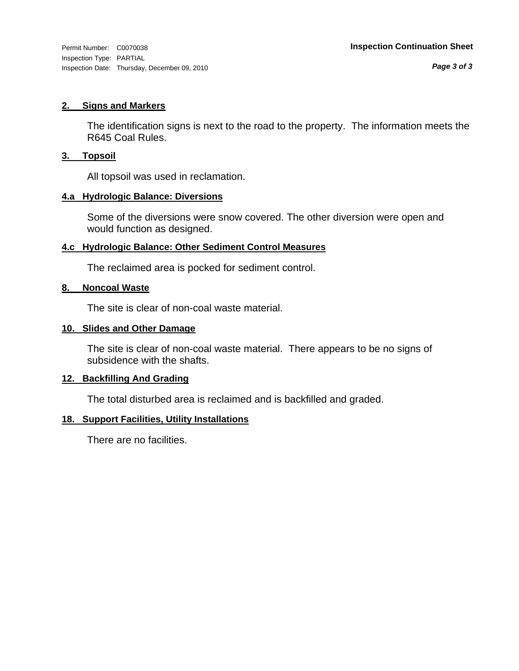#### **2. Signs and Markers**

The identification signs is next to the road to the property. The information meets the R645 Coal Rules.

#### **3. Topsoil**

All topsoil was used in reclamation.

#### **4.a Hydrologic Balance: Diversions**

Some of the diversions were snow covered. The other diversion were open and would function as designed.

#### **4.c Hydrologic Balance: Other Sediment Control Measures**

The reclaimed area is pocked for sediment control.

#### **8. Noncoal Waste**

The site is clear of non-coal waste material.

#### **10. Slides and Other Damage**

The site is clear of non-coal waste material. There appears to be no signs of subsidence with the shafts.

#### **12. Backfilling And Grading**

The total disturbed area is reclaimed and is backfilled and graded.

#### **18. Support Facilities, Utility Installations**

There are no facilities.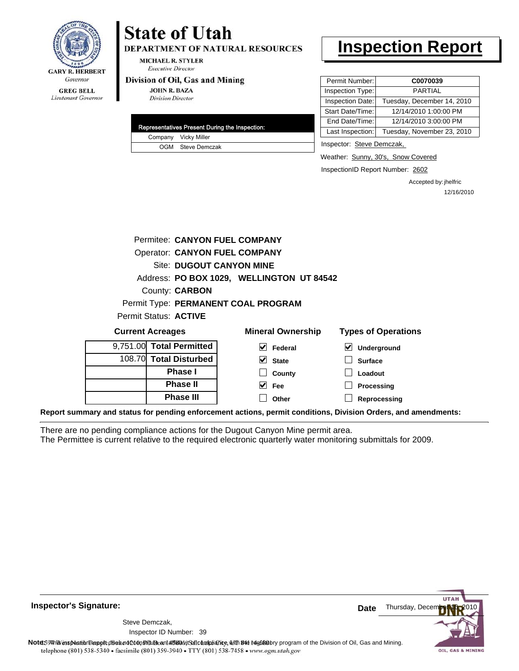

**DEPARTMENT OF NATURAL RESOURCES** 

**MICHAEL R. STYLER Executive Director** 

#### Division of Oil, Gas and Mining

**JOHN R. BAZA Division Director** 

|  | Representatives Present During the Inspection: |
|--|------------------------------------------------|
|  | Company Vicky Miller                           |
|  | OGM Steve Demczak                              |

## **Inspection Report**

| Permit Number:   | C0070039                   |
|------------------|----------------------------|
| Inspection Type: | <b>PARTIAL</b>             |
| Inspection Date: | Tuesday, December 14, 2010 |
| Start Date/Time: | 12/14/2010 1:00:00 PM      |
| End Date/Time:   | 12/14/2010 3:00:00 PM      |
| Last Inspection: | Tuesday, November 23, 2010 |

Inspector: Steve Demczak,

Weather: Sunny, 30's, Snow Covered

InspectionID Report Number: 2602

Accepted by: jhelfric 12/16/2010

| Permitee: CANYON FUEL COMPANY        |                                           |                                                                                                                |
|--------------------------------------|-------------------------------------------|----------------------------------------------------------------------------------------------------------------|
| <b>Operator: CANYON FUEL COMPANY</b> |                                           |                                                                                                                |
| <b>Site: DUGOUT CANYON MINE</b>      |                                           |                                                                                                                |
|                                      | Address: PO BOX 1029, WELLINGTON UT 84542 |                                                                                                                |
| County: <b>CARBON</b>                |                                           |                                                                                                                |
|                                      | Permit Type: PERMANENT COAL PROGRAM       |                                                                                                                |
| Permit Status: ACTIVE                |                                           |                                                                                                                |
| <b>Current Acreages</b>              | <b>Mineral Ownership</b>                  | <b>Types of Operations</b>                                                                                     |
| 9,751.00 Total Permitted             | $\vee$ Federal                            | V<br>Underground                                                                                               |
| 108.70 Total Disturbed               | $\vee$ State                              | <b>Surface</b>                                                                                                 |
| <b>Phase I</b>                       | County                                    | Loadout                                                                                                        |
| <b>Phase II</b>                      | $\vee$ Fee                                | Processing                                                                                                     |
| <b>Phase III</b>                     | Other                                     | Reprocessing                                                                                                   |
|                                      |                                           | Report summary and status for pending enforcement actions, permit conditions, Division Orders, and amendments: |

There are no pending compliance actions for the Dugout Canyon Mine permit area. The Permittee is current relative to the required electronic quarterly water monitoring submittals for 2009.





Note59#htviespection lepptt does not constitute an affidavitSal compliance, with the regulatory program of the Division of Oil, Gas and Mining. telephone (801) 538-5340 · facsimile (801) 359-3940 · TTY (801) 538-7458 · www.ogm.utah.gov

**Inspector's Signature:**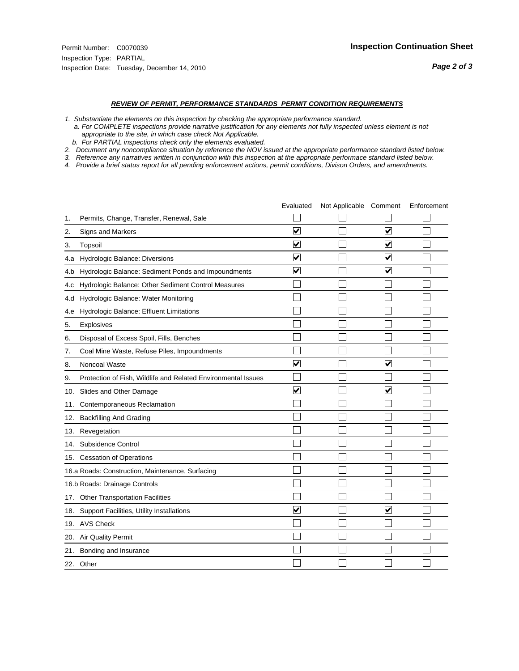#### *REVIEW OF PERMIT, PERFORMANCE STANDARDS PERMIT CONDITION REQUIREMENTS*

*1. Substantiate the elements on this inspection by checking the appropriate performance standard.*

 *a. For COMPLETE inspections provide narrative justification for any elements not fully inspected unless element is not appropriate to the site, in which case check Not Applicable.*

 *b. For PARTIAL inspections check only the elements evaluated.*

*2. Document any noncompliance situation by reference the NOV issued at the appropriate performance standard listed below.*

*3. Reference any narratives written in conjunction with this inspection at the appropriate performace standard listed below.*

*4. Provide a brief status report for all pending enforcement actions, permit conditions, Divison Orders, and amendments.*

|     |                                                               | Evaluated               | Not Applicable Comment |                         | Enforcement |
|-----|---------------------------------------------------------------|-------------------------|------------------------|-------------------------|-------------|
| 1.  | Permits, Change, Transfer, Renewal, Sale                      |                         |                        |                         |             |
| 2.  | <b>Signs and Markers</b>                                      | $\overline{\mathbf{v}}$ |                        | $\overline{\mathbf{v}}$ |             |
| 3.  | Topsoil                                                       | $\overline{\mathbf{v}}$ |                        | $\blacktriangledown$    |             |
| 4.a | Hydrologic Balance: Diversions                                | ⊽                       |                        | ⊽                       |             |
| 4.b | Hydrologic Balance: Sediment Ponds and Impoundments           | $\blacktriangledown$    |                        | ⊻                       |             |
| 4.C | Hydrologic Balance: Other Sediment Control Measures           |                         |                        |                         |             |
| 4.d | Hydrologic Balance: Water Monitoring                          |                         |                        |                         |             |
| 4.e | Hydrologic Balance: Effluent Limitations                      |                         |                        |                         |             |
| 5.  | Explosives                                                    |                         |                        |                         |             |
| 6.  | Disposal of Excess Spoil, Fills, Benches                      |                         |                        |                         |             |
| 7.  | Coal Mine Waste, Refuse Piles, Impoundments                   |                         |                        |                         |             |
| 8.  | Noncoal Waste                                                 | $\overline{\mathsf{v}}$ |                        | $\overline{\mathbf{v}}$ |             |
| 9.  | Protection of Fish, Wildlife and Related Environmental Issues |                         |                        |                         |             |
|     | 10. Slides and Other Damage                                   | $\blacktriangledown$    |                        | ✓                       |             |
| 11. | Contemporaneous Reclamation                                   |                         |                        |                         |             |
| 12. | <b>Backfilling And Grading</b>                                |                         |                        |                         |             |
| 13. | Revegetation                                                  |                         |                        |                         |             |
| 14. | Subsidence Control                                            |                         |                        |                         |             |
|     | 15. Cessation of Operations                                   |                         |                        |                         |             |
|     | 16.a Roads: Construction, Maintenance, Surfacing              |                         |                        |                         |             |
|     | 16.b Roads: Drainage Controls                                 |                         |                        |                         |             |
|     | 17. Other Transportation Facilities                           |                         |                        |                         |             |
| 18. | Support Facilities, Utility Installations                     | $\overline{\mathbf{v}}$ |                        | $\blacktriangledown$    |             |
|     | 19. AVS Check                                                 |                         |                        |                         |             |
| 20. | Air Quality Permit                                            |                         |                        |                         |             |
|     | 21. Bonding and Insurance                                     |                         |                        |                         |             |
|     | 22. Other                                                     |                         |                        |                         |             |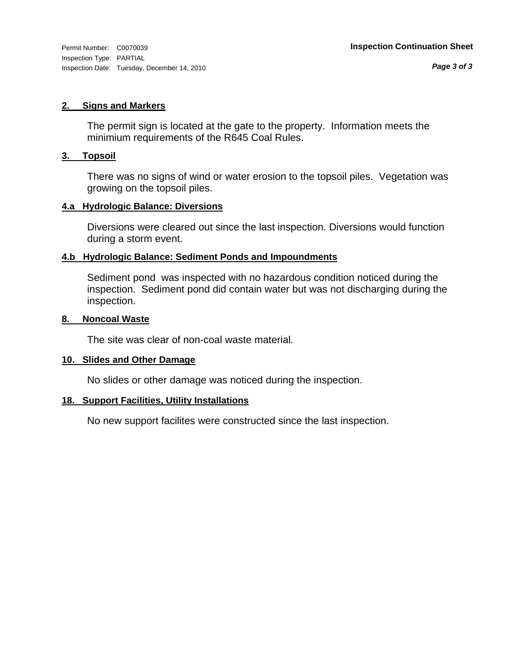#### **2. Signs and Markers**

The permit sign is located at the gate to the property. Information meets the minimium requirements of the R645 Coal Rules.

#### **3. Topsoil**

There was no signs of wind or water erosion to the topsoil piles. Vegetation was growing on the topsoil piles.

#### **4.a Hydrologic Balance: Diversions**

Diversions were cleared out since the last inspection. Diversions would function during a storm event.

#### **4.b Hydrologic Balance: Sediment Ponds and Impoundments**

Sediment pond was inspected with no hazardous condition noticed during the inspection. Sediment pond did contain water but was not discharging during the inspection.

#### **8. Noncoal Waste**

The site was clear of non-coal waste material.

#### **10. Slides and Other Damage**

No slides or other damage was noticed during the inspection.

#### **18. Support Facilities, Utility Installations**

No new support facilites were constructed since the last inspection.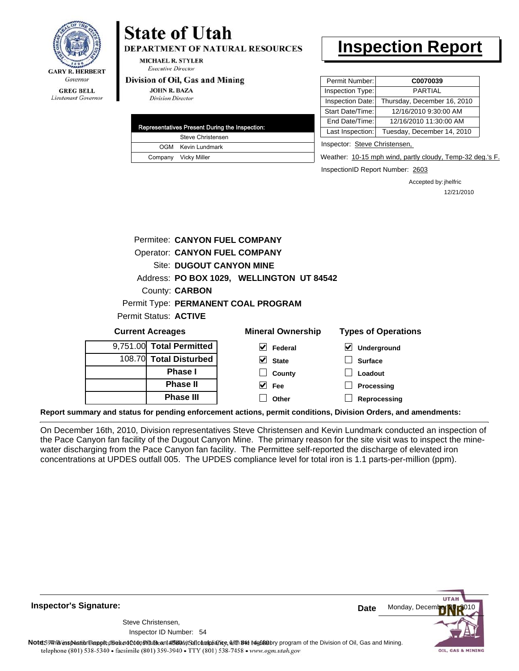

**DEPARTMENT OF NATURAL RESOURCES** 

MICHAEL R. STYLER **Executive Director** 

#### Division of Oil, Gas and Mining

**Phase III**

**JOHN R. BAZA Division Director** 

| Representatives Present During the Inspection: |
|------------------------------------------------|
| Steve Christensen                              |
| OGM Kevin Lundmark                             |
| Company Vicky Miller                           |

## **Inspection Report**

| Permit Number:                     | C0070039                    |
|------------------------------------|-----------------------------|
| Inspection Type:                   | <b>PARTIAL</b>              |
| Inspection Date:                   | Thursday, December 16, 2010 |
| Start Date/Time:                   | 12/16/2010 9:30:00 AM       |
| End Date/Time:                     | 12/16/2010 11:30:00 AM      |
| Last Inspection:                   | Tuesday, December 14, 2010  |
| $\sim$ $\sim$ $\sim$ $\sim$ $\sim$ |                             |

Inspector: Steve Christensen,

Weather: 10-15 mph wind, partly cloudy, Temp-32 deg.'s F.

InspectionID Report Number: 2603

**Reprocessing**

Accepted by: jhelfric 12/21/2010

| Permitee: CANYON FUEL COMPANY        |                                           |                            |  |  |  |
|--------------------------------------|-------------------------------------------|----------------------------|--|--|--|
| <b>Operator: CANYON FUEL COMPANY</b> |                                           |                            |  |  |  |
| <b>Site: DUGOUT CANYON MINE</b>      |                                           |                            |  |  |  |
|                                      | Address: PO BOX 1029, WELLINGTON UT 84542 |                            |  |  |  |
| County: <b>CARBON</b>                |                                           |                            |  |  |  |
|                                      | Permit Type: PERMANENT COAL PROGRAM       |                            |  |  |  |
| <b>Permit Status: ACTIVE</b>         |                                           |                            |  |  |  |
| <b>Current Acreages</b>              | <b>Mineral Ownership</b>                  | <b>Types of Operations</b> |  |  |  |
| 9,751.00 Total Permitted             | V<br>Federal                              | M<br>Underground           |  |  |  |
| 108.70 Total Disturbed               | V<br><b>State</b>                         | <b>Surface</b>             |  |  |  |
| <b>Phase I</b>                       | County                                    | Loadout                    |  |  |  |
| <b>Phase II</b>                      | Fee                                       | Processing                 |  |  |  |

**Report summary and status for pending enforcement actions, permit conditions, Division Orders, and amendments:**

On December 16th, 2010, Division representatives Steve Christensen and Kevin Lundmark conducted an inspection of the Pace Canyon fan facility of the Dugout Canyon Mine. The primary reason for the site visit was to inspect the minewater discharging from the Pace Canyon fan facility. The Permittee self-reported the discharge of elevated iron concentrations at UPDES outfall 005. The UPDES compliance level for total iron is 1.1 parts-per-million (ppm).

**Other**

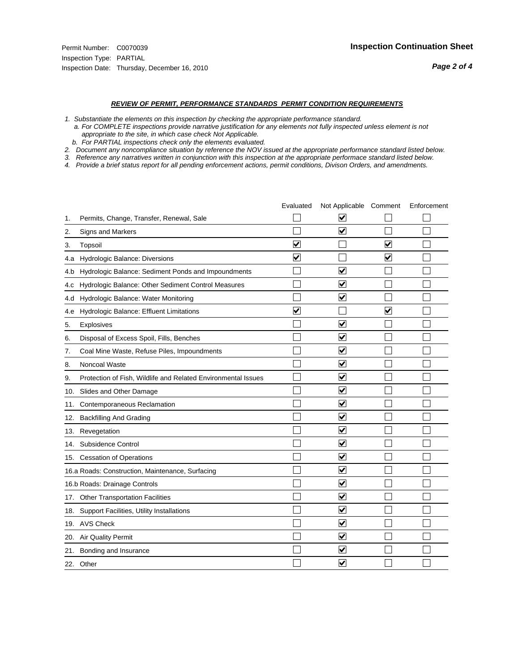#### *REVIEW OF PERMIT, PERFORMANCE STANDARDS PERMIT CONDITION REQUIREMENTS*

*1. Substantiate the elements on this inspection by checking the appropriate performance standard.*

 *a. For COMPLETE inspections provide narrative justification for any elements not fully inspected unless element is not appropriate to the site, in which case check Not Applicable.*

 *b. For PARTIAL inspections check only the elements evaluated.*

*2. Document any noncompliance situation by reference the NOV issued at the appropriate performance standard listed below.*

*3. Reference any narratives written in conjunction with this inspection at the appropriate performace standard listed below.*

*4. Provide a brief status report for all pending enforcement actions, permit conditions, Divison Orders, and amendments.*

|     |                                                               | Evaluated               | Not Applicable Comment          |                         | Enforcement |
|-----|---------------------------------------------------------------|-------------------------|---------------------------------|-------------------------|-------------|
| 1.  | Permits, Change, Transfer, Renewal, Sale                      |                         | V                               |                         |             |
| 2.  | Signs and Markers                                             |                         | ☑                               |                         |             |
| 3.  | Topsoil                                                       | $\overline{\mathbf{v}}$ |                                 | $\overline{\mathbf{v}}$ |             |
| 4.a | Hydrologic Balance: Diversions                                | $\overline{\mathsf{v}}$ |                                 | $\blacktriangledown$    |             |
| 4.b | Hydrologic Balance: Sediment Ponds and Impoundments           |                         | $\overline{\mathbf{v}}$         |                         |             |
| 4.c | Hydrologic Balance: Other Sediment Control Measures           |                         | $\overline{\mathbf{v}}$         |                         |             |
| 4.d | Hydrologic Balance: Water Monitoring                          |                         | $\overline{\blacktriangledown}$ |                         |             |
| 4.e | Hydrologic Balance: Effluent Limitations                      | $\overline{\mathbf{v}}$ |                                 | $\blacktriangledown$    |             |
| 5.  | Explosives                                                    |                         | $\blacktriangledown$            |                         |             |
| 6.  | Disposal of Excess Spoil, Fills, Benches                      |                         | $\overline{\mathsf{v}}$         |                         |             |
| 7.  | Coal Mine Waste, Refuse Piles, Impoundments                   |                         | ☑                               |                         |             |
| 8.  | Noncoal Waste                                                 |                         | $\overline{\mathbf{v}}$         |                         |             |
| 9.  | Protection of Fish, Wildlife and Related Environmental Issues |                         | $\blacktriangledown$            |                         |             |
| 10. | Slides and Other Damage                                       |                         | $\blacktriangledown$            |                         |             |
| 11. | Contemporaneous Reclamation                                   |                         | $\blacktriangledown$            |                         |             |
| 12. | <b>Backfilling And Grading</b>                                |                         | $\overline{\mathbf{v}}$         |                         |             |
| 13. | Revegetation                                                  |                         | $\overline{\blacktriangledown}$ |                         |             |
| 14. | Subsidence Control                                            |                         | $\overline{\mathbf{v}}$         |                         |             |
|     | 15. Cessation of Operations                                   |                         | $\blacktriangledown$            |                         |             |
|     | 16.a Roads: Construction, Maintenance, Surfacing              |                         | $\blacktriangledown$            |                         |             |
|     | 16.b Roads: Drainage Controls                                 |                         | $\overline{\mathbf{v}}$         |                         |             |
| 17. | <b>Other Transportation Facilities</b>                        |                         | $\blacktriangledown$            |                         |             |
|     | 18. Support Facilities, Utility Installations                 |                         | $\overline{\mathbf{v}}$         |                         |             |
|     | 19. AVS Check                                                 |                         | $\overline{\blacktriangledown}$ |                         |             |
| 20. | Air Quality Permit                                            |                         | $\blacktriangledown$            |                         |             |
| 21. | Bonding and Insurance                                         |                         | $\overline{\mathbf{v}}$         |                         |             |
|     | 22. Other                                                     |                         | $\overline{\mathbf{v}}$         |                         |             |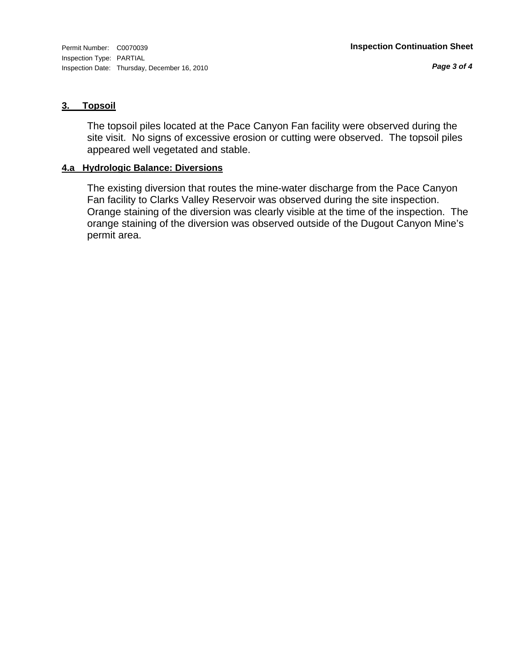*Page 3 of 4*

#### **3. Topsoil**

The topsoil piles located at the Pace Canyon Fan facility were observed during the site visit. No signs of excessive erosion or cutting were observed. The topsoil piles appeared well vegetated and stable.

#### **4.a Hydrologic Balance: Diversions**

The existing diversion that routes the mine-water discharge from the Pace Canyon Fan facility to Clarks Valley Reservoir was observed during the site inspection. Orange staining of the diversion was clearly visible at the time of the inspection. The orange staining of the diversion was observed outside of the Dugout Canyon Mine's permit area.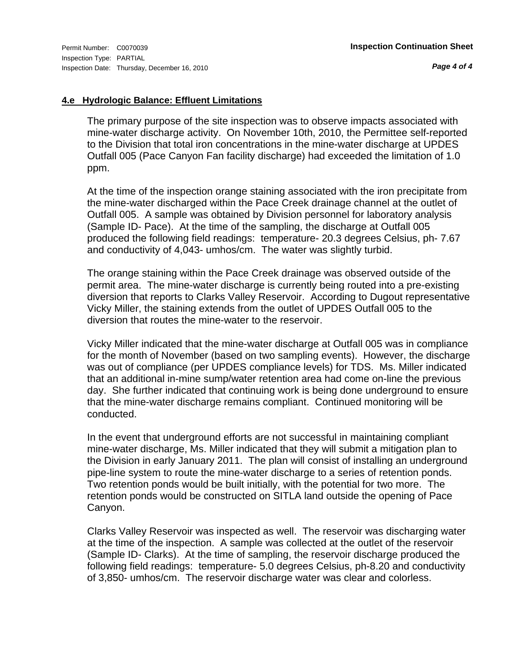*Page 4 of 4*

#### **4.e Hydrologic Balance: Effluent Limitations**

The primary purpose of the site inspection was to observe impacts associated with mine-water discharge activity. On November 10th, 2010, the Permittee self-reported to the Division that total iron concentrations in the mine-water discharge at UPDES Outfall 005 (Pace Canyon Fan facility discharge) had exceeded the limitation of 1.0 ppm.

At the time of the inspection orange staining associated with the iron precipitate from the mine-water discharged within the Pace Creek drainage channel at the outlet of Outfall 005. A sample was obtained by Division personnel for laboratory analysis (Sample ID- Pace). At the time of the sampling, the discharge at Outfall 005 produced the following field readings: temperature- 20.3 degrees Celsius, ph- 7.67 and conductivity of 4,043- umhos/cm. The water was slightly turbid.

The orange staining within the Pace Creek drainage was observed outside of the permit area. The mine-water discharge is currently being routed into a pre-existing diversion that reports to Clarks Valley Reservoir. According to Dugout representative Vicky Miller, the staining extends from the outlet of UPDES Outfall 005 to the diversion that routes the mine-water to the reservoir.

Vicky Miller indicated that the mine-water discharge at Outfall 005 was in compliance for the month of November (based on two sampling events). However, the discharge was out of compliance (per UPDES compliance levels) for TDS. Ms. Miller indicated that an additional in-mine sump/water retention area had come on-line the previous day. She further indicated that continuing work is being done underground to ensure that the mine-water discharge remains compliant. Continued monitoring will be conducted.

In the event that underground efforts are not successful in maintaining compliant mine-water discharge, Ms. Miller indicated that they will submit a mitigation plan to the Division in early January 2011. The plan will consist of installing an underground pipe-line system to route the mine-water discharge to a series of retention ponds. Two retention ponds would be built initially, with the potential for two more. The retention ponds would be constructed on SITLA land outside the opening of Pace Canyon.

Clarks Valley Reservoir was inspected as well. The reservoir was discharging water at the time of the inspection. A sample was collected at the outlet of the reservoir (Sample ID- Clarks). At the time of sampling, the reservoir discharge produced the following field readings: temperature- 5.0 degrees Celsius, ph-8.20 and conductivity of 3,850- umhos/cm. The reservoir discharge water was clear and colorless.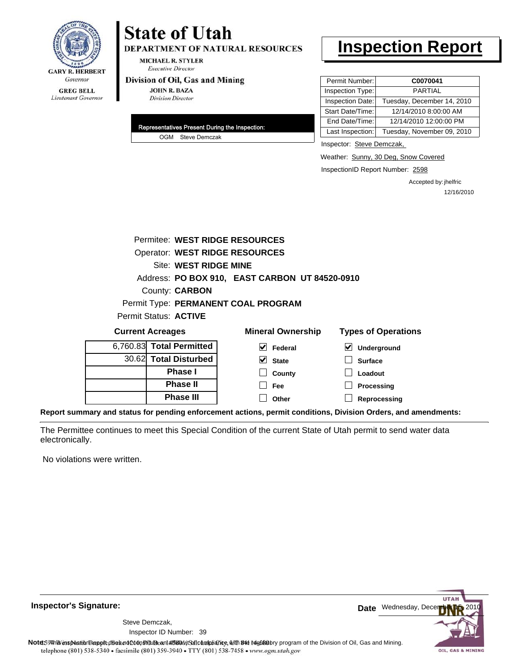

### **State of Utah DEPARTMENT OF NATURAL RESOURCES**

**MICHAEL R. STYLER Executive Director** 

#### Division of Oil, Gas and Mining

**JOHN R. BAZA Division Director** 

| Representatives Present During the Inspection: |
|------------------------------------------------|
| OGM Steve Demczak                              |

## **Inspection Report**

| Permit Number:   | C0070041                   |
|------------------|----------------------------|
| Inspection Type: | <b>PARTIAL</b>             |
| Inspection Date: | Tuesday, December 14, 2010 |
| Start Date/Time: | 12/14/2010 8:00:00 AM      |
| End Date/Time:   | 12/14/2010 12:00:00 PM     |
| Last Inspection: | Tuesday, November 09, 2010 |

Inspector: Steve Demczak,

Weather: Sunny, 30 Deg, Snow Covered

InspectionID Report Number: 2598

Accepted by: jhelfric 12/16/2010

| Permitee: WEST RIDGE RESOURCES        |                                                |                            |
|---------------------------------------|------------------------------------------------|----------------------------|
| <b>Operator: WEST RIDGE RESOURCES</b> |                                                |                            |
| Site: WEST RIDGE MINE                 |                                                |                            |
|                                       | Address: PO BOX 910, EAST CARBON UT 84520-0910 |                            |
| County: <b>CARBON</b>                 |                                                |                            |
|                                       | Permit Type: PERMANENT COAL PROGRAM            |                            |
| <b>Permit Status: ACTIVE</b>          |                                                |                            |
| <b>Current Acreages</b>               | <b>Mineral Ownership</b>                       | <b>Types of Operations</b> |
| 6,760.83 Total Permitted              | M<br>Federal                                   | ⊻<br>Underground           |
| 30.62 Total Disturbed                 | V<br><b>State</b>                              | <b>Surface</b>             |
| <b>Phase I</b>                        | County                                         | Loadout                    |
| <b>Phase II</b>                       | Fee                                            | Processing                 |
| <b>Phase III</b>                      | Other                                          | Reprocessing               |

**Report summary and status for pending enforcement actions, permit conditions, Division Orders, and amendments:**

The Permittee continues to meet this Special Condition of the current State of Utah permit to send water data electronically.

No violations were written.

**Inspector's Signature:**

Inspector ID Number: 39 Steve Demczak,

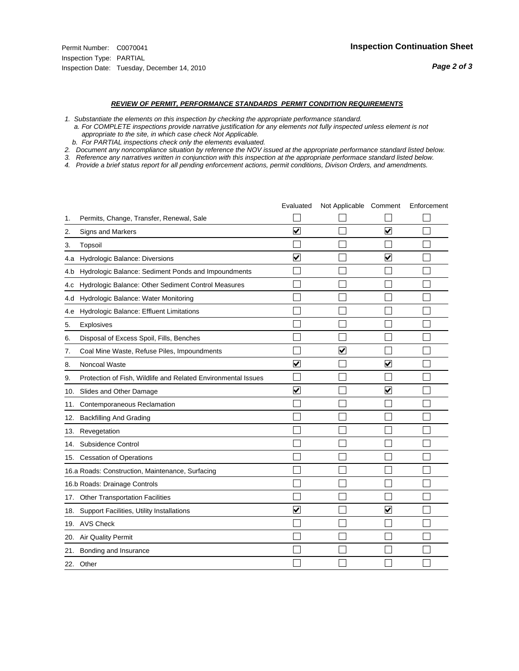#### *REVIEW OF PERMIT, PERFORMANCE STANDARDS PERMIT CONDITION REQUIREMENTS*

- *1. Substantiate the elements on this inspection by checking the appropriate performance standard.*
- *a. For COMPLETE inspections provide narrative justification for any elements not fully inspected unless element is not appropriate to the site, in which case check Not Applicable.*
- *b. For PARTIAL inspections check only the elements evaluated.*
- *2. Document any noncompliance situation by reference the NOV issued at the appropriate performance standard listed below.*
- *3. Reference any narratives written in conjunction with this inspection at the appropriate performace standard listed below.*
- *4. Provide a brief status report for all pending enforcement actions, permit conditions, Divison Orders, and amendments.*

|     |                                                               | Evaluated               | Not Applicable Comment |                      | Enforcement |
|-----|---------------------------------------------------------------|-------------------------|------------------------|----------------------|-------------|
| 1.  | Permits, Change, Transfer, Renewal, Sale                      |                         |                        |                      |             |
| 2.  | Signs and Markers                                             | $\overline{\mathbf{v}}$ |                        | ☑                    |             |
| 3.  | Topsoil                                                       |                         |                        |                      |             |
| 4.a | Hydrologic Balance: Diversions                                | ✔                       |                        | V                    |             |
| 4.b | Hydrologic Balance: Sediment Ponds and Impoundments           |                         |                        |                      |             |
| 4.c | Hydrologic Balance: Other Sediment Control Measures           |                         |                        |                      |             |
| 4.d | Hydrologic Balance: Water Monitoring                          |                         |                        |                      |             |
| 4.e | Hydrologic Balance: Effluent Limitations                      |                         |                        |                      |             |
| 5.  | <b>Explosives</b>                                             |                         |                        |                      |             |
| 6.  | Disposal of Excess Spoil, Fills, Benches                      |                         |                        |                      |             |
| 7.  | Coal Mine Waste, Refuse Piles, Impoundments                   |                         | ⊽                      |                      |             |
| 8.  | Noncoal Waste                                                 | ⊽                       |                        | V                    |             |
| 9.  | Protection of Fish, Wildlife and Related Environmental Issues |                         |                        |                      |             |
| 10. | Slides and Other Damage                                       | $\blacktriangledown$    |                        | ☑                    |             |
| 11. | Contemporaneous Reclamation                                   |                         |                        |                      |             |
| 12. | <b>Backfilling And Grading</b>                                |                         |                        |                      |             |
| 13. | Revegetation                                                  |                         |                        |                      |             |
| 14. | Subsidence Control                                            |                         |                        |                      |             |
|     | 15. Cessation of Operations                                   |                         |                        |                      |             |
|     | 16.a Roads: Construction, Maintenance, Surfacing              |                         |                        |                      |             |
|     | 16.b Roads: Drainage Controls                                 |                         |                        |                      |             |
| 17. | Other Transportation Facilities                               |                         |                        |                      |             |
| 18. | Support Facilities, Utility Installations                     | $\overline{\mathbf{v}}$ |                        | $\blacktriangledown$ |             |
|     | 19. AVS Check                                                 |                         |                        |                      |             |
| 20. | Air Quality Permit                                            |                         |                        |                      |             |
| 21. | Bonding and Insurance                                         |                         |                        |                      |             |
|     | 22. Other                                                     |                         |                        |                      |             |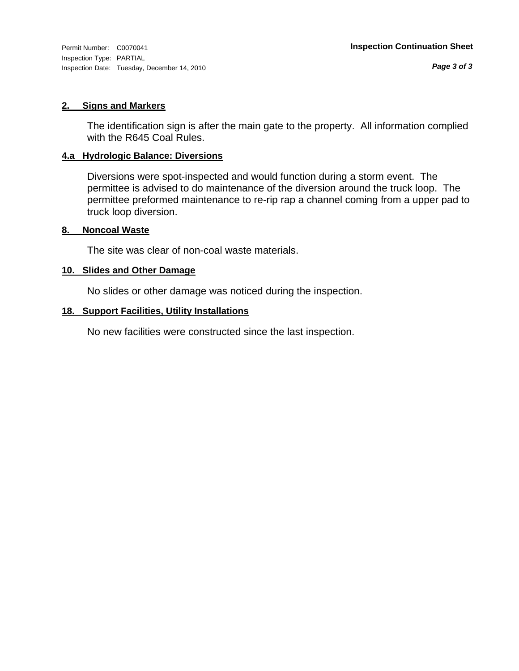Inspection Type: PARTIAL Inspection Date: Tuesday, December 14, 2010

#### **2. Signs and Markers**

The identification sign is after the main gate to the property. All information complied with the R645 Coal Rules.

#### **4.a Hydrologic Balance: Diversions**

Diversions were spot-inspected and would function during a storm event. The permittee is advised to do maintenance of the diversion around the truck loop. The permittee preformed maintenance to re-rip rap a channel coming from a upper pad to truck loop diversion.

#### **8. Noncoal Waste**

The site was clear of non-coal waste materials.

#### **10. Slides and Other Damage**

No slides or other damage was noticed during the inspection.

#### **18. Support Facilities, Utility Installations**

No new facilities were constructed since the last inspection.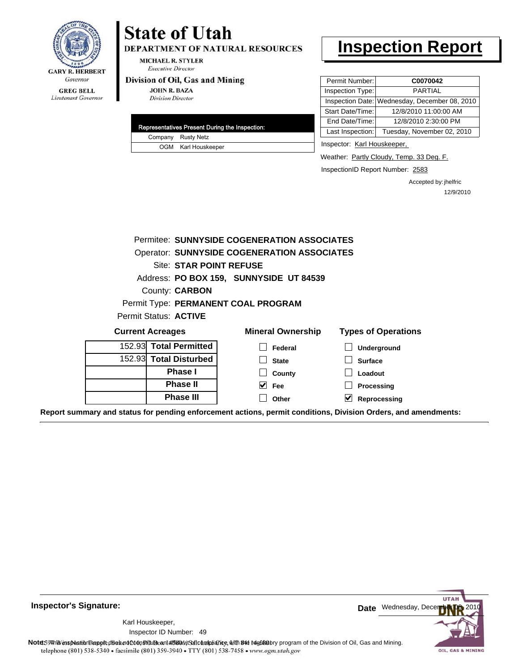

DEPARTMENT OF NATURAL RESOURCES

**MICHAEL R. STYLER Executive Director** 

#### Division of Oil, Gas and Mining

**JOHN R. BAZA Division Director** 

|  | Representatives Present During the Inspection: |
|--|------------------------------------------------|
|  | Company Rusty Netz                             |
|  | OGM Karl Houskeeper                            |

### **Inspection Report**

| Permit Number:   | C0070042                                      |
|------------------|-----------------------------------------------|
| Inspection Type: | <b>PARTIAL</b>                                |
|                  | Inspection Date: Wednesday, December 08, 2010 |
| Start Date/Time: | 12/8/2010 11:00:00 AM                         |
| End Date/Time:   | 12/8/2010 2:30:00 PM                          |
| Last Inspection: | Tuesday, November 02, 2010                    |

Inspector: Karl Houskeeper,

Weather: Partly Cloudy, Temp. 33 Deg. F.

InspectionID Report Number: 2583

Accepted by: jhelfric 12/9/2010

|                                     | Permitee: SUNNYSIDE COGENERATION ASSOCIATES        |                            |
|-------------------------------------|----------------------------------------------------|----------------------------|
|                                     | <b>Operator: SUNNYSIDE COGENERATION ASSOCIATES</b> |                            |
| Site: STAR POINT REFUSE             |                                                    |                            |
|                                     | Address: PO BOX 159, SUNNYSIDE UT 84539            |                            |
| County: <b>CARBON</b>               |                                                    |                            |
| Permit Type: PERMANENT COAL PROGRAM |                                                    |                            |
| Permit Status: ACTIVE               |                                                    |                            |
| <b>Current Acreages</b>             | <b>Mineral Ownership</b>                           | <b>Types of Operations</b> |
| 152.93 Total Permitted              | Federal                                            | <b>Underground</b>         |
| 152.93 Total Disturbed              | <b>State</b>                                       | <b>Surface</b>             |
| Phase I                             | County                                             | Loadout                    |
| <b>Phase II</b>                     | $\overline{\smash{\vee}}$ Fee                      | Processing                 |
|                                     |                                                    |                            |

**Inspector's Signature:**

49 Inspector ID Number:Karl Houskeeper,



Note: This inspection report does not constitute an affidavital compliance, with the regulatory program of the Division of Oil, Gas and Mining. telephone (801) 538-5340 · facsimile (801) 359-3940 · TTY (801) 538-7458 · www.ogm.utah.gov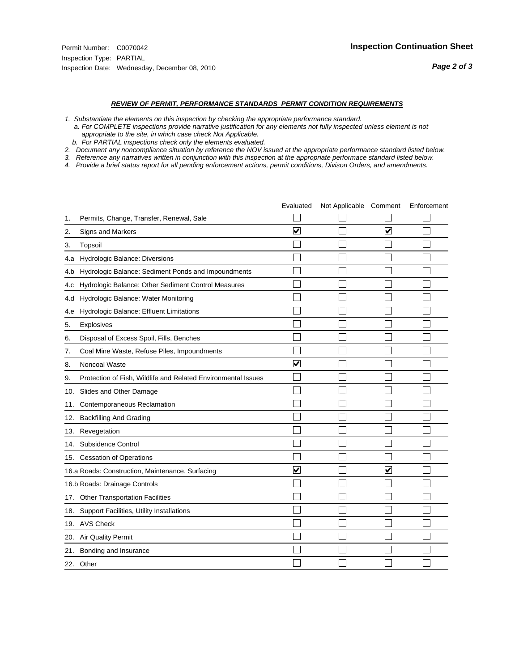#### *REVIEW OF PERMIT, PERFORMANCE STANDARDS PERMIT CONDITION REQUIREMENTS*

- *1. Substantiate the elements on this inspection by checking the appropriate performance standard.*
- *a. For COMPLETE inspections provide narrative justification for any elements not fully inspected unless element is not appropriate to the site, in which case check Not Applicable.*
- *b. For PARTIAL inspections check only the elements evaluated.*
- *2. Document any noncompliance situation by reference the NOV issued at the appropriate performance standard listed below.*
- *3. Reference any narratives written in conjunction with this inspection at the appropriate performace standard listed below.*
- *4. Provide a brief status report for all pending enforcement actions, permit conditions, Divison Orders, and amendments.*

|     |                                                               | Evaluated               | Not Applicable Comment |                         | Enforcement |
|-----|---------------------------------------------------------------|-------------------------|------------------------|-------------------------|-------------|
| 1.  | Permits, Change, Transfer, Renewal, Sale                      |                         |                        |                         |             |
| 2.  | <b>Signs and Markers</b>                                      | $\overline{\mathbf{v}}$ |                        | $\overline{\mathbf{v}}$ |             |
| 3.  | Topsoil                                                       |                         |                        |                         |             |
| 4.a | Hydrologic Balance: Diversions                                |                         |                        |                         |             |
| 4.b | Hydrologic Balance: Sediment Ponds and Impoundments           |                         |                        |                         |             |
| 4.C | Hydrologic Balance: Other Sediment Control Measures           |                         |                        |                         |             |
| 4.d | Hydrologic Balance: Water Monitoring                          |                         |                        |                         |             |
| 4.e | Hydrologic Balance: Effluent Limitations                      |                         |                        |                         |             |
| 5.  | Explosives                                                    |                         |                        |                         |             |
| 6.  | Disposal of Excess Spoil, Fills, Benches                      |                         |                        |                         |             |
| 7.  | Coal Mine Waste, Refuse Piles, Impoundments                   |                         |                        |                         |             |
| 8.  | Noncoal Waste                                                 | ⊽                       |                        |                         |             |
| 9.  | Protection of Fish, Wildlife and Related Environmental Issues |                         |                        |                         |             |
| 10. | Slides and Other Damage                                       |                         |                        |                         |             |
| 11. | Contemporaneous Reclamation                                   |                         |                        |                         |             |
| 12. | <b>Backfilling And Grading</b>                                |                         |                        |                         |             |
|     | 13. Revegetation                                              |                         |                        |                         |             |
| 14. | Subsidence Control                                            |                         |                        |                         |             |
|     | 15. Cessation of Operations                                   |                         |                        |                         |             |
|     | 16.a Roads: Construction, Maintenance, Surfacing              | V                       |                        | V                       |             |
|     | 16.b Roads: Drainage Controls                                 |                         |                        |                         |             |
| 17. | <b>Other Transportation Facilities</b>                        |                         |                        |                         |             |
| 18. | Support Facilities, Utility Installations                     |                         |                        |                         |             |
|     | 19. AVS Check                                                 |                         |                        |                         |             |
| 20. | <b>Air Quality Permit</b>                                     |                         |                        |                         |             |
|     | 21. Bonding and Insurance                                     |                         |                        |                         |             |
|     | 22. Other                                                     |                         |                        |                         |             |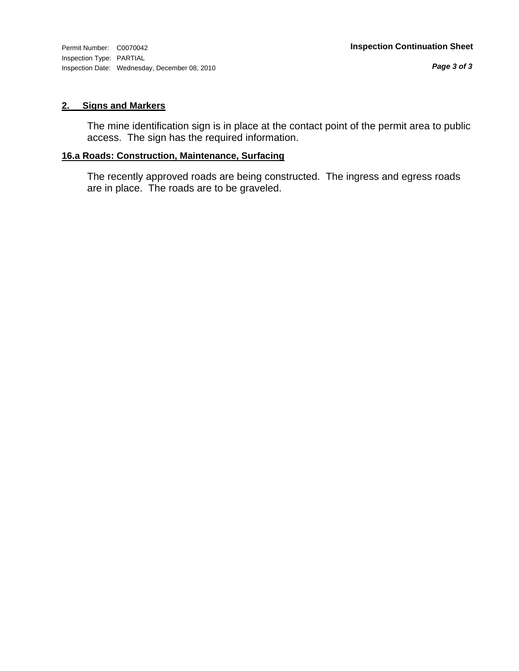#### **2. Signs and Markers**

The mine identification sign is in place at the contact point of the permit area to public access. The sign has the required information.

#### **16.a Roads: Construction, Maintenance, Surfacing**

The recently approved roads are being constructed. The ingress and egress roads are in place. The roads are to be graveled.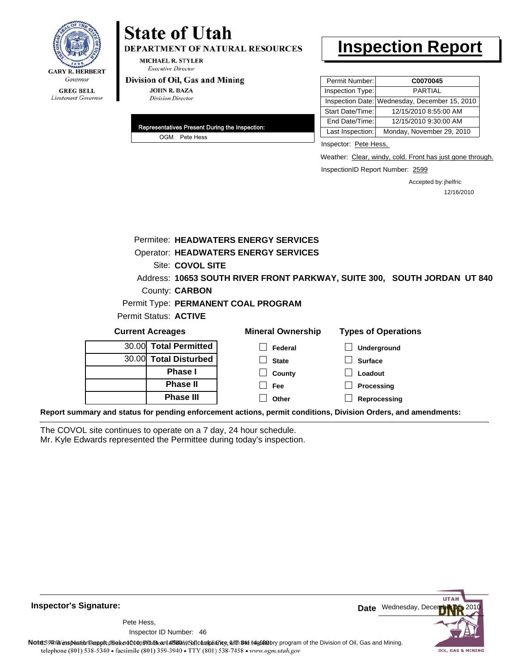

### **State of Utah DEPARTMENT OF NATURAL RESOURCES**

**MICHAEL R. STYLER Executive Director** 

#### Division of Oil, Gas and Mining

**JOHN R. BAZA Division Director** 

| Representatives Present During the Inspection: |
|------------------------------------------------|
| OGM Pete Hess                                  |

## **Inspection Report**

| Permit Number:   | C0070045                                      |
|------------------|-----------------------------------------------|
| Inspection Type: | PARTIAI                                       |
|                  | Inspection Date: Wednesday, December 15, 2010 |
| Start Date/Time: | 12/15/2010 8:55:00 AM                         |
| End Date/Time:   | 12/15/2010 9:30:00 AM                         |
| Last Inspection: | Monday, November 29, 2010                     |

Inspector: Pete Hess,

Weather: Clear, windy, cold. Front has just gone through.

InspectionID Report Number: 2599

Accepted by: jhelfric 12/16/2010

|                                                                                                                | Permitee: HEADWATERS ENERGY SERVICES        |                                                                          |
|----------------------------------------------------------------------------------------------------------------|---------------------------------------------|--------------------------------------------------------------------------|
|                                                                                                                | <b>Operator: HEADWATERS ENERGY SERVICES</b> |                                                                          |
|                                                                                                                | Site: COVOL SITE                            |                                                                          |
|                                                                                                                |                                             | Address: 10653 SOUTH RIVER FRONT PARKWAY, SUITE 300, SOUTH JORDAN UT 840 |
| County: <b>CARBON</b>                                                                                          |                                             |                                                                          |
|                                                                                                                | Permit Type: PERMANENT COAL PROGRAM         |                                                                          |
| Permit Status: ACTIVE                                                                                          |                                             |                                                                          |
| <b>Current Acreages</b>                                                                                        | <b>Mineral Ownership</b>                    | <b>Types of Operations</b>                                               |
| <b>Total Permitted</b><br>30.00                                                                                | Federal                                     | <b>Underground</b>                                                       |
| 30.00 Total Disturbed                                                                                          | <b>State</b>                                | <b>Surface</b>                                                           |
| <b>Phase I</b>                                                                                                 | County                                      | Loadout                                                                  |
| <b>Phase II</b>                                                                                                | Fee                                         | Processing                                                               |
| <b>Phase III</b>                                                                                               | Other                                       | Reprocessing                                                             |
| Report summary and status for pending enforcement actions, permit conditions, Division Orders, and amendments: |                                             |                                                                          |

The COVOL site continues to operate on a 7 day, 24 hour schedule. Mr. Kyle Edwards represented the Permittee during today's inspection.



**Inspector's Signature:**

46 Inspector ID Number:Pete Hess,

Note59#htviespection lepptt does not constitute an affidavitSal compliance, with the regulatory program of the Division of Oil, Gas and Mining. telephone (801) 538-5340 · facsimile (801) 359-3940 · TTY (801) 538-7458 · www.ogm.utah.gov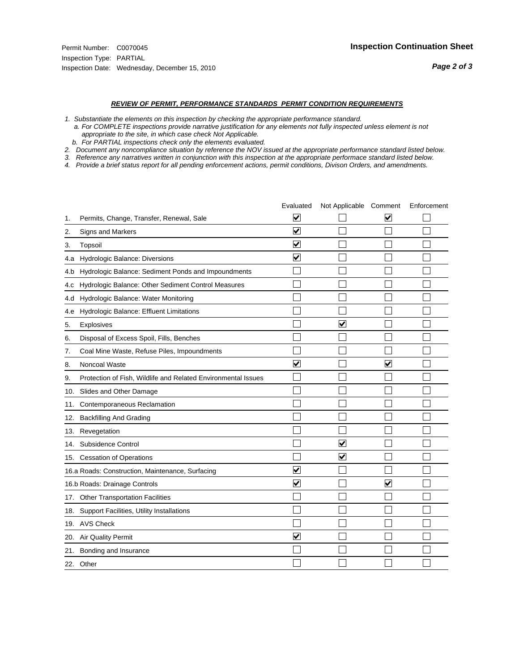#### *REVIEW OF PERMIT, PERFORMANCE STANDARDS PERMIT CONDITION REQUIREMENTS*

*1. Substantiate the elements on this inspection by checking the appropriate performance standard.*

 *a. For COMPLETE inspections provide narrative justification for any elements not fully inspected unless element is not appropriate to the site, in which case check Not Applicable.*

 *b. For PARTIAL inspections check only the elements evaluated.*

*2. Document any noncompliance situation by reference the NOV issued at the appropriate performance standard listed below.*

*3. Reference any narratives written in conjunction with this inspection at the appropriate performace standard listed below.*

*4. Provide a brief status report for all pending enforcement actions, permit conditions, Divison Orders, and amendments.*

|     |                                                               | Evaluated               | Not Applicable Comment  |                         | Enforcement |
|-----|---------------------------------------------------------------|-------------------------|-------------------------|-------------------------|-------------|
| 1.  | Permits, Change, Transfer, Renewal, Sale                      | ⊻                       |                         | V                       |             |
| 2.  | Signs and Markers                                             | $\overline{\mathbf{v}}$ |                         |                         |             |
| 3.  | Topsoil                                                       | $\overline{\mathbf{v}}$ |                         |                         |             |
| 4.a | Hydrologic Balance: Diversions                                | $\overline{\mathbf{v}}$ |                         |                         |             |
| 4.b | Hydrologic Balance: Sediment Ponds and Impoundments           |                         |                         |                         |             |
| 4.C | Hydrologic Balance: Other Sediment Control Measures           |                         |                         |                         |             |
| 4.d | Hydrologic Balance: Water Monitoring                          |                         |                         |                         |             |
| 4.e | Hydrologic Balance: Effluent Limitations                      |                         |                         |                         |             |
| 5.  | Explosives                                                    |                         | $\overline{\mathbf{v}}$ |                         |             |
| 6.  | Disposal of Excess Spoil, Fills, Benches                      |                         |                         |                         |             |
| 7.  | Coal Mine Waste, Refuse Piles, Impoundments                   |                         |                         |                         |             |
| 8.  | Noncoal Waste                                                 | $\overline{\mathbf{v}}$ |                         | $\overline{\mathbf{v}}$ |             |
| 9.  | Protection of Fish, Wildlife and Related Environmental Issues |                         |                         |                         |             |
| 10. | Slides and Other Damage                                       |                         |                         |                         |             |
| 11. | Contemporaneous Reclamation                                   |                         |                         |                         |             |
| 12. | <b>Backfilling And Grading</b>                                |                         |                         |                         |             |
| 13. | Revegetation                                                  |                         |                         |                         |             |
| 14. | Subsidence Control                                            |                         | ✓                       |                         |             |
|     | 15. Cessation of Operations                                   |                         | $\blacktriangleright$   |                         |             |
|     | 16.a Roads: Construction, Maintenance, Surfacing              | $\overline{\mathsf{v}}$ |                         |                         |             |
|     | 16.b Roads: Drainage Controls                                 | $\blacktriangledown$    |                         | ⊻                       |             |
| 17. | <b>Other Transportation Facilities</b>                        |                         |                         |                         |             |
| 18. | Support Facilities, Utility Installations                     |                         |                         |                         |             |
|     | 19. AVS Check                                                 |                         |                         |                         |             |
| 20. | <b>Air Quality Permit</b>                                     | $\checkmark$            |                         |                         |             |
| 21. | Bonding and Insurance                                         |                         |                         |                         |             |
|     | 22. Other                                                     |                         |                         |                         |             |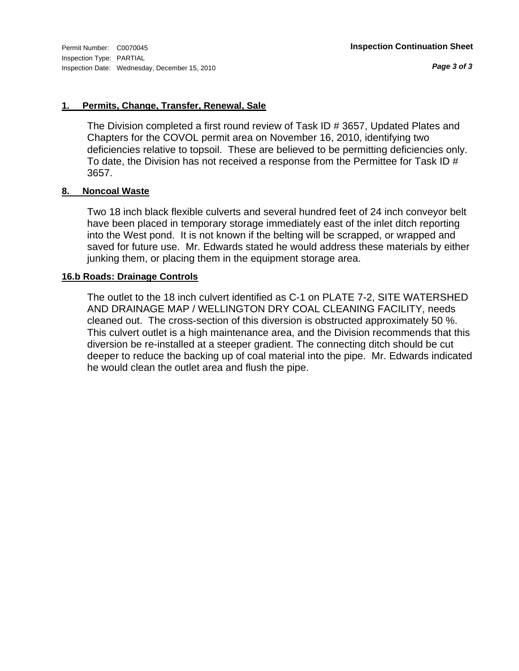*Page 3 of 3*

#### **1. Permits, Change, Transfer, Renewal, Sale**

The Division completed a first round review of Task ID # 3657, Updated Plates and Chapters for the COVOL permit area on November 16, 2010, identifying two deficiencies relative to topsoil. These are believed to be permitting deficiencies only. To date, the Division has not received a response from the Permittee for Task ID # 3657.

#### **8. Noncoal Waste**

Two 18 inch black flexible culverts and several hundred feet of 24 inch conveyor belt have been placed in temporary storage immediately east of the inlet ditch reporting into the West pond. It is not known if the belting will be scrapped, or wrapped and saved for future use. Mr. Edwards stated he would address these materials by either junking them, or placing them in the equipment storage area.

#### **16.b Roads: Drainage Controls**

The outlet to the 18 inch culvert identified as C-1 on PLATE 7-2, SITE WATERSHED AND DRAINAGE MAP / WELLINGTON DRY COAL CLEANING FACILITY, needs cleaned out. The cross-section of this diversion is obstructed approximately 50 %. This culvert outlet is a high maintenance area, and the Division recommends that this diversion be re-installed at a steeper gradient. The connecting ditch should be cut deeper to reduce the backing up of coal material into the pipe. Mr. Edwards indicated he would clean the outlet area and flush the pipe.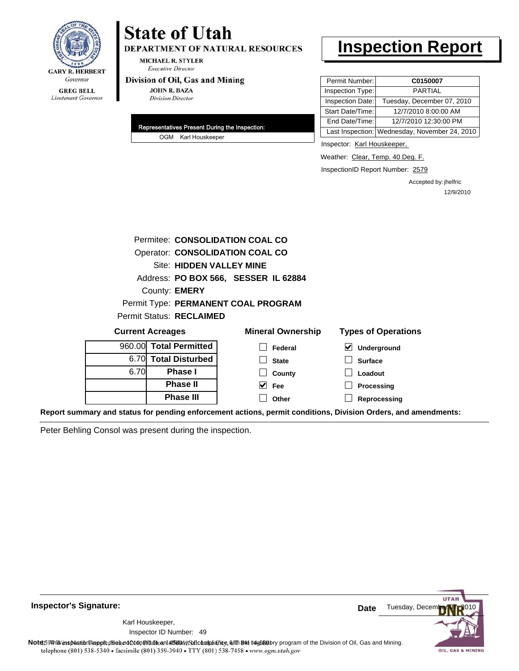

### **State of Utah** DEPARTMENT OF NATURAL RESOURCES

**MICHAEL R. STYLER Executive Director** 

#### Division of Oil, Gas and Mining

**JOHN R. BAZA Division Director** 

| Representatives Present During the Inspection: |
|------------------------------------------------|
| OGM Karl Houskeeper                            |

### **Inspection Report**

| Permit Number:   | C0150007                                      |
|------------------|-----------------------------------------------|
| Inspection Type: | <b>PARTIAL</b>                                |
| Inspection Date: | Tuesday, December 07, 2010                    |
| Start Date/Time: | 12/7/2010 8:00:00 AM                          |
| End Date/Time:   | 12/7/2010 12:30:00 PM                         |
|                  | Last Inspection: Wednesday, November 24, 2010 |

Inspector: Karl Houskeeper,

Weather: Clear, Temp. 40 Deg. F.

InspectionID Report Number: 2579

Accepted by: jhelfric 12/9/2010

| Permitee: CONSOLIDATION COAL CO |                                 |                                                                                                                        |                            |  |  |  |  |
|---------------------------------|---------------------------------|------------------------------------------------------------------------------------------------------------------------|----------------------------|--|--|--|--|
|                                 | Operator: CONSOLIDATION COAL CO |                                                                                                                        |                            |  |  |  |  |
|                                 | Site: HIDDEN VALLEY MINE        |                                                                                                                        |                            |  |  |  |  |
|                                 |                                 | Address: PO BOX 566, SESSER IL 62884                                                                                   |                            |  |  |  |  |
|                                 | County: <b>EMERY</b>            |                                                                                                                        |                            |  |  |  |  |
|                                 |                                 | Permit Type: PERMANENT COAL PROGRAM                                                                                    |                            |  |  |  |  |
|                                 | <b>Permit Status: RECLAIMED</b> |                                                                                                                        |                            |  |  |  |  |
|                                 | <b>Current Acreages</b>         | <b>Mineral Ownership</b>                                                                                               | <b>Types of Operations</b> |  |  |  |  |
|                                 | 960.00 Total Permitted          | Federal                                                                                                                | M<br>Underground           |  |  |  |  |
| 6.70L                           | <b>Total Disturbed</b>          | <b>State</b>                                                                                                           | <b>Surface</b>             |  |  |  |  |
| 6.70                            | Phase I                         | County                                                                                                                 | Loadout                    |  |  |  |  |
|                                 | <b>Phase II</b>                 | M<br>Fee                                                                                                               | Processing                 |  |  |  |  |
|                                 | <b>Phase III</b>                | Other                                                                                                                  | Reprocessing               |  |  |  |  |
|                                 |                                 | $\sim$ . The set of the set of the set of the set of the set of the set of the set of the set of the set of the set of |                            |  |  |  |  |

**Report summary and status for pending enforcement actions, permit conditions, Division Orders, and amendments:**

Peter Behling Consol was present during the inspection.



**Inspector's Signature:**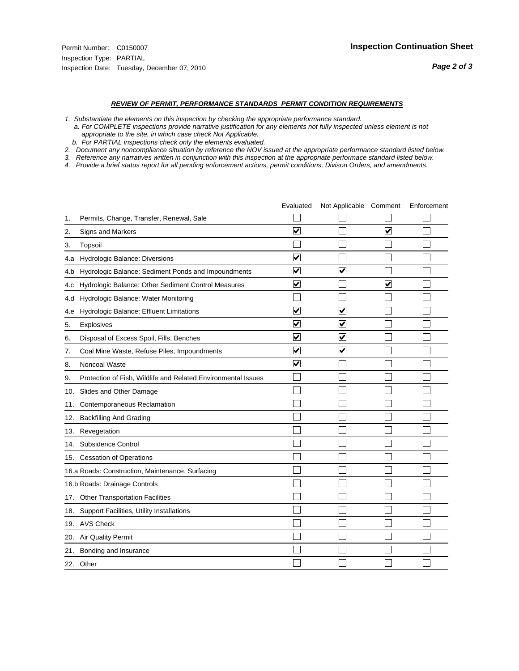#### *REVIEW OF PERMIT, PERFORMANCE STANDARDS PERMIT CONDITION REQUIREMENTS*

- *1. Substantiate the elements on this inspection by checking the appropriate performance standard.*
- *a. For COMPLETE inspections provide narrative justification for any elements not fully inspected unless element is not appropriate to the site, in which case check Not Applicable.*
- *b. For PARTIAL inspections check only the elements evaluated.*
- *2. Document any noncompliance situation by reference the NOV issued at the appropriate performance standard listed below.*
- *3. Reference any narratives written in conjunction with this inspection at the appropriate performace standard listed below.*
- *4. Provide a brief status report for all pending enforcement actions, permit conditions, Divison Orders, and amendments.*

|     |                                                               | Evaluated               | Not Applicable Comment  |                      | Enforcement |
|-----|---------------------------------------------------------------|-------------------------|-------------------------|----------------------|-------------|
| 1.  | Permits, Change, Transfer, Renewal, Sale                      |                         |                         |                      |             |
| 2.  | Signs and Markers                                             | $\overline{\mathbf{v}}$ |                         | ☑                    |             |
| 3.  | Topsoil                                                       |                         |                         |                      |             |
| 4.a | Hydrologic Balance: Diversions                                | ✔                       |                         |                      |             |
| 4.b | Hydrologic Balance: Sediment Ponds and Impoundments           | V                       | V                       |                      |             |
| 4.c | Hydrologic Balance: Other Sediment Control Measures           | $\overline{\mathbf{v}}$ |                         | $\blacktriangledown$ |             |
| 4.d | Hydrologic Balance: Water Monitoring                          |                         |                         |                      |             |
| 4.e | Hydrologic Balance: Effluent Limitations                      | $\overline{\mathbf{v}}$ | $\overline{\mathbf{v}}$ |                      |             |
| 5.  | <b>Explosives</b>                                             | $\overline{\mathbf{v}}$ | $\overline{\mathsf{v}}$ |                      |             |
| 6.  | Disposal of Excess Spoil, Fills, Benches                      | ⊻                       | V                       |                      |             |
| 7.  | Coal Mine Waste, Refuse Piles, Impoundments                   | ⊽                       | $\blacktriangledown$    |                      |             |
| 8.  | Noncoal Waste                                                 | $\overline{\mathbf{v}}$ |                         |                      |             |
| 9.  | Protection of Fish, Wildlife and Related Environmental Issues |                         |                         |                      |             |
| 10. | Slides and Other Damage                                       |                         |                         |                      |             |
| 11. | Contemporaneous Reclamation                                   |                         |                         |                      |             |
| 12. | <b>Backfilling And Grading</b>                                |                         |                         |                      |             |
| 13. | Revegetation                                                  |                         |                         |                      |             |
| 14. | Subsidence Control                                            |                         |                         |                      |             |
|     | 15. Cessation of Operations                                   |                         |                         |                      |             |
|     | 16.a Roads: Construction, Maintenance, Surfacing              |                         |                         |                      |             |
|     | 16.b Roads: Drainage Controls                                 |                         |                         |                      |             |
| 17. | Other Transportation Facilities                               |                         |                         |                      |             |
| 18. | Support Facilities, Utility Installations                     |                         |                         |                      |             |
|     | 19. AVS Check                                                 |                         |                         |                      |             |
| 20. | Air Quality Permit                                            |                         |                         |                      |             |
| 21. | Bonding and Insurance                                         |                         |                         |                      |             |
|     | 22. Other                                                     |                         |                         |                      |             |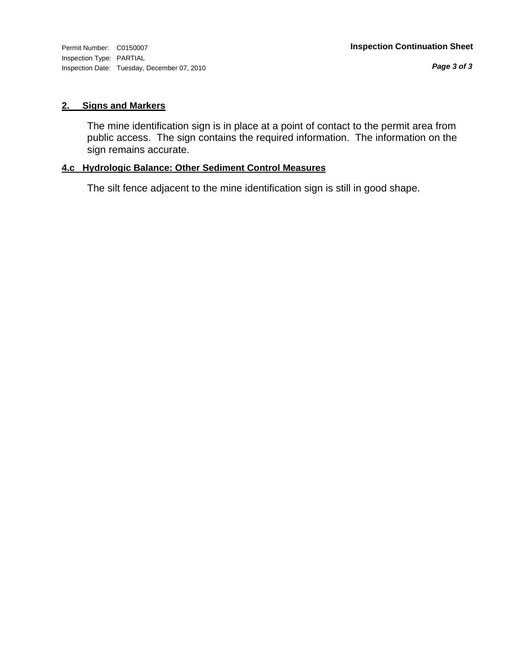Inspection Type: PARTIAL Inspection Date: Tuesday, December 07, 2010

*Page 3 of 3*

#### **2. Signs and Markers**

The mine identification sign is in place at a point of contact to the permit area from public access. The sign contains the required information. The information on the sign remains accurate.

#### **4.c Hydrologic Balance: Other Sediment Control Measures**

The silt fence adjacent to the mine identification sign is still in good shape.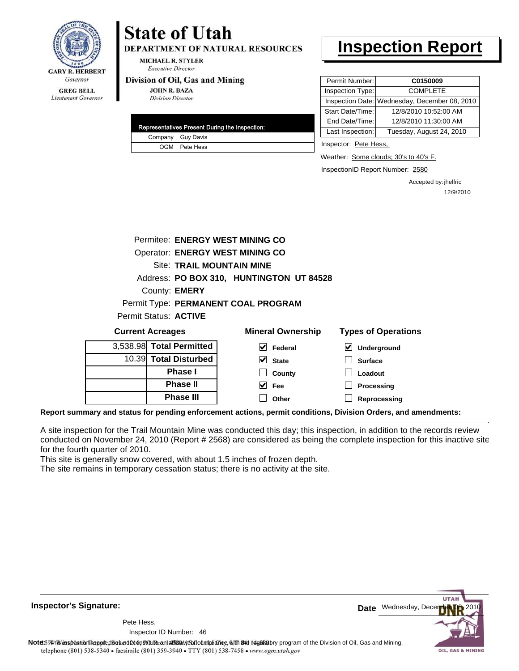

**DEPARTMENT OF NATURAL RESOURCES** 

MICHAEL R. STYLER **Executive Director** 

#### Division of Oil, Gas and Mining

**JOHN R. BAZA Division Director** 

|  | Representatives Present During the Inspection: |
|--|------------------------------------------------|
|  | Company Guy Davis                              |
|  | OGM Pete Hess                                  |

### **Inspection Report**

| Permit Number:   | C0150009                                      |  |
|------------------|-----------------------------------------------|--|
| Inspection Type: | <b>COMPLETE</b>                               |  |
|                  | Inspection Date: Wednesday, December 08, 2010 |  |
| Start Date/Time: | 12/8/2010 10:52:00 AM                         |  |
| End Date/Time:   | 12/8/2010 11:30:00 AM                         |  |
| Last Inspection: | Tuesday, August 24, 2010                      |  |

Inspector: Pete Hess,

Weather: Some clouds; 30's to 40's F.

InspectionID Report Number: 2580

Accepted by: jhelfric 12/9/2010

|                                 | Permitee: ENERGY WEST MINING CO          |              |                            |
|---------------------------------|------------------------------------------|--------------|----------------------------|
|                                 | <b>Operator: ENERGY WEST MINING CO</b>   |              |                            |
|                                 | <b>Site: TRAIL MOUNTAIN MINE</b>         |              |                            |
|                                 | Address: PO BOX 310, HUNTINGTON UT 84528 |              |                            |
| County: <b>EMERY</b>            |                                          |              |                            |
|                                 | Permit Type: PERMANENT COAL PROGRAM      |              |                            |
| Permit Status: ACTIVE           |                                          |              |                            |
| <b>Current Acreages</b>         | <b>Mineral Ownership</b>                 |              | <b>Types of Operations</b> |
| 3,538.98 Total Permitted        | V                                        | Federal<br>⊻ | Underground                |
| <b>Total Disturbed</b><br>10.39 | V<br><b>State</b>                        |              | <b>Surface</b>             |
| Phase I                         |                                          | County       | Loadout                    |
| <b>Phase II</b>                 | M<br><b>Fee</b>                          |              | Processing                 |
| <b>Phase III</b>                | Other                                    |              | Reprocessing               |

**Report summary and status for pending enforcement actions, permit conditions, Division Orders, and amendments:**

A site inspection for the Trail Mountain Mine was conducted this day; this inspection, in addition to the records review conducted on November 24, 2010 (Report # 2568) are considered as being the complete inspection for this inactive site for the fourth quarter of 2010.

This site is generally snow covered, with about 1.5 inches of frozen depth.

The site remains in temporary cessation status; there is no activity at the site.

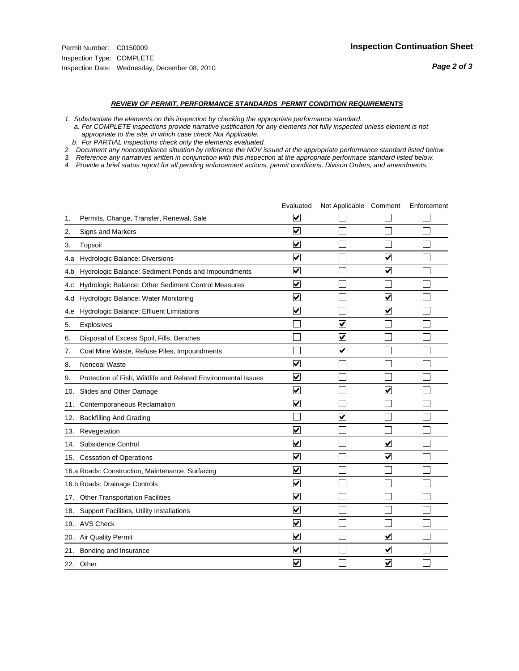#### *REVIEW OF PERMIT, PERFORMANCE STANDARDS PERMIT CONDITION REQUIREMENTS*

*1. Substantiate the elements on this inspection by checking the appropriate performance standard.*

 *a. For COMPLETE inspections provide narrative justification for any elements not fully inspected unless element is not appropriate to the site, in which case check Not Applicable.*

 *b. For PARTIAL inspections check only the elements evaluated.*

*2. Document any noncompliance situation by reference the NOV issued at the appropriate performance standard listed below.*

*3. Reference any narratives written in conjunction with this inspection at the appropriate performace standard listed below.*

*4. Provide a brief status report for all pending enforcement actions, permit conditions, Divison Orders, and amendments.*

|     |                                                               | Evaluated                       | Not Applicable Comment  |                         | Enforcement |
|-----|---------------------------------------------------------------|---------------------------------|-------------------------|-------------------------|-------------|
| 1.  | Permits, Change, Transfer, Renewal, Sale                      | ⊻                               |                         |                         |             |
| 2.  | Signs and Markers                                             | $\overline{\mathbf{v}}$         |                         |                         |             |
| 3.  | Topsoil                                                       | $\overline{\mathbf{v}}$         |                         |                         |             |
| 4.a | Hydrologic Balance: Diversions                                | $\overline{\mathbf{v}}$         |                         | $\blacktriangledown$    |             |
| 4.b | Hydrologic Balance: Sediment Ponds and Impoundments           | $\overline{\mathbf{v}}$         |                         | $\blacktriangledown$    |             |
| 4.c | Hydrologic Balance: Other Sediment Control Measures           | $\overline{\mathbf{v}}$         |                         |                         |             |
| 4.d | Hydrologic Balance: Water Monitoring                          | $\overline{\mathbf{v}}$         |                         | $\overline{\mathbf{v}}$ |             |
| 4.e | Hydrologic Balance: Effluent Limitations                      | $\overline{\mathbf{v}}$         |                         | ☑                       |             |
| 5.  | <b>Explosives</b>                                             |                                 | $\overline{\mathsf{v}}$ |                         |             |
| 6.  | Disposal of Excess Spoil, Fills, Benches                      |                                 | $\blacktriangledown$    |                         |             |
| 7.  | Coal Mine Waste, Refuse Piles, Impoundments                   |                                 | $\overline{\mathbf{v}}$ |                         |             |
| 8.  | Noncoal Waste                                                 | ⊽                               |                         |                         |             |
| 9.  | Protection of Fish, Wildlife and Related Environmental Issues | $\blacktriangledown$            |                         |                         |             |
| 10. | Slides and Other Damage                                       | $\overline{\mathbf{v}}$         |                         | $\blacktriangledown$    |             |
| 11. | Contemporaneous Reclamation                                   | $\overline{\mathsf{v}}$         |                         |                         |             |
| 12. | <b>Backfilling And Grading</b>                                |                                 | $\overline{\mathbf{v}}$ |                         |             |
| 13. | Revegetation                                                  | $\overline{\blacktriangledown}$ |                         |                         |             |
| 14. | Subsidence Control                                            | $\overline{\blacktriangledown}$ |                         | ✓                       |             |
|     | 15. Cessation of Operations                                   | $\overline{\mathbf{v}}$         |                         | $\blacktriangledown$    |             |
|     | 16.a Roads: Construction, Maintenance, Surfacing              | $\overline{\mathbf{v}}$         |                         |                         |             |
|     | 16.b Roads: Drainage Controls                                 | $\overline{\mathbf{v}}$         |                         |                         |             |
|     | 17. Other Transportation Facilities                           | $\overline{\mathbf{v}}$         |                         |                         |             |
| 18. | Support Facilities, Utility Installations                     | $\overline{\mathbf{v}}$         |                         |                         |             |
|     | 19. AVS Check                                                 | $\blacktriangledown$            |                         |                         |             |
|     | 20. Air Quality Permit                                        | $\blacktriangledown$            |                         | $\blacktriangledown$    |             |
| 21. | Bonding and Insurance                                         | $\overline{\mathbf{v}}$         |                         | $\blacktriangledown$    |             |
|     | 22. Other                                                     | $\overline{\mathbf{v}}$         |                         | $\blacktriangledown$    |             |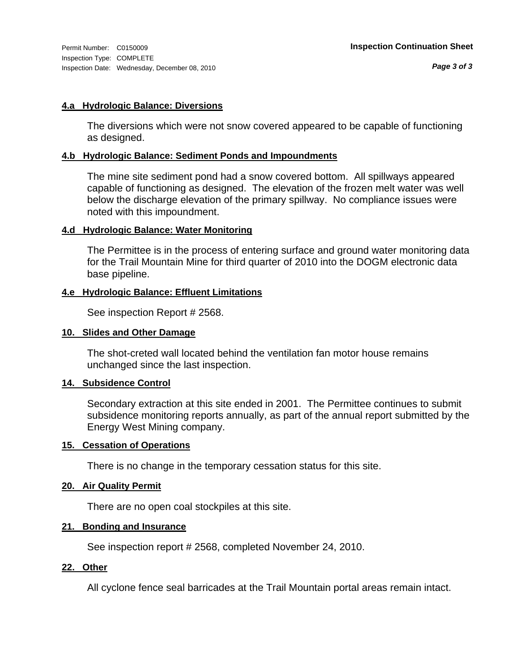#### **4.a Hydrologic Balance: Diversions**

The diversions which were not snow covered appeared to be capable of functioning as designed.

#### **4.b Hydrologic Balance: Sediment Ponds and Impoundments**

The mine site sediment pond had a snow covered bottom. All spillways appeared capable of functioning as designed. The elevation of the frozen melt water was well below the discharge elevation of the primary spillway. No compliance issues were noted with this impoundment.

#### **4.d Hydrologic Balance: Water Monitoring**

The Permittee is in the process of entering surface and ground water monitoring data for the Trail Mountain Mine for third quarter of 2010 into the DOGM electronic data base pipeline.

#### **4.e Hydrologic Balance: Effluent Limitations**

See inspection Report # 2568.

#### **10. Slides and Other Damage**

The shot-creted wall located behind the ventilation fan motor house remains unchanged since the last inspection.

#### **14. Subsidence Control**

Secondary extraction at this site ended in 2001. The Permittee continues to submit subsidence monitoring reports annually, as part of the annual report submitted by the Energy West Mining company.

#### **15. Cessation of Operations**

There is no change in the temporary cessation status for this site.

#### **20. Air Quality Permit**

There are no open coal stockpiles at this site.

#### **21. Bonding and Insurance**

See inspection report # 2568, completed November 24, 2010.

#### **22. Other**

All cyclone fence seal barricades at the Trail Mountain portal areas remain intact.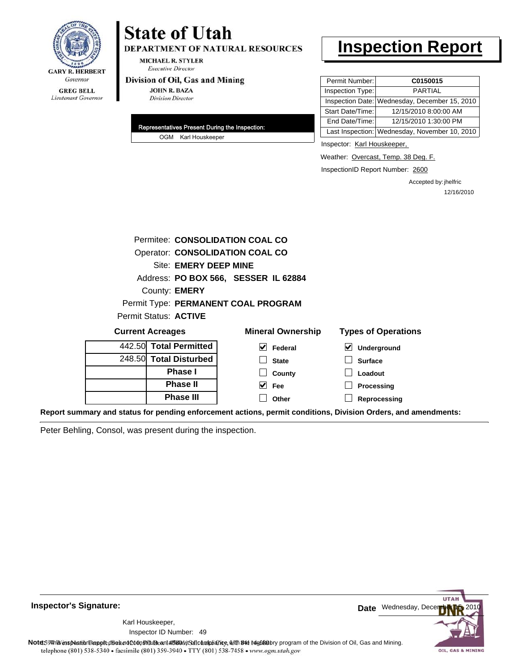

### **State of Utah** DEPARTMENT OF NATURAL RESOURCES

**MICHAEL R. STYLER Executive Director** 

#### Division of Oil, Gas and Mining

**JOHN R. BAZA Division Director** 

| Representatives Present During the Inspection: |
|------------------------------------------------|
| OGM Karl Houskeeper                            |

## **Inspection Report**

| Permit Number:   | C0150015                                      |
|------------------|-----------------------------------------------|
| Inspection Type: | <b>PARTIAL</b>                                |
|                  | Inspection Date: Wednesday, December 15, 2010 |
| Start Date/Time: | 12/15/2010 8:00:00 AM                         |
| End Date/Time:   | 12/15/2010 1:30:00 PM                         |
|                  | Last Inspection: Wednesday, November 10, 2010 |

Inspector: Karl Houskeeper,

Weather: Overcast, Temp. 38 Deg. F.

InspectionID Report Number: 2600

Accepted by: jhelfric 12/16/2010

|                         |                        | Permitee: CONSOLIDATION COAL CO      |                                                                                                                |
|-------------------------|------------------------|--------------------------------------|----------------------------------------------------------------------------------------------------------------|
|                         |                        | Operator: CONSOLIDATION COAL CO      |                                                                                                                |
|                         | Site: EMERY DEEP MINE  |                                      |                                                                                                                |
|                         |                        | Address: PO BOX 566, SESSER IL 62884 |                                                                                                                |
|                         | County: <b>EMERY</b>   |                                      |                                                                                                                |
|                         |                        | Permit Type: PERMANENT COAL PROGRAM  |                                                                                                                |
| Permit Status: ACTIVE   |                        |                                      |                                                                                                                |
| <b>Current Acreages</b> |                        | <b>Mineral Ownership</b>             | <b>Types of Operations</b>                                                                                     |
|                         | 442.50 Total Permitted | $\blacktriangleright$<br>Federal     | V<br>Underground                                                                                               |
|                         | 248.50 Total Disturbed | <b>State</b>                         | <b>Surface</b>                                                                                                 |
|                         | Phase I                | County                               | Loadout                                                                                                        |
|                         | <b>Phase II</b>        | $\vee$ Fee                           | Processing                                                                                                     |
|                         | <b>Phase III</b>       | Other                                | Reprocessing                                                                                                   |
|                         |                        |                                      | Report summary and status for pending enforcement actions, permit conditions, Division Orders, and amendments: |

Peter Behling, Consol, was present during the inspection.



**Inspector's Signature:**

49 Inspector ID Number:Karl Houskeeper,

Note59#htviespection lepptt does not constitute an affidavitSal compliance, with the regulatory program of the Division of Oil, Gas and Mining. telephone (801) 538-5340 · facsimile (801) 359-3940 · TTY (801) 538-7458 · www.ogm.utah.gov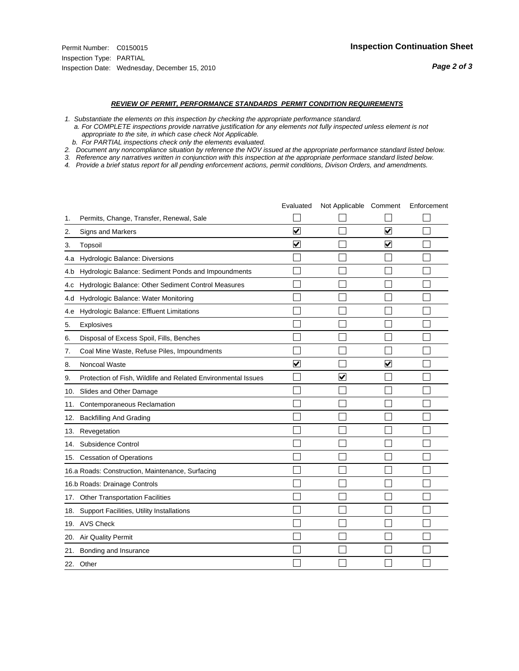#### *REVIEW OF PERMIT, PERFORMANCE STANDARDS PERMIT CONDITION REQUIREMENTS*

- *1. Substantiate the elements on this inspection by checking the appropriate performance standard.*
- *a. For COMPLETE inspections provide narrative justification for any elements not fully inspected unless element is not appropriate to the site, in which case check Not Applicable.*
- *b. For PARTIAL inspections check only the elements evaluated.*
- *2. Document any noncompliance situation by reference the NOV issued at the appropriate performance standard listed below.*
- *3. Reference any narratives written in conjunction with this inspection at the appropriate performace standard listed below.*
- *4. Provide a brief status report for all pending enforcement actions, permit conditions, Divison Orders, and amendments.*

|     |                                                               | Evaluated                       | Not Applicable Comment |                      | Enforcement |
|-----|---------------------------------------------------------------|---------------------------------|------------------------|----------------------|-------------|
| 1.  | Permits, Change, Transfer, Renewal, Sale                      |                                 |                        |                      |             |
| 2.  | <b>Signs and Markers</b>                                      | $\overline{\mathbf{v}}$         |                        | $\blacktriangledown$ |             |
| 3.  | Topsoil                                                       | $\overline{\mathbf{v}}$         |                        | $\blacktriangledown$ |             |
| 4.a | Hydrologic Balance: Diversions                                |                                 |                        |                      |             |
| 4.b | Hydrologic Balance: Sediment Ponds and Impoundments           |                                 |                        |                      |             |
| 4.C | Hydrologic Balance: Other Sediment Control Measures           |                                 |                        |                      |             |
| 4.d | Hydrologic Balance: Water Monitoring                          |                                 |                        |                      |             |
| 4.e | Hydrologic Balance: Effluent Limitations                      |                                 |                        |                      |             |
| 5.  | Explosives                                                    |                                 |                        |                      |             |
| 6.  | Disposal of Excess Spoil, Fills, Benches                      |                                 |                        |                      |             |
| 7.  | Coal Mine Waste, Refuse Piles, Impoundments                   |                                 |                        |                      |             |
| 8.  | Noncoal Waste                                                 | $\overline{\blacktriangledown}$ |                        | $\blacktriangledown$ |             |
| 9.  | Protection of Fish, Wildlife and Related Environmental Issues |                                 | $\blacktriangledown$   |                      |             |
| 10. | Slides and Other Damage                                       |                                 |                        |                      |             |
| 11. | Contemporaneous Reclamation                                   |                                 |                        |                      |             |
| 12. | <b>Backfilling And Grading</b>                                |                                 |                        |                      |             |
| 13. | Revegetation                                                  |                                 |                        |                      |             |
| 14. | Subsidence Control                                            |                                 |                        |                      |             |
| 15. | <b>Cessation of Operations</b>                                |                                 |                        |                      |             |
|     | 16.a Roads: Construction, Maintenance, Surfacing              |                                 |                        |                      |             |
|     | 16.b Roads: Drainage Controls                                 |                                 |                        |                      |             |
| 17. | <b>Other Transportation Facilities</b>                        |                                 |                        |                      |             |
| 18. | Support Facilities, Utility Installations                     |                                 |                        |                      |             |
|     | 19. AVS Check                                                 |                                 |                        |                      |             |
| 20. | Air Quality Permit                                            |                                 |                        |                      |             |
| 21. | Bonding and Insurance                                         |                                 |                        |                      |             |
|     | 22. Other                                                     |                                 |                        |                      |             |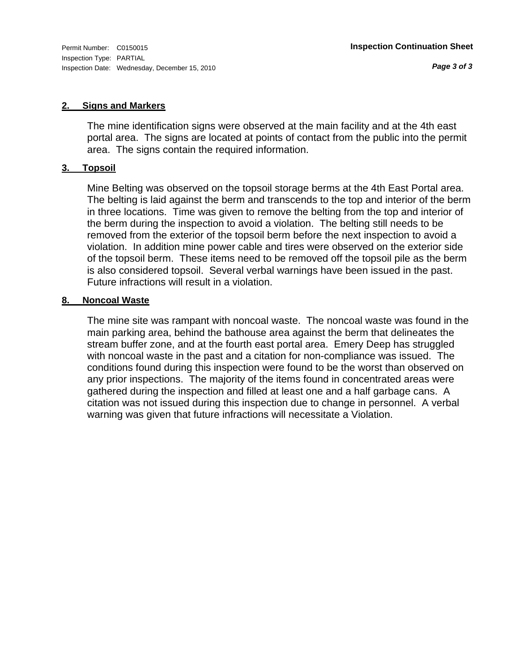#### **2. Signs and Markers**

The mine identification signs were observed at the main facility and at the 4th east portal area. The signs are located at points of contact from the public into the permit area. The signs contain the required information.

#### **3. Topsoil**

Mine Belting was observed on the topsoil storage berms at the 4th East Portal area. The belting is laid against the berm and transcends to the top and interior of the berm in three locations. Time was given to remove the belting from the top and interior of the berm during the inspection to avoid a violation. The belting still needs to be removed from the exterior of the topsoil berm before the next inspection to avoid a violation. In addition mine power cable and tires were observed on the exterior side of the topsoil berm. These items need to be removed off the topsoil pile as the berm is also considered topsoil. Several verbal warnings have been issued in the past. Future infractions will result in a violation.

#### **8. Noncoal Waste**

The mine site was rampant with noncoal waste. The noncoal waste was found in the main parking area, behind the bathouse area against the berm that delineates the stream buffer zone, and at the fourth east portal area. Emery Deep has struggled with noncoal waste in the past and a citation for non-compliance was issued. The conditions found during this inspection were found to be the worst than observed on any prior inspections. The majority of the items found in concentrated areas were gathered during the inspection and filled at least one and a half garbage cans. A citation was not issued during this inspection due to change in personnel. A verbal warning was given that future infractions will necessitate a Violation.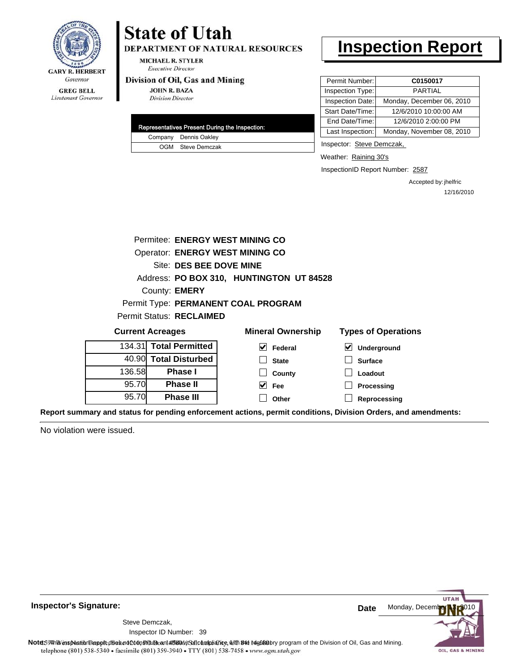

**DEPARTMENT OF NATURAL RESOURCES** 

**MICHAEL R. STYLER Executive Director** 

#### Division of Oil, Gas and Mining

**JOHN R. BAZA Division Director** 

| Representatives Present During the Inspection: |
|------------------------------------------------|
| Company Dennis Oakley                          |
| OGM Steve Demczak                              |

### **Inspection Report**

| Permit Number:   | C0150017                  |
|------------------|---------------------------|
| Inspection Type: | <b>PARTIAL</b>            |
| Inspection Date: | Monday, December 06, 2010 |
| Start Date/Time: | 12/6/2010 10:00:00 AM     |
| End Date/Time:   | 12/6/2010 2:00:00 PM      |
| Last Inspection: | Monday, November 08, 2010 |

Inspector: Steve Demczak,

Weather: Raining 30's

InspectionID Report Number: 2587

Accepted by: jhelfric 12/16/2010

|        | Permitee: ENERGY WEST MINING CO        |                                                                                             |                            |
|--------|----------------------------------------|---------------------------------------------------------------------------------------------|----------------------------|
|        | <b>Operator: ENERGY WEST MINING CO</b> |                                                                                             |                            |
|        | Site: DES BEE DOVE MINE                |                                                                                             |                            |
|        |                                        | Address: PO BOX 310, HUNTINGTON UT 84528                                                    |                            |
|        | County: <b>EMERY</b>                   |                                                                                             |                            |
|        |                                        | Permit Type: PERMANENT COAL PROGRAM                                                         |                            |
|        | <b>Permit Status: RECLAIMED</b>        |                                                                                             |                            |
|        | <b>Current Acreages</b>                | <b>Mineral Ownership</b>                                                                    | <b>Types of Operations</b> |
|        | 134.31 Total Permitted                 | M<br>Federal                                                                                | $\bm{\vee}$<br>Underground |
|        | 40.90 Total Disturbed                  | <b>State</b>                                                                                | <b>Surface</b>             |
| 136.58 | <b>Phase I</b>                         | County                                                                                      | Loadout                    |
| 95.70  | <b>Phase II</b>                        | $\vee$ Fee                                                                                  | Processing                 |
| 95.70  | <b>Phase III</b>                       | Other                                                                                       | Reprocessing               |
|        |                                        | rand status for nonding onforcement ostions, normit conditions. Division Orders, and amondu |                            |

**Report summary and status for pending enforcement actions, permit conditions, Division Orders, and amendments:**

No violation were issued.

**Inspector's Signature:**

Inspector ID Number: 39 Steve Demczak,



Note59#htviespection lepptt does not constitute an affidavitSal compliance, with the regulatory program of the Division of Oil, Gas and Mining. telephone (801) 538-5340 · facsimile (801) 359-3940 · TTY (801) 538-7458 · www.ogm.utah.gov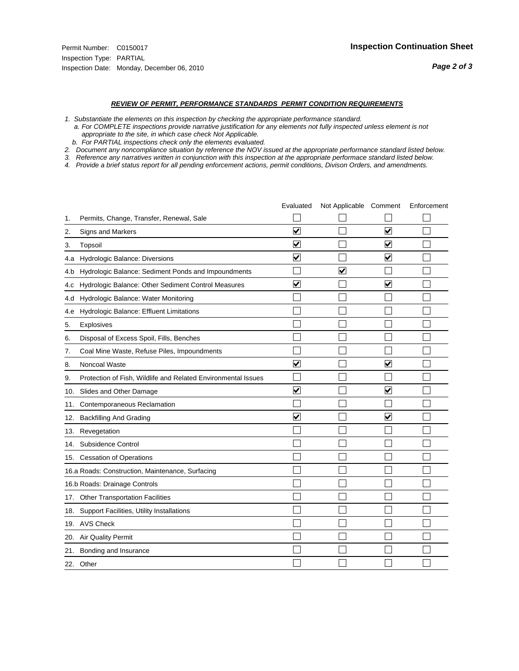#### *REVIEW OF PERMIT, PERFORMANCE STANDARDS PERMIT CONDITION REQUIREMENTS*

*1. Substantiate the elements on this inspection by checking the appropriate performance standard.*

 *a. For COMPLETE inspections provide narrative justification for any elements not fully inspected unless element is not appropriate to the site, in which case check Not Applicable.*

 *b. For PARTIAL inspections check only the elements evaluated.*

*2. Document any noncompliance situation by reference the NOV issued at the appropriate performance standard listed below.*

*3. Reference any narratives written in conjunction with this inspection at the appropriate performace standard listed below.*

*4. Provide a brief status report for all pending enforcement actions, permit conditions, Divison Orders, and amendments.*

|     |                                                               | Evaluated               | Not Applicable Comment |                         | Enforcement |
|-----|---------------------------------------------------------------|-------------------------|------------------------|-------------------------|-------------|
| 1.  | Permits, Change, Transfer, Renewal, Sale                      |                         |                        |                         |             |
| 2.  | Signs and Markers                                             | $\blacktriangledown$    |                        | $\overline{\mathbf{v}}$ |             |
| 3.  | Topsoil                                                       | $\overline{\mathbf{v}}$ |                        | $\blacktriangledown$    |             |
| 4.a | Hydrologic Balance: Diversions                                | $\overline{\mathsf{v}}$ |                        | $\blacktriangledown$    |             |
| 4.b | Hydrologic Balance: Sediment Ponds and Impoundments           |                         | V                      |                         |             |
| 4.C | Hydrologic Balance: Other Sediment Control Measures           | $\overline{\mathsf{v}}$ |                        | $\blacktriangledown$    |             |
| 4.d | Hydrologic Balance: Water Monitoring                          |                         |                        |                         |             |
| 4.e | Hydrologic Balance: Effluent Limitations                      |                         |                        |                         |             |
| 5.  | <b>Explosives</b>                                             |                         |                        |                         |             |
| 6.  | Disposal of Excess Spoil, Fills, Benches                      |                         |                        |                         |             |
| 7.  | Coal Mine Waste, Refuse Piles, Impoundments                   |                         |                        |                         |             |
| 8.  | Noncoal Waste                                                 | ⊽                       |                        | $\blacktriangledown$    |             |
| 9.  | Protection of Fish, Wildlife and Related Environmental Issues |                         |                        |                         |             |
| 10. | Slides and Other Damage                                       | ⊽                       |                        | ✓                       |             |
| 11. | Contemporaneous Reclamation                                   |                         |                        |                         |             |
| 12. | <b>Backfilling And Grading</b>                                | $\overline{\mathbf{v}}$ |                        | $\overline{\mathbf{v}}$ |             |
| 13. | Revegetation                                                  |                         |                        |                         |             |
| 14. | Subsidence Control                                            |                         |                        |                         |             |
|     | 15. Cessation of Operations                                   |                         |                        |                         |             |
|     | 16.a Roads: Construction, Maintenance, Surfacing              |                         |                        |                         |             |
|     | 16.b Roads: Drainage Controls                                 |                         |                        |                         |             |
| 17. | <b>Other Transportation Facilities</b>                        |                         |                        |                         |             |
| 18. | Support Facilities, Utility Installations                     |                         |                        |                         |             |
|     | 19. AVS Check                                                 |                         |                        |                         |             |
| 20. | <b>Air Quality Permit</b>                                     |                         |                        |                         |             |
| 21. | Bonding and Insurance                                         |                         |                        |                         |             |
|     | 22. Other                                                     |                         |                        |                         |             |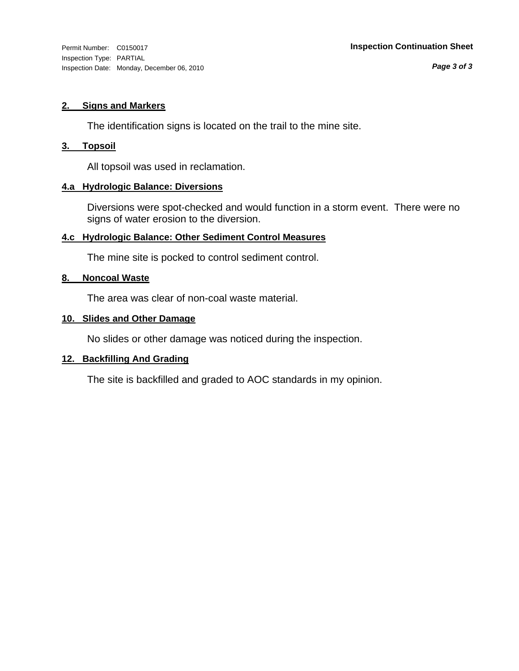*Page 3 of 3*

# **2. Signs and Markers**

The identification signs is located on the trail to the mine site.

# **3. Topsoil**

All topsoil was used in reclamation.

# **4.a Hydrologic Balance: Diversions**

Diversions were spot-checked and would function in a storm event. There were no signs of water erosion to the diversion.

# **4.c Hydrologic Balance: Other Sediment Control Measures**

The mine site is pocked to control sediment control.

# **8. Noncoal Waste**

The area was clear of non-coal waste material.

# **10. Slides and Other Damage**

No slides or other damage was noticed during the inspection.

# **12. Backfilling And Grading**

The site is backfilled and graded to AOC standards in my opinion.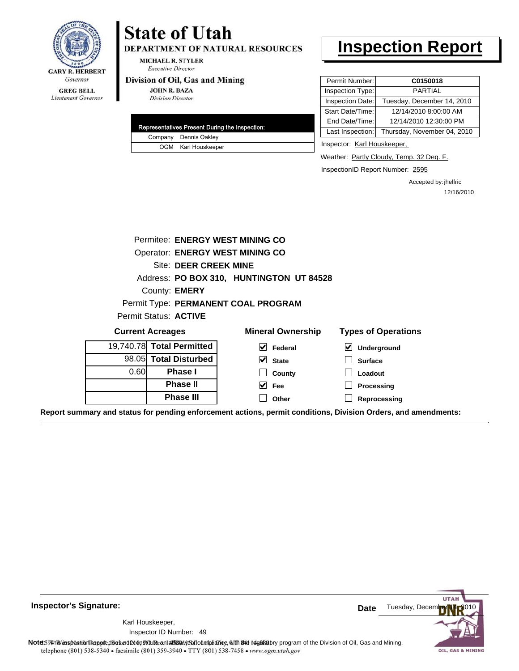

DEPARTMENT OF NATURAL RESOURCES

**MICHAEL R. STYLER Executive Director** 

#### Division of Oil, Gas and Mining

**JOHN R. BAZA Division Director** 

|  | Representatives Present During the Inspection: |
|--|------------------------------------------------|
|  | Company Dennis Oakley                          |
|  | OGM Karl Houskeeper                            |

# **Inspection Report**

| Permit Number:   | C0150018                    |
|------------------|-----------------------------|
| Inspection Type: | <b>PARTIAL</b>              |
| Inspection Date: | Tuesday, December 14, 2010  |
| Start Date/Time: | 12/14/2010 8:00:00 AM       |
| End Date/Time:   | 12/14/2010 12:30:00 PM      |
| Last Inspection: | Thursday, November 04, 2010 |

Inspector: Karl Houskeeper,

Weather: Partly Cloudy, Temp. 32 Deg. F.

InspectionID Report Number: 2595

Accepted by: jhelfric 12/16/2010

|                                          | Permitee: ENERGY WEST MINING CO |                                                                                              |                            |  |  |
|------------------------------------------|---------------------------------|----------------------------------------------------------------------------------------------|----------------------------|--|--|
| Operator: ENERGY WEST MINING CO          |                                 |                                                                                              |                            |  |  |
| Site: DEER CREEK MINE                    |                                 |                                                                                              |                            |  |  |
| Address: PO BOX 310, HUNTINGTON UT 84528 |                                 |                                                                                              |                            |  |  |
|                                          | County: <b>EMERY</b>            |                                                                                              |                            |  |  |
|                                          |                                 | Permit Type: PERMANENT COAL PROGRAM                                                          |                            |  |  |
|                                          | Permit Status: ACTIVE           |                                                                                              |                            |  |  |
|                                          | <b>Current Acreages</b>         | <b>Mineral Ownership</b>                                                                     | <b>Types of Operations</b> |  |  |
|                                          | 19,740.78 Total Permitted       | M<br>Federal                                                                                 | V<br>Underground           |  |  |
|                                          | 98.05 Total Disturbed           | $\vee$ State                                                                                 | <b>Surface</b>             |  |  |
| 0.60                                     | <b>Phase I</b>                  | County                                                                                       | Loadout                    |  |  |
|                                          | <b>Phase II</b>                 | M<br>Fee                                                                                     | <b>Processing</b>          |  |  |
|                                          | <b>Phase III</b>                | Other                                                                                        | Reprocessing               |  |  |
|                                          |                                 | u and atatua far nanding anfaraamant astiana, narmit aanditiana. Divisian Ordara, and amandu |                            |  |  |

**Report summary and status for pending enforcement actions, permit conditions, Division Orders, and amendments:**

**Inspector's Signature:**

49 Inspector ID Number:Karl Houskeeper,



Note59#htviespection lepptt does not constitute an affidavitSal compliance, with the regulatory program of the Division of Oil, Gas and Mining. telephone (801) 538-5340 · facsimile (801) 359-3940 · TTY (801) 538-7458 · www.ogm.utah.gov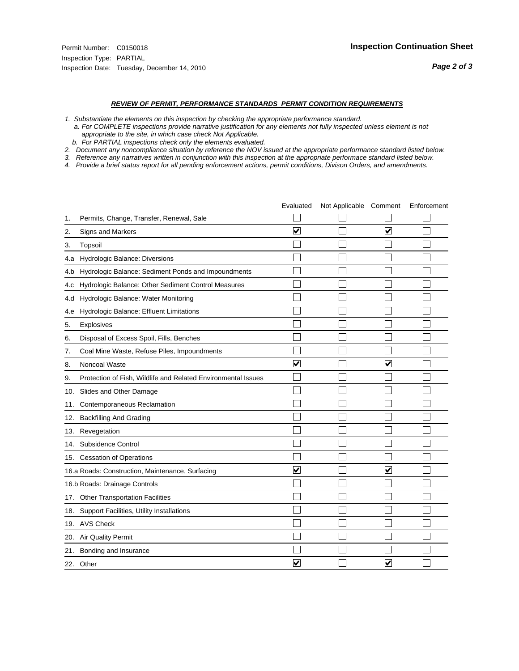#### *REVIEW OF PERMIT, PERFORMANCE STANDARDS PERMIT CONDITION REQUIREMENTS*

*1. Substantiate the elements on this inspection by checking the appropriate performance standard.*

 *a. For COMPLETE inspections provide narrative justification for any elements not fully inspected unless element is not appropriate to the site, in which case check Not Applicable.*

 *b. For PARTIAL inspections check only the elements evaluated.*

*2. Document any noncompliance situation by reference the NOV issued at the appropriate performance standard listed below.*

*3. Reference any narratives written in conjunction with this inspection at the appropriate performace standard listed below.*

*4. Provide a brief status report for all pending enforcement actions, permit conditions, Divison Orders, and amendments.*

|     |                                                               | Evaluated               | Not Applicable Comment |                         | Enforcement |
|-----|---------------------------------------------------------------|-------------------------|------------------------|-------------------------|-------------|
| 1.  | Permits, Change, Transfer, Renewal, Sale                      |                         |                        |                         |             |
| 2.  | Signs and Markers                                             | $\overline{\mathbf{v}}$ |                        | ☑                       |             |
| 3.  | Topsoil                                                       |                         |                        |                         |             |
| 4.a | Hydrologic Balance: Diversions                                |                         |                        |                         |             |
| 4.b | Hydrologic Balance: Sediment Ponds and Impoundments           |                         |                        |                         |             |
| 4.c | Hydrologic Balance: Other Sediment Control Measures           |                         |                        |                         |             |
| 4.d | Hydrologic Balance: Water Monitoring                          |                         |                        |                         |             |
| 4.e | Hydrologic Balance: Effluent Limitations                      |                         |                        |                         |             |
| 5.  | <b>Explosives</b>                                             |                         |                        |                         |             |
| 6.  | Disposal of Excess Spoil, Fills, Benches                      |                         |                        |                         |             |
| 7.  | Coal Mine Waste, Refuse Piles, Impoundments                   |                         |                        |                         |             |
| 8.  | Noncoal Waste                                                 | ⊽                       |                        | V                       |             |
| 9.  | Protection of Fish, Wildlife and Related Environmental Issues |                         |                        |                         |             |
| 10. | Slides and Other Damage                                       |                         |                        |                         |             |
| 11. | Contemporaneous Reclamation                                   |                         |                        |                         |             |
| 12. | <b>Backfilling And Grading</b>                                |                         |                        |                         |             |
| 13. | Revegetation                                                  |                         |                        |                         |             |
| 14. | Subsidence Control                                            |                         |                        |                         |             |
|     | 15. Cessation of Operations                                   |                         |                        |                         |             |
|     | 16.a Roads: Construction, Maintenance, Surfacing              | $\blacktriangledown$    |                        | $\blacktriangledown$    |             |
|     | 16.b Roads: Drainage Controls                                 |                         |                        |                         |             |
| 17. | <b>Other Transportation Facilities</b>                        |                         |                        |                         |             |
| 18. | Support Facilities, Utility Installations                     |                         |                        |                         |             |
|     | 19. AVS Check                                                 |                         |                        |                         |             |
| 20. | Air Quality Permit                                            |                         |                        |                         |             |
| 21. | Bonding and Insurance                                         |                         |                        |                         |             |
|     | 22. Other                                                     | ⊽                       |                        | $\overline{\mathbf{v}}$ |             |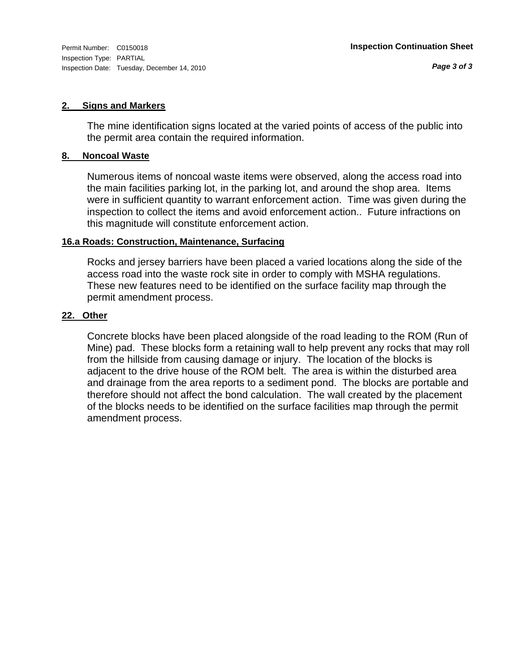# **2. Signs and Markers**

The mine identification signs located at the varied points of access of the public into the permit area contain the required information.

## **8. Noncoal Waste**

Numerous items of noncoal waste items were observed, along the access road into the main facilities parking lot, in the parking lot, and around the shop area. Items were in sufficient quantity to warrant enforcement action. Time was given during the inspection to collect the items and avoid enforcement action.. Future infractions on this magnitude will constitute enforcement action.

# **16.a Roads: Construction, Maintenance, Surfacing**

Rocks and jersey barriers have been placed a varied locations along the side of the access road into the waste rock site in order to comply with MSHA regulations. These new features need to be identified on the surface facility map through the permit amendment process.

# **22. Other**

Concrete blocks have been placed alongside of the road leading to the ROM (Run of Mine) pad. These blocks form a retaining wall to help prevent any rocks that may roll from the hillside from causing damage or injury. The location of the blocks is adjacent to the drive house of the ROM belt. The area is within the disturbed area and drainage from the area reports to a sediment pond. The blocks are portable and therefore should not affect the bond calculation. The wall created by the placement of the blocks needs to be identified on the surface facilities map through the permit amendment process.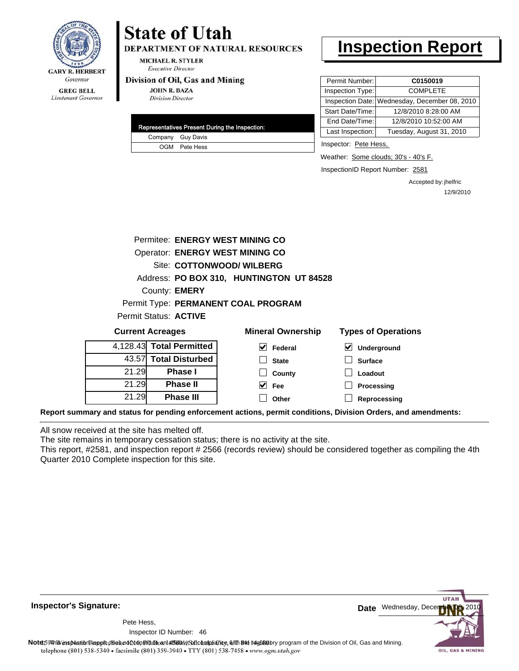

**DEPARTMENT OF NATURAL RESOURCES** 

MICHAEL R. STYLER **Executive Director** 

#### Division of Oil, Gas and Mining

**JOHN R. BAZA Division Director** 

|  | Representatives Present During the Inspection: |
|--|------------------------------------------------|
|  | Company Guy Davis                              |
|  | OGM Pete Hess                                  |

# **Inspection Report**

| Permit Number:   | C0150019                                      |
|------------------|-----------------------------------------------|
| Inspection Type: | <b>COMPLETE</b>                               |
|                  | Inspection Date: Wednesday, December 08, 2010 |
| Start Date/Time: | 12/8/2010 8:28:00 AM                          |
| End Date/Time:   | 12/8/2010 10:52:00 AM                         |
| Last Inspection: | Tuesday, August 31, 2010                      |

Inspector: Pete Hess,

Weather: Some clouds; 30's - 40's F.

InspectionID Report Number: 2581

Accepted by: jhelfric 12/9/2010

|       |                          | Permitee: ENERGY WEST MINING CO          |                            |  |
|-------|--------------------------|------------------------------------------|----------------------------|--|
|       |                          | <b>Operator: ENERGY WEST MINING CO</b>   |                            |  |
|       |                          | Site: COTTONWOOD/ WILBERG                |                            |  |
|       |                          | Address: PO BOX 310, HUNTINGTON UT 84528 |                            |  |
|       | County: <b>EMERY</b>     |                                          |                            |  |
|       |                          | Permit Type: PERMANENT COAL PROGRAM      |                            |  |
|       | Permit Status: ACTIVE    |                                          |                            |  |
|       | <b>Current Acreages</b>  | <b>Mineral Ownership</b>                 | <b>Types of Operations</b> |  |
|       |                          |                                          |                            |  |
|       | 4,128.43 Total Permitted | M<br>Federal                             | Underground<br>⊻           |  |
| 43.57 | <b>Total Disturbed</b>   | <b>State</b>                             | <b>Surface</b>             |  |
| 21.29 | <b>Phase I</b>           | County                                   | Loadout                    |  |
| 21.29 | <b>Phase II</b>          | M<br>Fee                                 | Processing                 |  |
| 21.29 | <b>Phase III</b>         | Other                                    | Reprocessing               |  |

**Report summary and status for pending enforcement actions, permit conditions, Division Orders, and amendments:**

All snow received at the site has melted off.

The site remains in temporary cessation status; there is no activity at the site.

This report, #2581, and inspection report # 2566 (records review) should be considered together as compiling the 4th Quarter 2010 Complete inspection for this site.



**Inspector's Signature:**

46 Inspector ID Number:Pete Hess,

Note59#htviespection lepptt does not constitute an affidavitSal compliance, with the regulatory program of the Division of Oil, Gas and Mining. telephone (801) 538-5340 · facsimile (801) 359-3940 · TTY (801) 538-7458 · www.ogm.utah.gov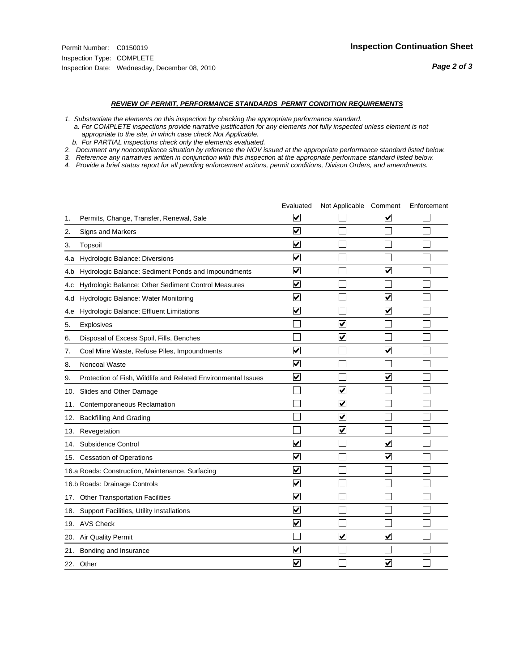#### *REVIEW OF PERMIT, PERFORMANCE STANDARDS PERMIT CONDITION REQUIREMENTS*

*1. Substantiate the elements on this inspection by checking the appropriate performance standard.*

 *a. For COMPLETE inspections provide narrative justification for any elements not fully inspected unless element is not appropriate to the site, in which case check Not Applicable.*

 *b. For PARTIAL inspections check only the elements evaluated.*

*2. Document any noncompliance situation by reference the NOV issued at the appropriate performance standard listed below.*

*3. Reference any narratives written in conjunction with this inspection at the appropriate performace standard listed below.*

*4. Provide a brief status report for all pending enforcement actions, permit conditions, Divison Orders, and amendments.*

|     |                                                               | Evaluated                       | Not Applicable Comment          |                         | Enforcement |
|-----|---------------------------------------------------------------|---------------------------------|---------------------------------|-------------------------|-------------|
| 1.  | Permits, Change, Transfer, Renewal, Sale                      | $\overline{\mathbf{v}}$         |                                 | V                       |             |
| 2.  | Signs and Markers                                             | $\overline{\mathbf{v}}$         |                                 |                         |             |
| 3.  | Topsoil                                                       | $\overline{\mathbf{v}}$         |                                 |                         |             |
| 4.a | Hydrologic Balance: Diversions                                | $\overline{\mathsf{v}}$         |                                 |                         |             |
| 4.b | Hydrologic Balance: Sediment Ponds and Impoundments           | $\blacktriangledown$            |                                 | V                       |             |
| 4.C | Hydrologic Balance: Other Sediment Control Measures           | $\overline{\mathbf{v}}$         |                                 |                         |             |
| 4.d | Hydrologic Balance: Water Monitoring                          | $\overline{\mathbf{v}}$         |                                 | $\overline{\mathbf{v}}$ |             |
| 4.e | Hydrologic Balance: Effluent Limitations                      | $\overline{\mathbf{v}}$         |                                 | ✔                       |             |
| 5.  | <b>Explosives</b>                                             |                                 | ⊽                               |                         |             |
| 6.  | Disposal of Excess Spoil, Fills, Benches                      |                                 | ⊽                               |                         |             |
| 7.  | Coal Mine Waste, Refuse Piles, Impoundments                   | $\overline{\mathbf{v}}$         |                                 | $\overline{\mathbf{v}}$ |             |
| 8.  | Noncoal Waste                                                 | ⊽                               |                                 |                         |             |
| 9.  | Protection of Fish, Wildlife and Related Environmental Issues | $\blacktriangledown$            |                                 | ☑                       |             |
|     | 10. Slides and Other Damage                                   |                                 | ☑                               |                         |             |
| 11. | Contemporaneous Reclamation                                   |                                 | ☑                               |                         |             |
| 12. | <b>Backfilling And Grading</b>                                |                                 | $\overline{\mathbf{v}}$         |                         |             |
| 13. | Revegetation                                                  |                                 | $\overline{\blacktriangledown}$ |                         |             |
| 14. | Subsidence Control                                            | ✔                               |                                 | $\overline{\mathbf{v}}$ |             |
|     | 15. Cessation of Operations                                   | $\overline{\mathbf{v}}$         |                                 | $\blacktriangledown$    |             |
|     | 16.a Roads: Construction, Maintenance, Surfacing              | $\blacktriangledown$            |                                 |                         |             |
|     | 16.b Roads: Drainage Controls                                 | $\overline{\blacktriangledown}$ |                                 |                         |             |
| 17. | <b>Other Transportation Facilities</b>                        | $\overline{\mathbf{v}}$         |                                 |                         |             |
| 18. | Support Facilities, Utility Installations                     | $\overline{\mathbf{v}}$         |                                 |                         |             |
|     | 19. AVS Check                                                 | $\overline{\mathbf{v}}$         |                                 |                         |             |
| 20. | <b>Air Quality Permit</b>                                     |                                 | $\overline{\mathbf{v}}$         | $\blacktriangledown$    |             |
| 21. | Bonding and Insurance                                         | V                               |                                 |                         |             |
|     | 22. Other                                                     | $\overline{\mathbf{v}}$         |                                 | $\overline{\mathbf{v}}$ |             |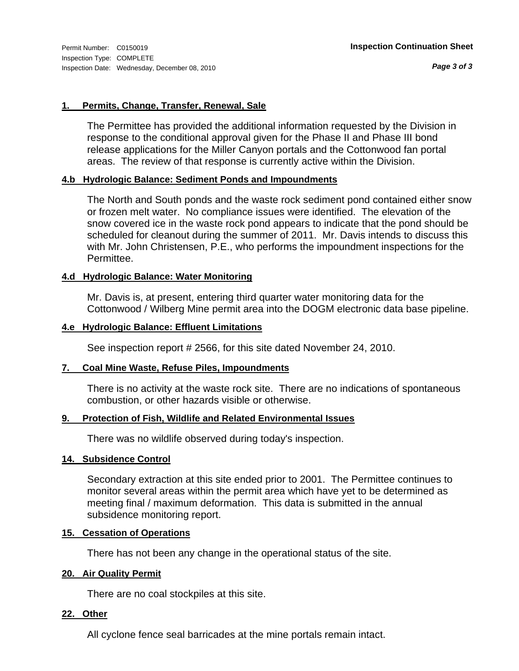*Page 3 of 3*

# **1. Permits, Change, Transfer, Renewal, Sale**

The Permittee has provided the additional information requested by the Division in response to the conditional approval given for the Phase II and Phase III bond release applications for the Miller Canyon portals and the Cottonwood fan portal areas. The review of that response is currently active within the Division.

# **4.b Hydrologic Balance: Sediment Ponds and Impoundments**

The North and South ponds and the waste rock sediment pond contained either snow or frozen melt water. No compliance issues were identified. The elevation of the snow covered ice in the waste rock pond appears to indicate that the pond should be scheduled for cleanout during the summer of 2011. Mr. Davis intends to discuss this with Mr. John Christensen, P.E., who performs the impoundment inspections for the Permittee.

# **4.d Hydrologic Balance: Water Monitoring**

Mr. Davis is, at present, entering third quarter water monitoring data for the Cottonwood / Wilberg Mine permit area into the DOGM electronic data base pipeline.

# **4.e Hydrologic Balance: Effluent Limitations**

See inspection report # 2566, for this site dated November 24, 2010.

# **7. Coal Mine Waste, Refuse Piles, Impoundments**

There is no activity at the waste rock site. There are no indications of spontaneous combustion, or other hazards visible or otherwise.

### **9. Protection of Fish, Wildlife and Related Environmental Issues**

There was no wildlife observed during today's inspection.

### **14. Subsidence Control**

Secondary extraction at this site ended prior to 2001. The Permittee continues to monitor several areas within the permit area which have yet to be determined as meeting final / maximum deformation. This data is submitted in the annual subsidence monitoring report.

## **15. Cessation of Operations**

There has not been any change in the operational status of the site.

### **20. Air Quality Permit**

There are no coal stockpiles at this site.

### **22. Other**

All cyclone fence seal barricades at the mine portals remain intact.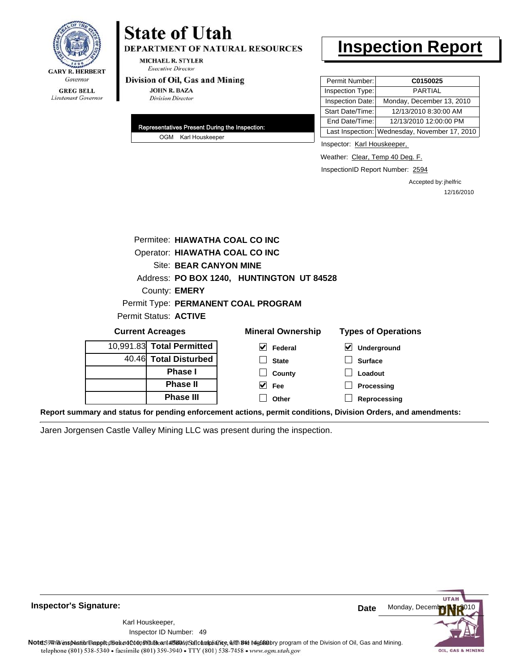

# **State of Utah DEPARTMENT OF NATURAL RESOURCES**

**MICHAEL R. STYLER Executive Director** 

#### Division of Oil, Gas and Mining

**JOHN R. BAZA Division Director** 

| Representatives Present During the Inspection: |
|------------------------------------------------|
| OGM Karl Houskeeper                            |

# **Inspection Report**

| Permit Number:   | C0150025                                      |
|------------------|-----------------------------------------------|
| Inspection Type: | <b>PARTIAL</b>                                |
| Inspection Date: | Monday, December 13, 2010                     |
| Start Date/Time: | 12/13/2010 8:30:00 AM                         |
| End Date/Time:   | 12/13/2010 12:00:00 PM                        |
|                  | Last Inspection: Wednesday, November 17, 2010 |

Inspector: Karl Houskeeper,

Weather: Clear, Temp 40 Deg. F.

InspectionID Report Number: 2594

Accepted by: jhelfric 12/16/2010

| Permitee: HIAWATHA COAL CO INC  |                                                                                                                                                                                                                               |                                                           |
|---------------------------------|-------------------------------------------------------------------------------------------------------------------------------------------------------------------------------------------------------------------------------|-----------------------------------------------------------|
| Operator: HIAWATHA COAL CO INC  |                                                                                                                                                                                                                               |                                                           |
| Site: BEAR CANYON MINE          |                                                                                                                                                                                                                               |                                                           |
|                                 | Address: PO BOX 1240, HUNTINGTON UT 84528                                                                                                                                                                                     |                                                           |
| County: <b>EMERY</b>            |                                                                                                                                                                                                                               |                                                           |
|                                 | Permit Type: PERMANENT COAL PROGRAM                                                                                                                                                                                           |                                                           |
| Permit Status: ACTIVE           |                                                                                                                                                                                                                               |                                                           |
| <b>Current Acreages</b>         | <b>Mineral Ownership</b>                                                                                                                                                                                                      | <b>Types of Operations</b>                                |
| 10,991.83 Total Permitted       | $\vee$ Federal                                                                                                                                                                                                                | $\boldsymbol{\mathsf{v}}$<br>Underground                  |
| 40.46 Total Disturbed           | <b>State</b>                                                                                                                                                                                                                  | <b>Surface</b>                                            |
| <b>Phase I</b>                  | County                                                                                                                                                                                                                        | Loadout                                                   |
| <b>Phase II</b>                 | $ v $ Fee                                                                                                                                                                                                                     | Processing                                                |
| <b>Phase III</b>                | Other                                                                                                                                                                                                                         | Reprocessing                                              |
| the company of the company of a | and a commentation of the second state of the second state of the second state of the second state of the second state of the second state of the second state of the second state of the second state of the second state of | allel and the Black and a complete the Black of the Black |

**Report summary and status for pending enforcement actions, permit conditions, Division Orders, and amendments:**

Jaren Jorgensen Castle Valley Mining LLC was present during the inspection.



**Inspector's Signature:**

Karl Houskeeper,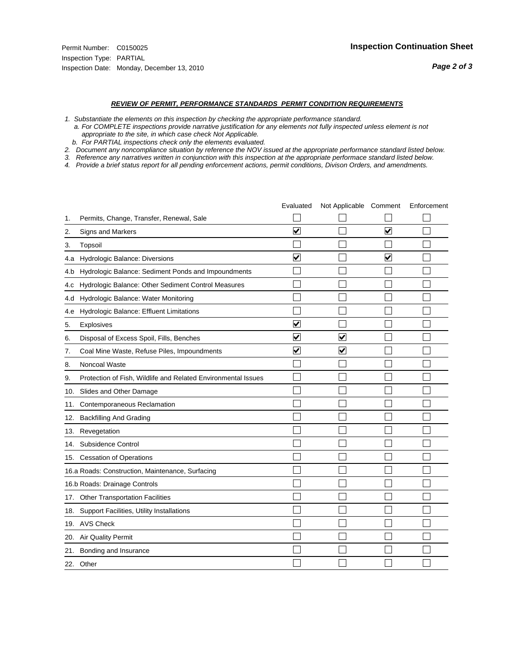#### *REVIEW OF PERMIT, PERFORMANCE STANDARDS PERMIT CONDITION REQUIREMENTS*

*1. Substantiate the elements on this inspection by checking the appropriate performance standard.*

 *a. For COMPLETE inspections provide narrative justification for any elements not fully inspected unless element is not appropriate to the site, in which case check Not Applicable.*

 *b. For PARTIAL inspections check only the elements evaluated.*

*2. Document any noncompliance situation by reference the NOV issued at the appropriate performance standard listed below.*

*3. Reference any narratives written in conjunction with this inspection at the appropriate performace standard listed below.*

*4. Provide a brief status report for all pending enforcement actions, permit conditions, Divison Orders, and amendments.*

|     |                                                               | Evaluated               | Not Applicable Comment |                         | Enforcement |
|-----|---------------------------------------------------------------|-------------------------|------------------------|-------------------------|-------------|
| 1.  | Permits, Change, Transfer, Renewal, Sale                      |                         |                        |                         |             |
| 2.  | Signs and Markers                                             | $\overline{\mathbf{v}}$ |                        | $\overline{\mathbf{v}}$ |             |
| 3.  | Topsoil                                                       |                         |                        |                         |             |
| 4.a | Hydrologic Balance: Diversions                                | $\overline{\mathbf{v}}$ |                        | $\blacktriangledown$    |             |
| 4.b | Hydrologic Balance: Sediment Ponds and Impoundments           |                         |                        |                         |             |
| 4.C | Hydrologic Balance: Other Sediment Control Measures           |                         |                        |                         |             |
| 4.d | Hydrologic Balance: Water Monitoring                          |                         |                        |                         |             |
| 4.e | Hydrologic Balance: Effluent Limitations                      |                         |                        |                         |             |
| 5.  | Explosives                                                    | $\overline{\mathbf{v}}$ |                        |                         |             |
| 6.  | Disposal of Excess Spoil, Fills, Benches                      | $\blacktriangledown$    | ⊻                      |                         |             |
| 7.  | Coal Mine Waste, Refuse Piles, Impoundments                   | $\overline{\mathbf{v}}$ | $\blacktriangledown$   |                         |             |
| 8.  | Noncoal Waste                                                 |                         |                        |                         |             |
| 9.  | Protection of Fish, Wildlife and Related Environmental Issues |                         |                        |                         |             |
| 10. | Slides and Other Damage                                       |                         |                        |                         |             |
| 11. | Contemporaneous Reclamation                                   |                         |                        |                         |             |
| 12. | <b>Backfilling And Grading</b>                                |                         |                        |                         |             |
| 13. | Revegetation                                                  |                         |                        |                         |             |
| 14. | Subsidence Control                                            |                         |                        |                         |             |
|     | 15. Cessation of Operations                                   |                         |                        |                         |             |
|     | 16.a Roads: Construction, Maintenance, Surfacing              |                         |                        |                         |             |
|     | 16.b Roads: Drainage Controls                                 |                         |                        |                         |             |
| 17. | <b>Other Transportation Facilities</b>                        |                         |                        |                         |             |
| 18. | Support Facilities, Utility Installations                     |                         |                        |                         |             |
|     | 19. AVS Check                                                 |                         |                        |                         |             |
| 20. | <b>Air Quality Permit</b>                                     |                         |                        |                         |             |
| 21. | Bonding and Insurance                                         |                         |                        |                         |             |
|     | 22. Other                                                     |                         |                        |                         |             |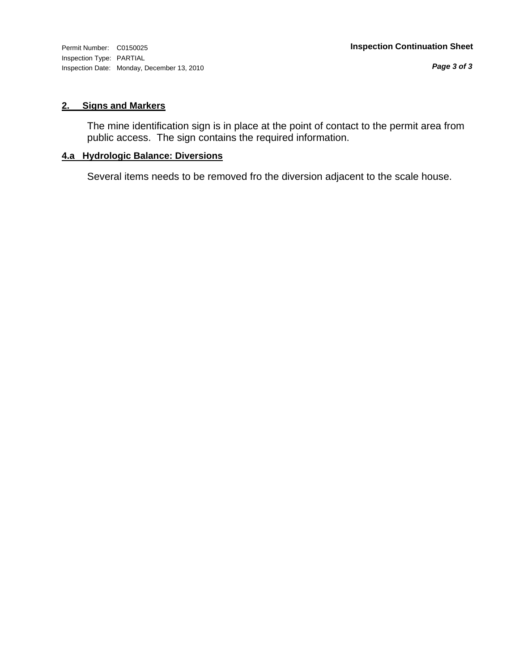Inspection Type: PARTIAL Inspection Date: Monday, December 13, 2010

# **2. Signs and Markers**

The mine identification sign is in place at the point of contact to the permit area from public access. The sign contains the required information.

# **4.a Hydrologic Balance: Diversions**

Several items needs to be removed fro the diversion adjacent to the scale house.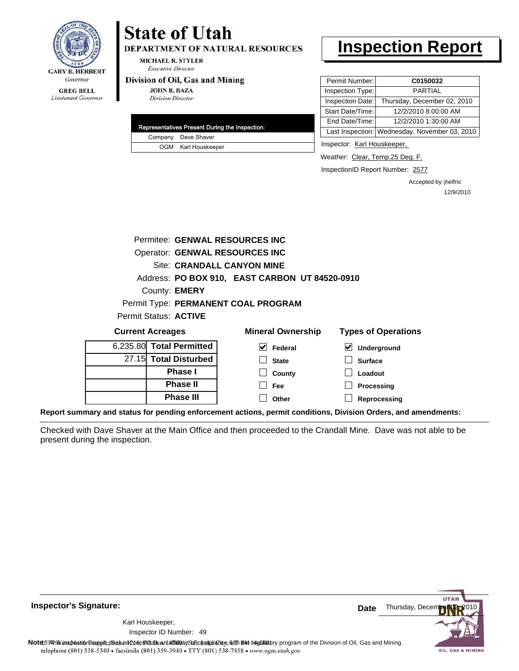

**DEPARTMENT OF NATURAL RESOURCES** 

**MICHAEL R. STYLER Executive Director** 

#### Division of Oil, Gas and Mining

**JOHN R. BAZA Division Director** 

| Representatives Present During the Inspection: |
|------------------------------------------------|
| Company Dave Shaver                            |
| OGM Karl Houskeeper                            |

# **Inspection Report**

| Permit Number:   | C0150032                                      |
|------------------|-----------------------------------------------|
| Inspection Type: | <b>PARTIAL</b>                                |
| Inspection Date: | Thursday, December 02, 2010                   |
| Start Date/Time: | 12/2/2010 8:00:00 AM                          |
| End Date/Time:   | 12/2/2010 1:30:00 AM                          |
|                  | Last Inspection: Wednesday, November 03, 2010 |

Inspector: Karl Houskeeper,

Weather: Clear, Temp.25 Deg. F.

InspectionID Report Number: 2577

Accepted by: jhelfric 12/9/2010

| Permitee: GENWAL RESOURCES INC |                                                                                              |                            |
|--------------------------------|----------------------------------------------------------------------------------------------|----------------------------|
| Operator: GENWAL RESOURCES INC |                                                                                              |                            |
|                                | <b>Site: CRANDALL CANYON MINE</b>                                                            |                            |
|                                | Address: PO BOX 910, EAST CARBON UT 84520-0910                                               |                            |
| County: <b>EMERY</b>           |                                                                                              |                            |
|                                | Permit Type: PERMANENT COAL PROGRAM                                                          |                            |
| Permit Status: ACTIVE          |                                                                                              |                            |
| <b>Current Acreages</b>        | <b>Mineral Ownership</b>                                                                     | <b>Types of Operations</b> |
| 6,235.80 Total Permitted       | $\vert \mathbf{v} \vert$ Federal                                                             | ⊻<br>Underground           |
| 27.15 Total Disturbed          | <b>State</b>                                                                                 | <b>Surface</b>             |
| <b>Phase I</b>                 | County                                                                                       | Loadout                    |
| <b>Phase II</b>                | <b>Fee</b>                                                                                   | Processing                 |
| <b>Phase III</b>               | Other                                                                                        | Reprocessing               |
|                                | nyand atatua far nanding anfaraamant astiana, narmit aanditiana. Divisian Ordara, and amandm |                            |

**Report summary and status for pending enforcement actions, permit conditions, Division Orders, and amendments:**

Checked with Dave Shaver at the Main Office and then proceeded to the Crandall Mine. Dave was not able to be present during the inspection.



**Inspector's Signature:**

49 Inspector ID Number:Karl Houskeeper,

Note59#htviespection lepptt does not constitute an affidavitSal compliance, with the regulatory program of the Division of Oil, Gas and Mining. telephone (801) 538-5340 · facsimile (801) 359-3940 · TTY (801) 538-7458 · www.ogm.utah.gov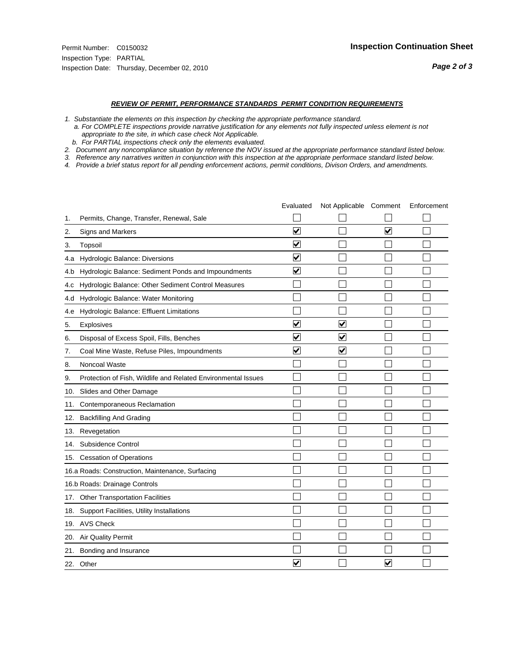#### *REVIEW OF PERMIT, PERFORMANCE STANDARDS PERMIT CONDITION REQUIREMENTS*

*1. Substantiate the elements on this inspection by checking the appropriate performance standard.*

 *a. For COMPLETE inspections provide narrative justification for any elements not fully inspected unless element is not appropriate to the site, in which case check Not Applicable.*

 *b. For PARTIAL inspections check only the elements evaluated.*

*2. Document any noncompliance situation by reference the NOV issued at the appropriate performance standard listed below.*

*3. Reference any narratives written in conjunction with this inspection at the appropriate performace standard listed below.*

*4. Provide a brief status report for all pending enforcement actions, permit conditions, Divison Orders, and amendments.*

|     |                                                               | Evaluated               | Not Applicable Comment  |                      | Enforcement |
|-----|---------------------------------------------------------------|-------------------------|-------------------------|----------------------|-------------|
| 1.  | Permits, Change, Transfer, Renewal, Sale                      |                         |                         |                      |             |
| 2.  | Signs and Markers                                             | $\overline{\mathbf{v}}$ |                         | $\blacktriangledown$ |             |
| 3.  | Topsoil                                                       | $\overline{\mathbf{v}}$ |                         |                      |             |
| 4.a | Hydrologic Balance: Diversions                                | $\overline{\mathsf{v}}$ |                         |                      |             |
| 4.b | Hydrologic Balance: Sediment Ponds and Impoundments           | ⊻                       |                         |                      |             |
| 4.C | Hydrologic Balance: Other Sediment Control Measures           |                         |                         |                      |             |
| 4.d | Hydrologic Balance: Water Monitoring                          |                         |                         |                      |             |
| 4.e | Hydrologic Balance: Effluent Limitations                      |                         |                         |                      |             |
| 5.  | <b>Explosives</b>                                             | ⊽                       | ☑                       |                      |             |
| 6.  | Disposal of Excess Spoil, Fills, Benches                      | $\blacktriangledown$    | V                       |                      |             |
| 7.  | Coal Mine Waste, Refuse Piles, Impoundments                   | $\overline{\mathbf{v}}$ | $\overline{\mathbf{v}}$ |                      |             |
| 8.  | Noncoal Waste                                                 |                         |                         |                      |             |
| 9.  | Protection of Fish, Wildlife and Related Environmental Issues |                         |                         |                      |             |
|     | 10. Slides and Other Damage                                   |                         |                         |                      |             |
| 11. | Contemporaneous Reclamation                                   |                         |                         |                      |             |
| 12. | <b>Backfilling And Grading</b>                                |                         |                         |                      |             |
| 13. | Revegetation                                                  |                         |                         |                      |             |
| 14. | Subsidence Control                                            |                         |                         |                      |             |
|     | 15. Cessation of Operations                                   |                         |                         |                      |             |
|     | 16.a Roads: Construction, Maintenance, Surfacing              |                         |                         |                      |             |
|     | 16.b Roads: Drainage Controls                                 |                         |                         |                      |             |
| 17. | Other Transportation Facilities                               |                         |                         |                      |             |
| 18. | Support Facilities, Utility Installations                     |                         |                         |                      |             |
|     | 19. AVS Check                                                 |                         |                         |                      |             |
| 20. | <b>Air Quality Permit</b>                                     |                         |                         |                      |             |
| 21. | Bonding and Insurance                                         |                         |                         |                      |             |
|     | 22. Other                                                     | ⊽                       |                         | V                    |             |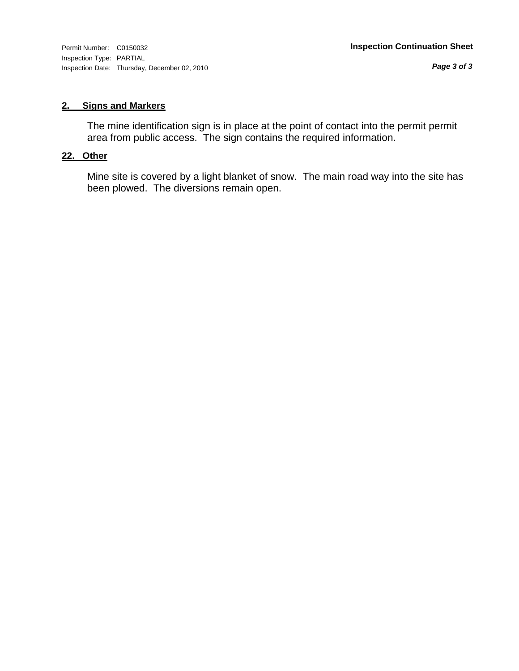*Page 3 of 3*

# **2. Signs and Markers**

The mine identification sign is in place at the point of contact into the permit permit area from public access. The sign contains the required information.

# **22. Other**

Mine site is covered by a light blanket of snow. The main road way into the site has been plowed. The diversions remain open.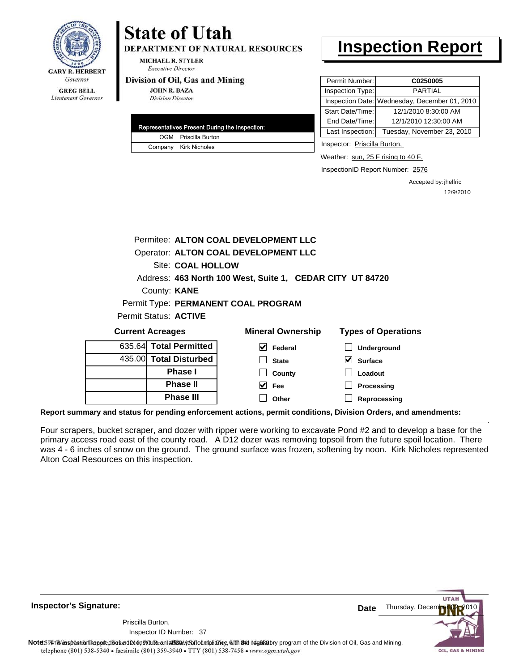

**DEPARTMENT OF NATURAL RESOURCES** 

MICHAEL R. STYLER **Executive Director** 

#### Division of Oil, Gas and Mining

**JOHN R. BAZA Division Director** 

| Representatives Present During the Inspection: |
|------------------------------------------------|
| OGM Priscilla Burton                           |
| Company Kirk Nicholes                          |

# **Inspection Report**

| Permit Number:   | C0250005                                      |
|------------------|-----------------------------------------------|
| Inspection Type: | PARTIAL                                       |
|                  | Inspection Date: Wednesday, December 01, 2010 |
| Start Date/Time: | 12/1/2010 8:30:00 AM                          |
| End Date/Time:   | 12/1/2010 12:30:00 AM                         |
| Last Inspection: | Tuesday, November 23, 2010                    |

Inspector: Priscilla Burton,

Weather: sun, 25 F rising to 40 F.

InspectionID Report Number: 2576

Accepted by: jhelfric 12/9/2010

|                         | Permitee: ALTON COAL DEVELOPMENT LLC                      |                            |  |  |  |
|-------------------------|-----------------------------------------------------------|----------------------------|--|--|--|
|                         | Operator: ALTON COAL DEVELOPMENT LLC                      |                            |  |  |  |
| Site: COAL HOLLOW       |                                                           |                            |  |  |  |
|                         | Address: 463 North 100 West, Suite 1, CEDAR CITY UT 84720 |                            |  |  |  |
| County: <b>KANE</b>     |                                                           |                            |  |  |  |
|                         | Permit Type: PERMANENT COAL PROGRAM                       |                            |  |  |  |
| Permit Status: ACTIVE   |                                                           |                            |  |  |  |
| <b>Current Acreages</b> | <b>Mineral Ownership</b>                                  | <b>Types of Operations</b> |  |  |  |
| 635.64 Total Permitted  | V<br>Federal                                              | <b>Underground</b>         |  |  |  |
| 435.00 Total Disturbed  | <b>State</b>                                              | VI<br><b>Surface</b>       |  |  |  |
| <b>Phase I</b>          | County                                                    | Loadout                    |  |  |  |
| <b>Phase II</b>         | V<br>Fee                                                  | Processing                 |  |  |  |
| <b>Phase III</b>        | Other                                                     | Reprocessing               |  |  |  |
|                         |                                                           |                            |  |  |  |

**Report summary and status for pending enforcement actions, permit conditions, Division Orders, and amendments:**

Four scrapers, bucket scraper, and dozer with ripper were working to excavate Pond #2 and to develop a base for the primary access road east of the county road. A D12 dozer was removing topsoil from the future spoil location. There was 4 - 6 inches of snow on the ground. The ground surface was frozen, softening by noon. Kirk Nicholes represented Alton Coal Resources on this inspection.

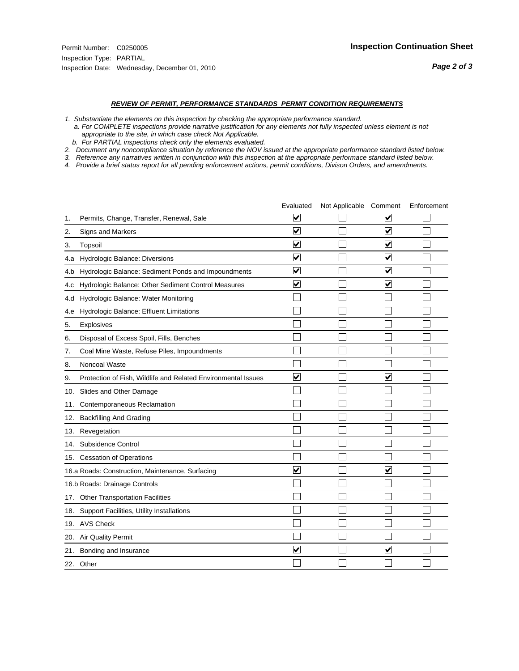#### *REVIEW OF PERMIT, PERFORMANCE STANDARDS PERMIT CONDITION REQUIREMENTS*

*1. Substantiate the elements on this inspection by checking the appropriate performance standard.*

 *a. For COMPLETE inspections provide narrative justification for any elements not fully inspected unless element is not appropriate to the site, in which case check Not Applicable.*

 *b. For PARTIAL inspections check only the elements evaluated.*

*2. Document any noncompliance situation by reference the NOV issued at the appropriate performance standard listed below.*

*3. Reference any narratives written in conjunction with this inspection at the appropriate performace standard listed below.*

*4. Provide a brief status report for all pending enforcement actions, permit conditions, Divison Orders, and amendments.*

|     |                                                               | Evaluated               | Not Applicable Comment |                         | Enforcement |
|-----|---------------------------------------------------------------|-------------------------|------------------------|-------------------------|-------------|
| 1.  | Permits, Change, Transfer, Renewal, Sale                      | $\overline{\mathbf{v}}$ |                        | V                       |             |
| 2.  | Signs and Markers                                             | $\overline{\mathbf{v}}$ |                        | $\blacktriangledown$    |             |
| 3.  | Topsoil                                                       | $\overline{\mathbf{v}}$ |                        | $\overline{\mathsf{v}}$ |             |
| 4.a | Hydrologic Balance: Diversions                                | $\overline{\mathsf{v}}$ |                        | $\blacktriangledown$    |             |
| 4.b | Hydrologic Balance: Sediment Ponds and Impoundments           | $\blacktriangledown$    |                        | V                       |             |
| 4.c | Hydrologic Balance: Other Sediment Control Measures           | $\overline{\mathbf{v}}$ |                        | $\blacktriangledown$    |             |
| 4.d | Hydrologic Balance: Water Monitoring                          |                         |                        |                         |             |
| 4.e | Hydrologic Balance: Effluent Limitations                      |                         |                        |                         |             |
| 5.  | <b>Explosives</b>                                             |                         |                        |                         |             |
| 6.  | Disposal of Excess Spoil, Fills, Benches                      |                         |                        |                         |             |
| 7.  | Coal Mine Waste, Refuse Piles, Impoundments                   |                         |                        |                         |             |
| 8.  | Noncoal Waste                                                 |                         |                        |                         |             |
| 9.  | Protection of Fish, Wildlife and Related Environmental Issues | $\blacktriangledown$    |                        | ⊽                       |             |
|     | 10. Slides and Other Damage                                   |                         |                        |                         |             |
| 11. | Contemporaneous Reclamation                                   |                         |                        |                         |             |
| 12. | <b>Backfilling And Grading</b>                                |                         |                        |                         |             |
| 13. | Revegetation                                                  |                         |                        |                         |             |
| 14. | Subsidence Control                                            |                         |                        |                         |             |
|     | 15. Cessation of Operations                                   |                         |                        |                         |             |
|     | 16.a Roads: Construction, Maintenance, Surfacing              | ⊽                       |                        | V                       |             |
|     | 16.b Roads: Drainage Controls                                 |                         |                        |                         |             |
| 17. | Other Transportation Facilities                               |                         |                        |                         |             |
| 18. | Support Facilities, Utility Installations                     |                         |                        |                         |             |
|     | 19. AVS Check                                                 |                         |                        |                         |             |
| 20. | <b>Air Quality Permit</b>                                     |                         |                        |                         |             |
| 21. | Bonding and Insurance                                         | $\overline{\mathbf{v}}$ |                        | $\blacktriangledown$    |             |
|     | 22. Other                                                     |                         |                        |                         |             |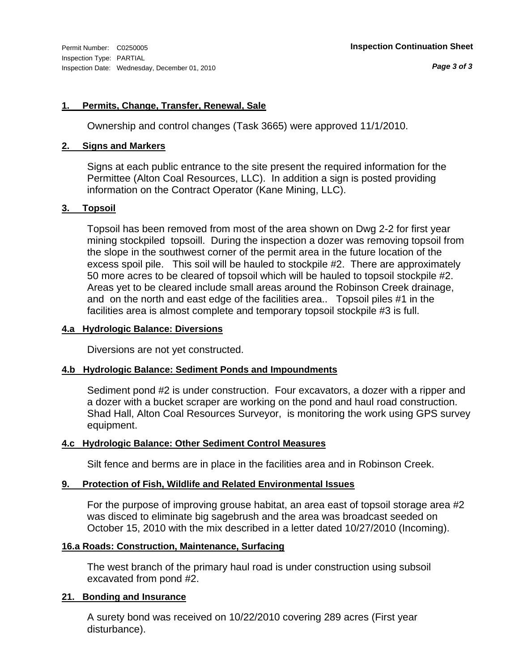# **1. Permits, Change, Transfer, Renewal, Sale**

Ownership and control changes (Task 3665) were approved 11/1/2010.

# **2. Signs and Markers**

Signs at each public entrance to the site present the required information for the Permittee (Alton Coal Resources, LLC). In addition a sign is posted providing information on the Contract Operator (Kane Mining, LLC).

# **3. Topsoil**

Topsoil has been removed from most of the area shown on Dwg 2-2 for first year mining stockpiled topsoill. During the inspection a dozer was removing topsoil from the slope in the southwest corner of the permit area in the future location of the excess spoil pile. This soil will be hauled to stockpile #2. There are approximately 50 more acres to be cleared of topsoil which will be hauled to topsoil stockpile #2. Areas yet to be cleared include small areas around the Robinson Creek drainage, and on the north and east edge of the facilities area.. Topsoil piles #1 in the facilities area is almost complete and temporary topsoil stockpile #3 is full.

### **4.a Hydrologic Balance: Diversions**

Diversions are not yet constructed.

# **4.b Hydrologic Balance: Sediment Ponds and Impoundments**

Sediment pond #2 is under construction. Four excavators, a dozer with a ripper and a dozer with a bucket scraper are working on the pond and haul road construction. Shad Hall, Alton Coal Resources Surveyor, is monitoring the work using GPS survey equipment.

# **4.c Hydrologic Balance: Other Sediment Control Measures**

Silt fence and berms are in place in the facilities area and in Robinson Creek.

# **9. Protection of Fish, Wildlife and Related Environmental Issues**

For the purpose of improving grouse habitat, an area east of topsoil storage area #2 was disced to eliminate big sagebrush and the area was broadcast seeded on October 15, 2010 with the mix described in a letter dated 10/27/2010 (Incoming).

### **16.a Roads: Construction, Maintenance, Surfacing**

The west branch of the primary haul road is under construction using subsoil excavated from pond #2.

## **21. Bonding and Insurance**

A surety bond was received on 10/22/2010 covering 289 acres (First year disturbance).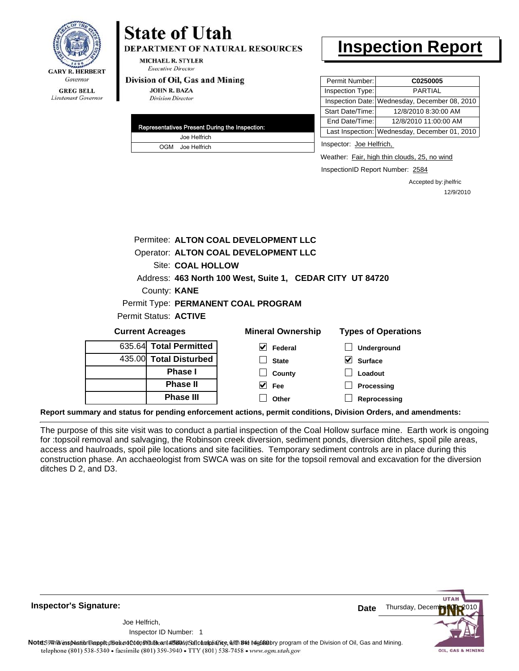

**DEPARTMENT OF NATURAL RESOURCES** 

MICHAEL R. STYLER **Executive Director** 

#### Division of Oil, Gas and Mining

**Phase II Phase III**

**JOHN R. BAZA Division Director** 

| Representatives Present During the Inspection: |
|------------------------------------------------|
| Joe Helfrich                                   |
| OGM Joe Helfrich                               |

# **Inspection Report**

| Permit Number:   | C0250005                                      |
|------------------|-----------------------------------------------|
| Inspection Type: | <b>PARTIAL</b>                                |
|                  | Inspection Date: Wednesday, December 08, 2010 |
| Start Date/Time: | 12/8/2010 8:30:00 AM                          |
| End Date/Time:   | 12/8/2010 11:00:00 AM                         |
|                  | Last Inspection: Wednesday, December 01, 2010 |
|                  |                                               |

Inspector: Joe Helfrich,

Weather: Fair, high thin clouds, 25, no wind

InspectionID Report Number: 2584

**Processing Reprocessing** Accepted by: jhelfric 12/9/2010

| Permitee: ALTON COAL DEVELOPMENT LLC |                                      |                                                           |                            |  |  |
|--------------------------------------|--------------------------------------|-----------------------------------------------------------|----------------------------|--|--|
|                                      | Operator: ALTON COAL DEVELOPMENT LLC |                                                           |                            |  |  |
|                                      | Site: COAL HOLLOW                    |                                                           |                            |  |  |
|                                      |                                      | Address: 463 North 100 West, Suite 1, CEDAR CITY UT 84720 |                            |  |  |
|                                      | County: <b>KANE</b>                  |                                                           |                            |  |  |
|                                      |                                      | Permit Type: PERMANENT COAL PROGRAM                       |                            |  |  |
|                                      | Permit Status: <b>ACTIVE</b>         |                                                           |                            |  |  |
|                                      | <b>Current Acreages</b>              | <b>Mineral Ownership</b>                                  | <b>Types of Operations</b> |  |  |
| 635.64 Total Permitted               |                                      | V<br>Federal                                              | <b>Underground</b>         |  |  |
| 435.00 Total Disturbed               |                                      | <b>State</b>                                              | <b>Surface</b>             |  |  |
|                                      | Phase I                              | County                                                    | Loadout                    |  |  |

**Report summary and status for pending enforcement actions, permit conditions, Division Orders, and amendments:**

The purpose of this site visit was to conduct a partial inspection of the Coal Hollow surface mine. Earth work is ongoing for :topsoil removal and salvaging, the Robinson creek diversion, sediment ponds, diversion ditches, spoil pile areas, access and haulroads, spoil pile locations and site facilities. Temporary sediment controls are in place during this construction phase. An acchaeologist from SWCA was on site for the topsoil removal and excavation for the diversion ditches D 2, and D3.

**Fee Other**

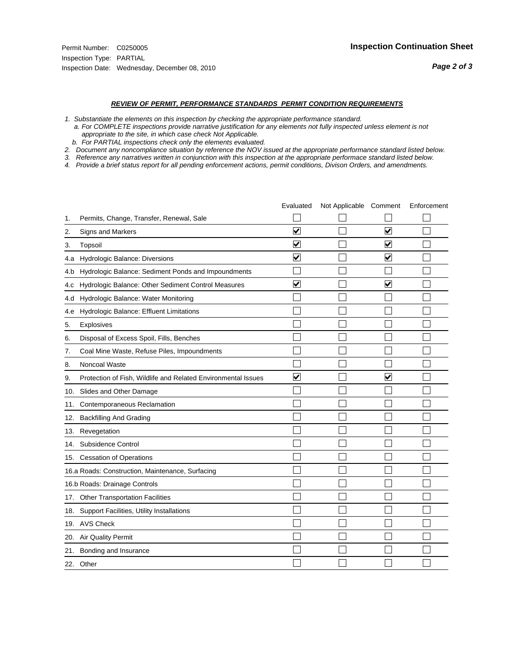#### *REVIEW OF PERMIT, PERFORMANCE STANDARDS PERMIT CONDITION REQUIREMENTS*

- *1. Substantiate the elements on this inspection by checking the appropriate performance standard.*
- *a. For COMPLETE inspections provide narrative justification for any elements not fully inspected unless element is not appropriate to the site, in which case check Not Applicable.*
- *b. For PARTIAL inspections check only the elements evaluated.*
- *2. Document any noncompliance situation by reference the NOV issued at the appropriate performance standard listed below.*
- *3. Reference any narratives written in conjunction with this inspection at the appropriate performace standard listed below.*
- *4. Provide a brief status report for all pending enforcement actions, permit conditions, Divison Orders, and amendments.*

|     |                                                               | Evaluated               | Not Applicable Comment |                      | Enforcement |
|-----|---------------------------------------------------------------|-------------------------|------------------------|----------------------|-------------|
| 1.  | Permits, Change, Transfer, Renewal, Sale                      |                         |                        |                      |             |
| 2.  | <b>Signs and Markers</b>                                      | $\overline{\mathbf{v}}$ |                        | $\blacktriangledown$ |             |
| 3.  | Topsoil                                                       | $\overline{\mathbf{v}}$ |                        | $\blacktriangledown$ |             |
| 4.a | Hydrologic Balance: Diversions                                | ⊻                       |                        | V                    |             |
| 4.b | Hydrologic Balance: Sediment Ponds and Impoundments           |                         |                        |                      |             |
| 4.C | Hydrologic Balance: Other Sediment Control Measures           | ⊽                       |                        | $\blacktriangledown$ |             |
| 4.d | Hydrologic Balance: Water Monitoring                          |                         |                        |                      |             |
| 4.e | Hydrologic Balance: Effluent Limitations                      |                         |                        |                      |             |
| 5.  | Explosives                                                    |                         |                        |                      |             |
| 6.  | Disposal of Excess Spoil, Fills, Benches                      |                         |                        |                      |             |
| 7.  | Coal Mine Waste, Refuse Piles, Impoundments                   |                         |                        |                      |             |
| 8.  | Noncoal Waste                                                 |                         |                        |                      |             |
| 9.  | Protection of Fish, Wildlife and Related Environmental Issues | $\blacktriangledown$    |                        | $\blacktriangledown$ |             |
| 10. | Slides and Other Damage                                       |                         |                        |                      |             |
| 11. | Contemporaneous Reclamation                                   |                         |                        |                      |             |
| 12. | <b>Backfilling And Grading</b>                                |                         |                        |                      |             |
| 13. | Revegetation                                                  |                         |                        |                      |             |
| 14. | Subsidence Control                                            |                         |                        |                      |             |
| 15. | <b>Cessation of Operations</b>                                |                         |                        |                      |             |
|     | 16.a Roads: Construction, Maintenance, Surfacing              |                         |                        |                      |             |
|     | 16.b Roads: Drainage Controls                                 |                         |                        |                      |             |
| 17. | <b>Other Transportation Facilities</b>                        |                         |                        |                      |             |
| 18. | Support Facilities, Utility Installations                     |                         |                        |                      |             |
|     | 19. AVS Check                                                 |                         |                        |                      |             |
| 20. | Air Quality Permit                                            |                         |                        |                      |             |
| 21. | Bonding and Insurance                                         |                         |                        |                      |             |
|     | 22. Other                                                     |                         |                        |                      |             |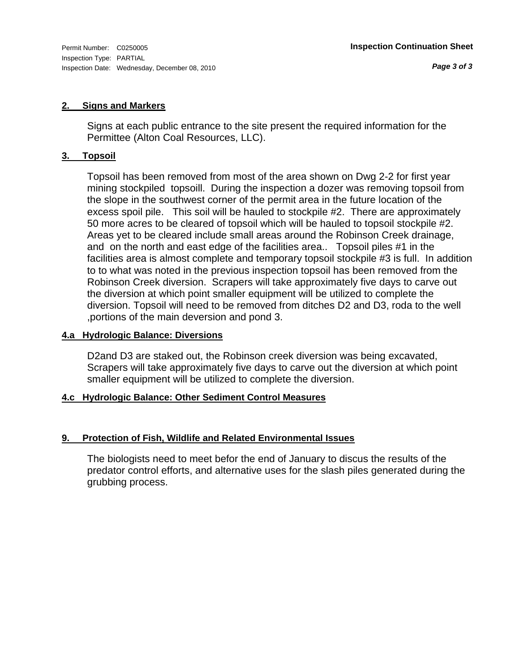# **2. Signs and Markers**

Signs at each public entrance to the site present the required information for the Permittee (Alton Coal Resources, LLC).

# **3. Topsoil**

Topsoil has been removed from most of the area shown on Dwg 2-2 for first year mining stockpiled topsoill. During the inspection a dozer was removing topsoil from the slope in the southwest corner of the permit area in the future location of the excess spoil pile. This soil will be hauled to stockpile #2. There are approximately 50 more acres to be cleared of topsoil which will be hauled to topsoil stockpile #2. Areas yet to be cleared include small areas around the Robinson Creek drainage, and on the north and east edge of the facilities area.. Topsoil piles #1 in the facilities area is almost complete and temporary topsoil stockpile #3 is full. In addition to to what was noted in the previous inspection topsoil has been removed from the Robinson Creek diversion. Scrapers will take approximately five days to carve out the diversion at which point smaller equipment will be utilized to complete the diversion. Topsoil will need to be removed from ditches D2 and D3, roda to the well ,portions of the main deversion and pond 3.

# **4.a Hydrologic Balance: Diversions**

D2and D3 are staked out, the Robinson creek diversion was being excavated, Scrapers will take approximately five days to carve out the diversion at which point smaller equipment will be utilized to complete the diversion.

# **4.c Hydrologic Balance: Other Sediment Control Measures**

# **9. Protection of Fish, Wildlife and Related Environmental Issues**

The biologists need to meet befor the end of January to discus the results of the predator control efforts, and alternative uses for the slash piles generated during the grubbing process.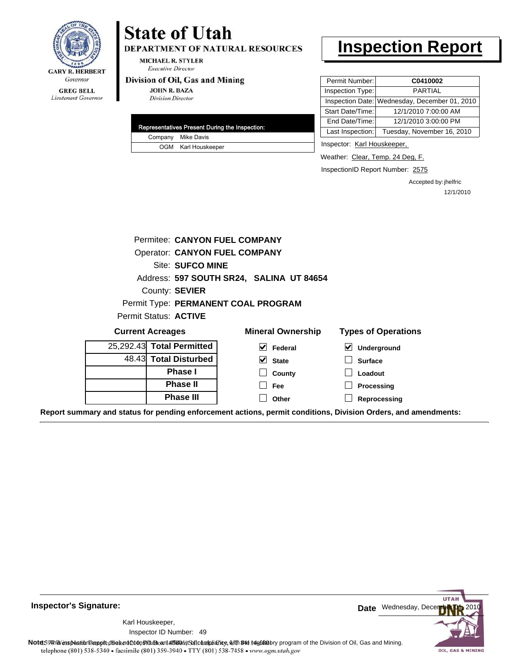

DEPARTMENT OF NATURAL RESOURCES

**MICHAEL R. STYLER Executive Director** 

#### Division of Oil, Gas and Mining

**JOHN R. BAZA Division Director** 

| Representatives Present During the Inspection: |                     |  |
|------------------------------------------------|---------------------|--|
|                                                | Company Mike Davis  |  |
|                                                | OGM Karl Houskeeper |  |

# **Inspection Report**

| Permit Number:   | C0410002                                      |
|------------------|-----------------------------------------------|
| Inspection Type: | PARTIAL                                       |
|                  | Inspection Date: Wednesday, December 01, 2010 |
| Start Date/Time: | 12/1/2010 7:00:00 AM                          |
| End Date/Time:   | 12/1/2010 3:00:00 PM                          |
| Last Inspection: | Tuesday, November 16, 2010                    |

Inspector: Karl Houskeeper,

Weather: Clear, Temp. 24 Deg, F.

InspectionID Report Number: 2575

Accepted by: jhelfric 12/1/2010

|                                                                                                                | Permitee: CANYON FUEL COMPANY        |                                          |                            |
|----------------------------------------------------------------------------------------------------------------|--------------------------------------|------------------------------------------|----------------------------|
|                                                                                                                |                                      |                                          |                            |
|                                                                                                                | <b>Operator: CANYON FUEL COMPANY</b> |                                          |                            |
|                                                                                                                | Site: SUFCO MINE                     |                                          |                            |
|                                                                                                                |                                      | Address: 597 SOUTH SR24, SALINA UT 84654 |                            |
|                                                                                                                | County: SEVIER                       |                                          |                            |
|                                                                                                                |                                      | Permit Type: PERMANENT COAL PROGRAM      |                            |
| Permit Status: ACTIVE                                                                                          |                                      |                                          |                            |
| <b>Current Acreages</b>                                                                                        |                                      | <b>Mineral Ownership</b>                 | <b>Types of Operations</b> |
| 25,292.43 Total Permitted                                                                                      |                                      | $\vee$ Federal                           | ⊻<br>Underground           |
| 48.43 Total Disturbed                                                                                          |                                      | $\vee$ State                             | <b>Surface</b>             |
|                                                                                                                | <b>Phase I</b>                       | County                                   | Loadout                    |
|                                                                                                                | <b>Phase II</b>                      | Fee                                      | Processing                 |
|                                                                                                                | <b>Phase III</b>                     | Other                                    | Reprocessing               |
| Report summary and status for pending enforcement actions, permit conditions, Division Orders, and amendments: |                                      |                                          |                            |

**Inspector's Signature:**

49 Inspector ID Number:Karl Houskeeper,



Note59#htviespection lepptt does not constitute an affidavitSal compliance, with the regulatory program of the Division of Oil, Gas and Mining. telephone (801) 538-5340 · facsimile (801) 359-3940 · TTY (801) 538-7458 · www.ogm.utah.gov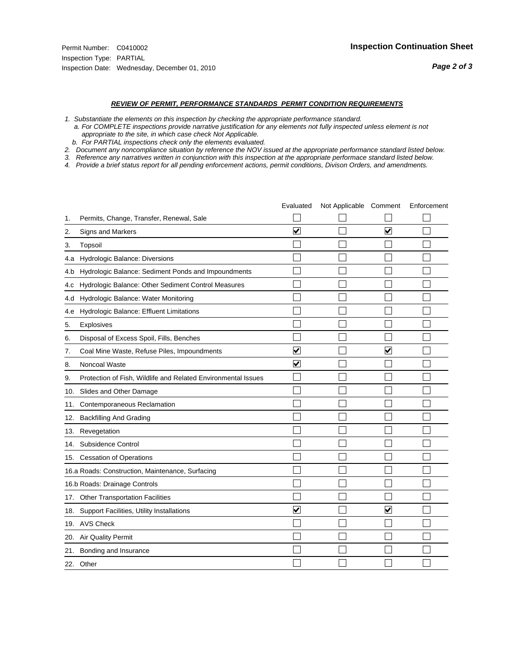#### *REVIEW OF PERMIT, PERFORMANCE STANDARDS PERMIT CONDITION REQUIREMENTS*

- *1. Substantiate the elements on this inspection by checking the appropriate performance standard.*
- *a. For COMPLETE inspections provide narrative justification for any elements not fully inspected unless element is not appropriate to the site, in which case check Not Applicable.*
- *b. For PARTIAL inspections check only the elements evaluated.*
- *2. Document any noncompliance situation by reference the NOV issued at the appropriate performance standard listed below.*
- *3. Reference any narratives written in conjunction with this inspection at the appropriate performace standard listed below.*
- *4. Provide a brief status report for all pending enforcement actions, permit conditions, Divison Orders, and amendments.*

|     |                                                               | Evaluated               | Not Applicable Comment |                         | Enforcement |
|-----|---------------------------------------------------------------|-------------------------|------------------------|-------------------------|-------------|
| 1.  | Permits, Change, Transfer, Renewal, Sale                      |                         |                        |                         |             |
| 2.  | <b>Signs and Markers</b>                                      | $\overline{\mathbf{v}}$ |                        | $\overline{\mathbf{v}}$ |             |
| 3.  | Topsoil                                                       |                         |                        |                         |             |
| 4.a | Hydrologic Balance: Diversions                                |                         |                        |                         |             |
| 4.b | Hydrologic Balance: Sediment Ponds and Impoundments           |                         |                        |                         |             |
| 4.C | Hydrologic Balance: Other Sediment Control Measures           |                         |                        |                         |             |
| 4.d | Hydrologic Balance: Water Monitoring                          |                         |                        |                         |             |
| 4.e | Hydrologic Balance: Effluent Limitations                      |                         |                        |                         |             |
| 5.  | Explosives                                                    |                         |                        |                         |             |
| 6.  | Disposal of Excess Spoil, Fills, Benches                      |                         |                        |                         |             |
| 7.  | Coal Mine Waste, Refuse Piles, Impoundments                   | $\overline{\mathbf{v}}$ |                        | $\overline{\mathbf{v}}$ |             |
| 8.  | Noncoal Waste                                                 | $\overline{\mathbf{v}}$ |                        |                         |             |
| 9.  | Protection of Fish, Wildlife and Related Environmental Issues |                         |                        |                         |             |
|     | 10. Slides and Other Damage                                   |                         |                        |                         |             |
| 11. | Contemporaneous Reclamation                                   |                         |                        |                         |             |
| 12. | <b>Backfilling And Grading</b>                                |                         |                        |                         |             |
| 13. | Revegetation                                                  |                         |                        |                         |             |
| 14. | Subsidence Control                                            |                         |                        |                         |             |
|     | 15. Cessation of Operations                                   |                         |                        |                         |             |
|     | 16.a Roads: Construction, Maintenance, Surfacing              |                         |                        |                         |             |
|     | 16.b Roads: Drainage Controls                                 |                         |                        |                         |             |
|     | 17. Other Transportation Facilities                           |                         |                        |                         |             |
| 18. | Support Facilities, Utility Installations                     | $\overline{\mathsf{v}}$ |                        | $\blacktriangledown$    |             |
|     | 19. AVS Check                                                 |                         |                        |                         |             |
| 20. | Air Quality Permit                                            |                         |                        |                         |             |
|     | 21. Bonding and Insurance                                     |                         |                        |                         |             |
|     | 22. Other                                                     |                         |                        |                         |             |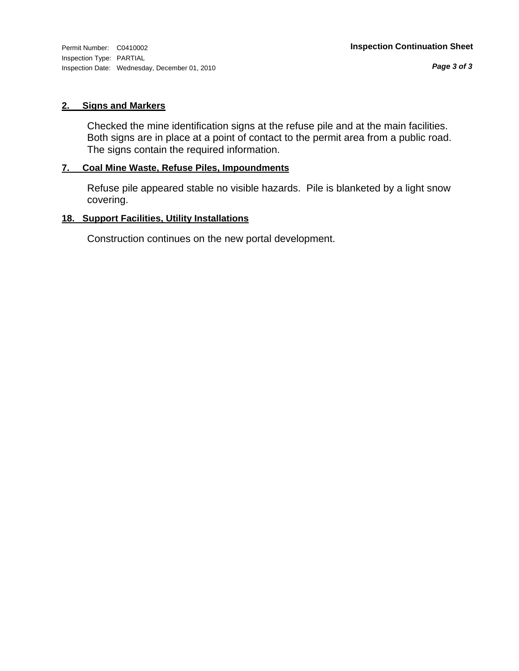# **2. Signs and Markers**

Checked the mine identification signs at the refuse pile and at the main facilities. Both signs are in place at a point of contact to the permit area from a public road. The signs contain the required information.

# **7. Coal Mine Waste, Refuse Piles, Impoundments**

Refuse pile appeared stable no visible hazards. Pile is blanketed by a light snow covering.

# **18. Support Facilities, Utility Installations**

Construction continues on the new portal development.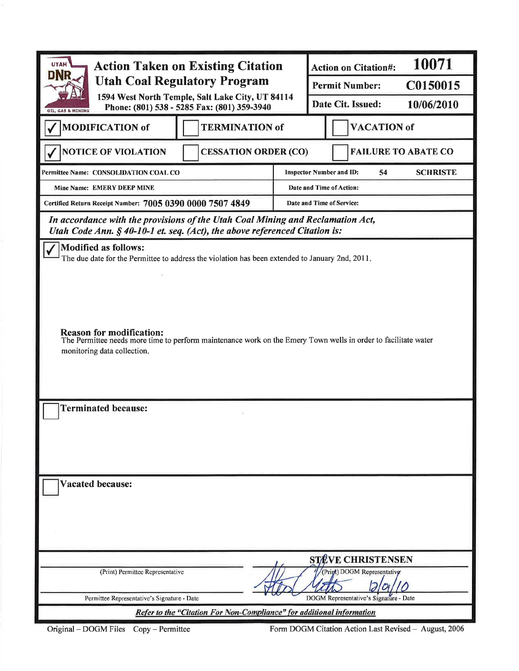| <b>UTAH</b><br><b>Action Taken on Existing Citation</b><br><b>DNR</b><br><b>Utah Coal Regulatory Program</b>                                                                                                                                                                                                       |                                                                                                 | 10071<br><b>Action on Citation#:</b> |                          |                                        |                            |  |
|--------------------------------------------------------------------------------------------------------------------------------------------------------------------------------------------------------------------------------------------------------------------------------------------------------------------|-------------------------------------------------------------------------------------------------|--------------------------------------|--------------------------|----------------------------------------|----------------------------|--|
|                                                                                                                                                                                                                                                                                                                    |                                                                                                 | C0150015<br><b>Permit Number:</b>    |                          |                                        |                            |  |
| OIL, GAS & MINING                                                                                                                                                                                                                                                                                                  | 1594 West North Temple, Salt Lake City, UT 84114<br>Phone: (801) 538 - 5285 Fax: (801) 359-3940 |                                      |                          | Date Cit. Issued:                      | 10/06/2010                 |  |
| <b>MODIFICATION of</b>                                                                                                                                                                                                                                                                                             | <b>TERMINATION of</b>                                                                           |                                      | <b>VACATION</b> of       |                                        |                            |  |
| <b>NOTICE OF VIOLATION</b>                                                                                                                                                                                                                                                                                         | <b>CESSATION ORDER (CO)</b>                                                                     |                                      |                          |                                        | <b>FAILURE TO ABATE CO</b> |  |
| Permittee Name: CONSOLIDATION COAL CO                                                                                                                                                                                                                                                                              |                                                                                                 |                                      |                          | <b>Inspector Number and ID:</b><br>54  | <b>SCHRISTE</b>            |  |
| Mine Name: EMERY DEEP MINE                                                                                                                                                                                                                                                                                         |                                                                                                 |                                      | Date and Time of Action: |                                        |                            |  |
| Certified Return Receipt Number: 7005 0390 0000 7507 4849                                                                                                                                                                                                                                                          |                                                                                                 |                                      |                          | Date and Time of Service:              |                            |  |
| In accordance with the provisions of the Utah Coal Mining and Reclamation Act,<br>Utah Code Ann. $§$ 40-10-1 et. seq. (Act), the above referenced Citation is:                                                                                                                                                     |                                                                                                 |                                      |                          |                                        |                            |  |
| <b>Modified as follows:</b><br>The due date for the Permittee to address the violation has been extended to January 2nd, 2011.<br><b>Reason for modification:</b><br>The Permittee needs more time to perform maintenance work on the Emery Town wells in order to facilitate water<br>monitoring data collection. |                                                                                                 |                                      |                          |                                        |                            |  |
| <b>Terminated because:</b>                                                                                                                                                                                                                                                                                         |                                                                                                 |                                      |                          |                                        |                            |  |
| <b>Vacated because:</b>                                                                                                                                                                                                                                                                                            |                                                                                                 |                                      |                          |                                        |                            |  |
|                                                                                                                                                                                                                                                                                                                    |                                                                                                 |                                      |                          | <b>STEVE CHRISTENSEN</b>               |                            |  |
| (Print) Permittee Representative                                                                                                                                                                                                                                                                                   |                                                                                                 |                                      |                          | (Prigt) DOGM Representativg            |                            |  |
| Permittee Representative's Signature - Date                                                                                                                                                                                                                                                                        |                                                                                                 |                                      |                          | DOGM Representative's Signature - Date |                            |  |
|                                                                                                                                                                                                                                                                                                                    | Refer to the "Citation For Non-Compliance" for additional information                           |                                      |                          |                                        |                            |  |

Original - DOGM Files Copy - Permittee

Form DOGM Citation Action Last Revised - August, 2006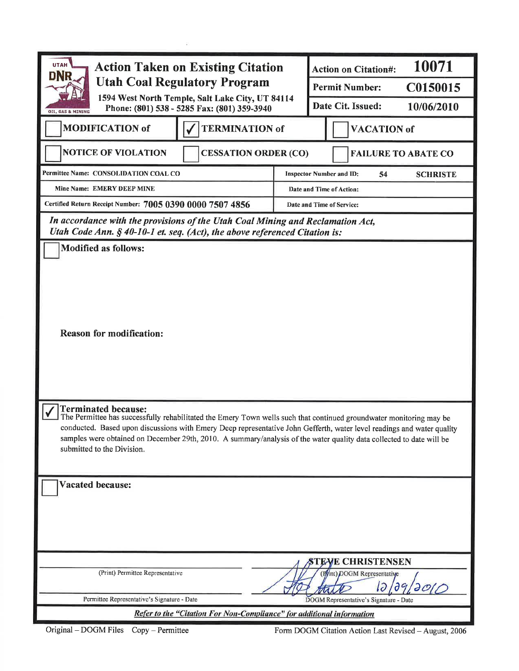| <b>UTAH</b><br><b>Action Taken on Existing Citation</b><br><b>DNR</b><br><b>Utah Coal Regulatory Program</b><br>1594 West North Temple, Salt Lake City, UT 84114<br>Phone: (801) 538 - 5285 Fax: (801) 359-3940<br>OIL, GAS & MINING                                                                                                                                                                                              |  | 10071<br><b>Action on Citation#:</b> |                                        |                       |  |
|-----------------------------------------------------------------------------------------------------------------------------------------------------------------------------------------------------------------------------------------------------------------------------------------------------------------------------------------------------------------------------------------------------------------------------------|--|--------------------------------------|----------------------------------------|-----------------------|--|
|                                                                                                                                                                                                                                                                                                                                                                                                                                   |  |                                      | <b>Permit Number:</b>                  | C0150015              |  |
|                                                                                                                                                                                                                                                                                                                                                                                                                                   |  | Date Cit. Issued:<br>10/06/2010      |                                        |                       |  |
| <b>MODIFICATION of</b><br><b>TERMINATION of</b>                                                                                                                                                                                                                                                                                                                                                                                   |  | <b>VACATION of</b>                   |                                        |                       |  |
| <b>NOTICE OF VIOLATION</b><br><b>CESSATION ORDER (CO)</b>                                                                                                                                                                                                                                                                                                                                                                         |  |                                      | <b>FAILURE TO ABATE CO</b>             |                       |  |
| Permittee Name: CONSOLIDATION COAL CO                                                                                                                                                                                                                                                                                                                                                                                             |  |                                      | <b>Inspector Number and ID:</b><br>54  | <b>SCHRISTE</b>       |  |
| Mine Name: EMERY DEEP MINE                                                                                                                                                                                                                                                                                                                                                                                                        |  |                                      | Date and Time of Action:               |                       |  |
| Certified Return Receipt Number: 7005 0390 0000 7507 4856                                                                                                                                                                                                                                                                                                                                                                         |  |                                      | Date and Time of Service:              |                       |  |
| In accordance with the provisions of the Utah Coal Mining and Reclamation Act,<br>Utah Code Ann. § 40-10-1 et. seq. (Act), the above referenced Citation is:                                                                                                                                                                                                                                                                      |  |                                      |                                        |                       |  |
| <b>Modified as follows:</b>                                                                                                                                                                                                                                                                                                                                                                                                       |  |                                      |                                        |                       |  |
| <b>Reason for modification:</b>                                                                                                                                                                                                                                                                                                                                                                                                   |  |                                      |                                        |                       |  |
| <b>Terminated because:</b><br>The Permittee has successfully rehabilitated the Emery Town wells such that continued groundwater monitoring may be<br>conducted. Based upon discussions with Emery Deep representative John Gefferth, water level readings and water quality<br>samples were obtained on December 29th, 2010. A summary/analysis of the water quality data collected to date will be<br>submitted to the Division. |  |                                      |                                        |                       |  |
| <b>Vacated because:</b>                                                                                                                                                                                                                                                                                                                                                                                                           |  |                                      |                                        |                       |  |
|                                                                                                                                                                                                                                                                                                                                                                                                                                   |  |                                      | <b>STEVE CHRISTENSEN</b>               |                       |  |
| (Print) Permittee Representative                                                                                                                                                                                                                                                                                                                                                                                                  |  |                                      | (Pint) DOGM Representative<br>12/09    | $\partial\mathcal{O}$ |  |
| Permittee Representative's Signature - Date                                                                                                                                                                                                                                                                                                                                                                                       |  |                                      | DOGM Representative's Signature - Date |                       |  |
| Refer to the "Citation For Non-Compliance" for additional information                                                                                                                                                                                                                                                                                                                                                             |  |                                      |                                        |                       |  |

 $\tilde{a}$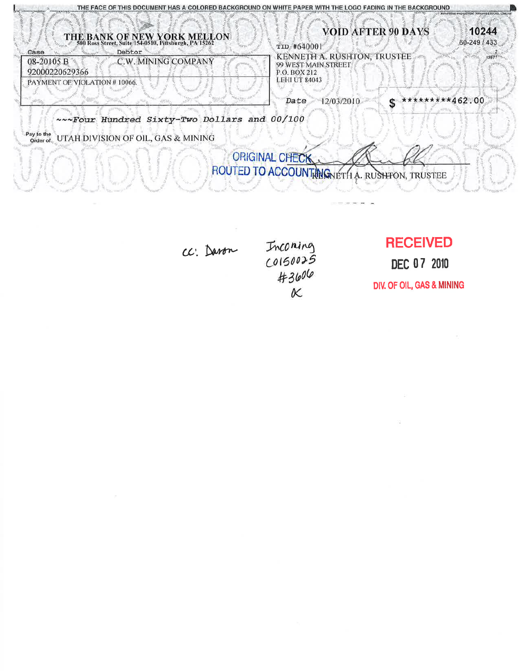| THE FACE OF THIS DOCUMENT HAS A COLORED BACKGROUND ON WHITE PAPER WITH THE LOGO FADING IN THE BACKGROUND      |                                                                                            |                       |
|---------------------------------------------------------------------------------------------------------------|--------------------------------------------------------------------------------------------|-----------------------|
| THE BANK OF NEW YORK MELLON<br>500 Ross Street, Suite 154-0510, Pittsburgh, PA 15262                          | <b>VOID AFTER 90 DAYS</b><br>TID #640001                                                   | 10244<br>60-249 / 433 |
| Debtor<br>Case<br>C.W. MINING COMPANY<br>08-20105 B<br>92000220629366                                         | KENNETH A. RUSHTON, TRUSTEE<br>99 WEST MAIN STREET<br>P.O. BOX 212<br><b>LEHI UT 84043</b> |                       |
| PAYMENT OF VIOLATION # 10066.                                                                                 | *********462.00<br>12/03/2010<br>Date<br>œ                                                 |                       |
| ~~~ Four Hundred Sixty-Two Dollars and 00/100<br>Pay to the<br>UTAH DIVISION OF OIL, GAS & MINING<br>Order of |                                                                                            |                       |
|                                                                                                               | <b>ORIGINAL CHECK</b><br>ROUTED TO ACCOUNT MONETH A. RUSHFON, TRUSTEE                      |                       |
|                                                                                                               |                                                                                            |                       |

cc. Daron

Inconing<br>Colsoo25<br>#3606<br>K

**RECEIVED** 

DEC 07 2010

DIV. OF OIL, GAS & MINING